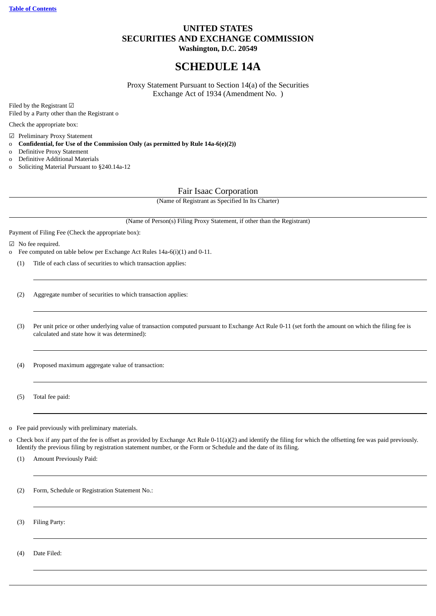### **UNITED STATES SECURITIES AND EXCHANGE COMMISSION Washington, D.C. 20549**

# **SCHEDULE 14A**

Proxy Statement Pursuant to Section 14(a) of the Securities Exchange Act of 1934 (Amendment No. )

Filed by the Registrant ☑ Filed by a Party other than the Registrant o

Check the appropriate box:

☑ Preliminary Proxy Statement

- o **Confidential, for Use of the Commission Only (as permitted by Rule 14a-6(e)(2))**
- o Definitive Proxy Statement
- o Definitive Additional Materials
- o Soliciting Material Pursuant to §240.14a-12

Fair Isaac Corporation

(Name of Registrant as Specified In Its Charter)

(Name of Person(s) Filing Proxy Statement, if other than the Registrant)

Payment of Filing Fee (Check the appropriate box):

☑ No fee required.

- o Fee computed on table below per Exchange Act Rules 14a-6(i)(1) and 0-11.
	- (1) Title of each class of securities to which transaction applies:
	- (2) Aggregate number of securities to which transaction applies:
	- (3) Per unit price or other underlying value of transaction computed pursuant to Exchange Act Rule 0-11 (set forth the amount on which the filing fee is calculated and state how it was determined):

(4) Proposed maximum aggregate value of transaction:

(5) Total fee paid:

o Fee paid previously with preliminary materials.

- o Check box if any part of the fee is offset as provided by Exchange Act Rule 0-11(a)(2) and identify the filing for which the offsetting fee was paid previously. Identify the previous filing by registration statement number, or the Form or Schedule and the date of its filing.
	- (1) Amount Previously Paid:

(2) Form, Schedule or Registration Statement No.:

(3) Filing Party:

<span id="page-1-0"></span>(4) Date Filed: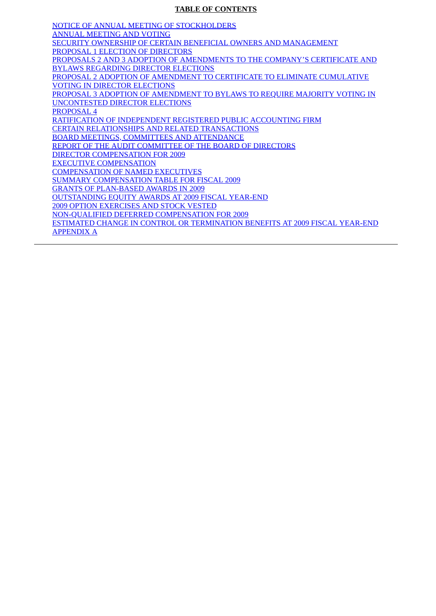### **TABLE OF CONTENTS**

[NOTICE OF ANNUAL MEETING OF STOCKHOLDERS](#page-3-0) [ANNUAL MEETING AND VOTING](#page-5-0) [SECURITY OWNERSHIP OF CERTAIN BENEFICIAL OWNERS AND MANAGEMENT](#page-9-0) [PROPOSAL 1 ELECTION OF DIRECTORS](#page-10-0) [PROPOSALS 2 AND 3 ADOPTION OF AMENDMENTS TO THE COMPANY'S CERTIFICATE AND](#page-14-0) BYLAWS REGARDING DIRECTOR ELECTIONS [PROPOSAL 2 ADOPTION OF AMENDMENT TO CERTIFICATE TO ELIMINATE CUMULATIVE](#page-15-0) VOTING IN DIRECTOR ELECTIONS [PROPOSAL 3 ADOPTION OF AMENDMENT TO BYLAWS TO REQUIRE MAJORITY VOTING IN](#page-16-0) UNCONTESTED DIRECTOR ELECTIONS [PROPOSAL 4](#page-17-0) [RATIFICATION OF INDEPENDENT REGISTERED PUBLIC ACCOUNTING FIRM](#page-17-1) [CERTAIN RELATIONSHIPS AND RELATED TRANSACTIONS](#page-18-0) [BOARD MEETINGS, COMMITTEES AND ATTENDANCE](#page-19-0) [REPORT OF THE AUDIT COMMITTEE OF THE BOARD OF DIRECTORS](#page-20-0) [DIRECTOR COMPENSATION FOR 2009](#page-23-0) [EXECUTIVE COMPENSATION](#page-25-0) [COMPENSATION OF NAMED EXECUTIVES](#page-35-0) [SUMMARY COMPENSATION TABLE FOR FISCAL 2009](#page-35-1) [GRANTS OF PLAN-BASED AWARDS IN 2009](#page-37-0) [OUTSTANDING EQUITY AWARDS AT 2009 FISCAL YEAR-END](#page-39-0) [2009 OPTION EXERCISES AND STOCK VESTED](#page-40-0) [NON-QUALIFIED DEFERRED COMPENSATION FOR 2009](#page-40-1) [ESTIMATED CHANGE IN CONTROL OR TERMINATION BENEFITS AT 2009 FISCAL YEAR-END](#page-41-0) [APPENDIX A](#page-47-0)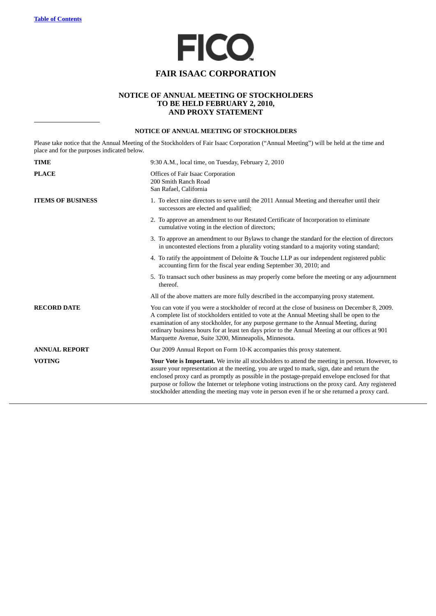

## **FAIR ISAAC CORPORATION**

### **NOTICE OF ANNUAL MEETING OF STOCKHOLDERS TO BE HELD FEBRUARY 2, 2010, AND PROXY STATEMENT**

### **NOTICE OF ANNUAL MEETING OF STOCKHOLDERS**

<span id="page-3-0"></span>Please take notice that the Annual Meeting of the Stockholders of Fair Isaac Corporation ("Annual Meeting") will be held at the time and place and for the purposes indicated below.

| <b>TIME</b>              | 9:30 A.M., local time, on Tuesday, February 2, 2010                                                                                                                                                                                                                                                                                                                                                                                                                                                          |
|--------------------------|--------------------------------------------------------------------------------------------------------------------------------------------------------------------------------------------------------------------------------------------------------------------------------------------------------------------------------------------------------------------------------------------------------------------------------------------------------------------------------------------------------------|
| <b>PLACE</b>             | Offices of Fair Isaac Corporation<br>200 Smith Ranch Road<br>San Rafael, California                                                                                                                                                                                                                                                                                                                                                                                                                          |
| <b>ITEMS OF BUSINESS</b> | 1. To elect nine directors to serve until the 2011 Annual Meeting and thereafter until their<br>successors are elected and qualified;                                                                                                                                                                                                                                                                                                                                                                        |
|                          | 2. To approve an amendment to our Restated Certificate of Incorporation to eliminate<br>cumulative voting in the election of directors;                                                                                                                                                                                                                                                                                                                                                                      |
|                          | 3. To approve an amendment to our Bylaws to change the standard for the election of directors<br>in uncontested elections from a plurality voting standard to a majority voting standard;                                                                                                                                                                                                                                                                                                                    |
|                          | 4. To ratify the appointment of Deloitte & Touche LLP as our independent registered public<br>accounting firm for the fiscal year ending September 30, 2010; and                                                                                                                                                                                                                                                                                                                                             |
|                          | 5. To transact such other business as may properly come before the meeting or any adjournment<br>thereof.                                                                                                                                                                                                                                                                                                                                                                                                    |
|                          | All of the above matters are more fully described in the accompanying proxy statement.                                                                                                                                                                                                                                                                                                                                                                                                                       |
| <b>RECORD DATE</b>       | You can vote if you were a stockholder of record at the close of business on December 8, 2009.<br>A complete list of stockholders entitled to vote at the Annual Meeting shall be open to the<br>examination of any stockholder, for any purpose germane to the Annual Meeting, during<br>ordinary business hours for at least ten days prior to the Annual Meeting at our offices at 901<br>Marquette Avenue, Suite 3200, Minneapolis, Minnesota.                                                           |
| <b>ANNUAL REPORT</b>     | Our 2009 Annual Report on Form 10-K accompanies this proxy statement.                                                                                                                                                                                                                                                                                                                                                                                                                                        |
| <b>VOTING</b>            | <b>Your Vote is Important.</b> We invite all stockholders to attend the meeting in person. However, to<br>assure your representation at the meeting, you are urged to mark, sign, date and return the<br>enclosed proxy card as promptly as possible in the postage-prepaid envelope enclosed for that<br>purpose or follow the Internet or telephone voting instructions on the proxy card. Any registered<br>stockholder attending the meeting may vote in person even if he or she returned a proxy card. |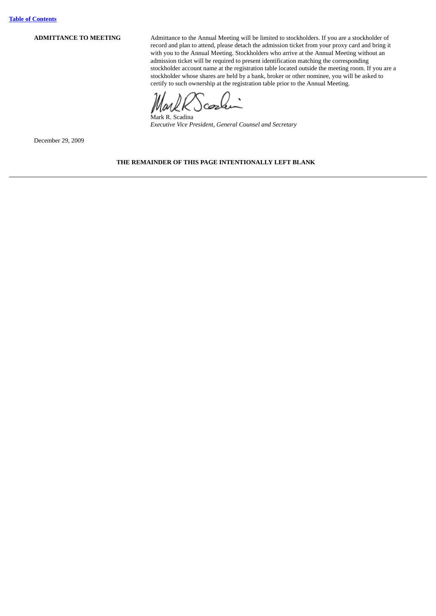**ADMITTANCE TO MEETING** Admittance to the Annual Meeting will be limited to stockholders. If you are a stockholder of record and plan to attend, please detach the admission ticket from your proxy card and bring it with you to the Annual Meeting. Stockholders who arrive at the Annual Meeting without an admission ticket will be required to present identification matching the corresponding stockholder account name at the registration table located outside the meeting room. If you are a stockholder whose shares are held by a bank, broker or other nominee, you will be asked to certify to such ownership at the registration table prior to the Annual Meeting.

Mark R. Scadina *Executive Vice President, General Counsel and Secretary*

December 29, 2009

**THE REMAINDER OF THIS PAGE INTENTIONALLY LEFT BLANK**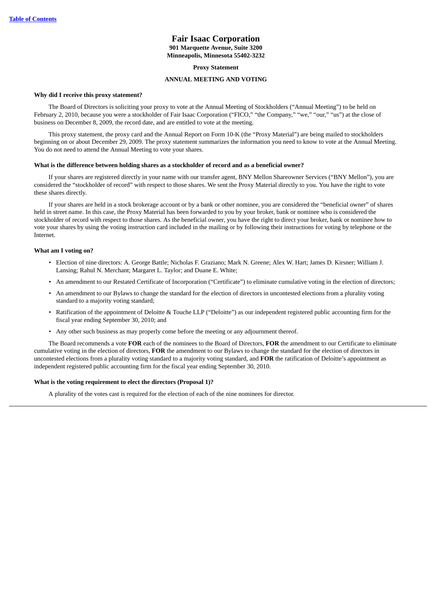### **Fair Isaac Corporation 901 Marquette Avenue, Suite 3200 Minneapolis, Minnesota 55402-3232**

#### **Proxy Statement**

#### **ANNUAL MEETING AND VOTING**

#### <span id="page-5-0"></span>**Why did I receive this proxy statement?**

The Board of Directors is soliciting your proxy to vote at the Annual Meeting of Stockholders ("Annual Meeting") to be held on February 2, 2010, because you were a stockholder of Fair Isaac Corporation ("FICO," "the Company," "we," "our," "us") at the close of business on December 8, 2009, the record date, and are entitled to vote at the meeting.

This proxy statement, the proxy card and the Annual Report on Form 10-K (the "Proxy Material") are being mailed to stockholders beginning on or about December 29, 2009. The proxy statement summarizes the information you need to know to vote at the Annual Meeting. You do not need to attend the Annual Meeting to vote your shares.

#### **What is the difference between holding shares as a stockholder of record and as a beneficial owner?**

If your shares are registered directly in your name with our transfer agent, BNY Mellon Shareowner Services ("BNY Mellon"), you are considered the "stockholder of record" with respect to those shares. We sent the Proxy Material directly to you. You have the right to vote these shares directly.

If your shares are held in a stock brokerage account or by a bank or other nominee, you are considered the "beneficial owner" of shares held in street name. In this case, the Proxy Material has been forwarded to you by your broker, bank or nominee who is considered the stockholder of record with respect to those shares. As the beneficial owner, you have the right to direct your broker, bank or nominee how to vote your shares by using the voting instruction card included in the mailing or by following their instructions for voting by telephone or the Internet.

#### **What am I voting on?**

- Election of nine directors: A. George Battle; Nicholas F. Graziano; Mark N. Greene; Alex W. Hart; James D. Kirsner; William J. Lansing; Rahul N. Merchant; Margaret L. Taylor; and Duane E. White;
- An amendment to our Restated Certificate of Incorporation ("Certificate") to eliminate cumulative voting in the election of directors;
- An amendment to our Bylaws to change the standard for the election of directors in uncontested elections from a plurality voting standard to a majority voting standard;
- Ratification of the appointment of Deloitte & Touche LLP ("Deloitte") as our independent registered public accounting firm for the fiscal year ending September 30, 2010; and
- Any other such business as may properly come before the meeting or any adjournment thereof.

The Board recommends a vote **FOR** each of the nominees to the Board of Directors, **FOR** the amendment to our Certificate to eliminate cumulative voting in the election of directors, **FOR** the amendment to our Bylaws to change the standard for the election of directors in uncontested elections from a plurality voting standard to a majority voting standard, and **FOR** the ratification of Deloitte's appointment as independent registered public accounting firm for the fiscal year ending September 30, 2010.

#### **What is the voting requirement to elect the directors (Proposal 1)?**

A plurality of the votes cast is required for the election of each of the nine nominees for director.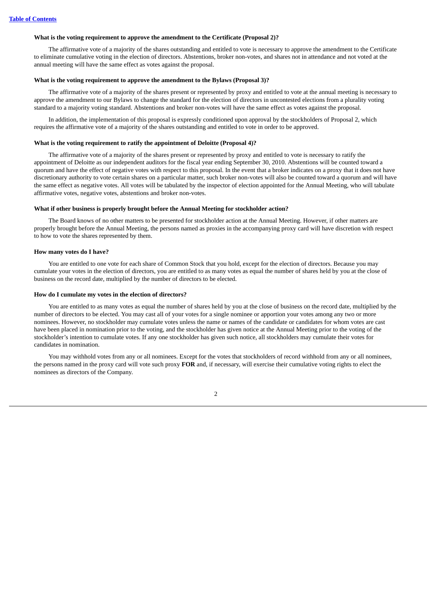#### **What is the voting requirement to approve the amendment to the Certificate (Proposal 2)?**

The affirmative vote of a majority of the shares outstanding and entitled to vote is necessary to approve the amendment to the Certificate to eliminate cumulative voting in the election of directors. Abstentions, broker non-votes, and shares not in attendance and not voted at the annual meeting will have the same effect as votes against the proposal.

#### **What is the voting requirement to approve the amendment to the Bylaws (Proposal 3)?**

The affirmative vote of a majority of the shares present or represented by proxy and entitled to vote at the annual meeting is necessary to approve the amendment to our Bylaws to change the standard for the election of directors in uncontested elections from a plurality voting standard to a majority voting standard. Abstentions and broker non-votes will have the same effect as votes against the proposal.

In addition, the implementation of this proposal is expressly conditioned upon approval by the stockholders of Proposal 2, which requires the affirmative vote of a majority of the shares outstanding and entitled to vote in order to be approved.

#### **What is the voting requirement to ratify the appointment of Deloitte (Proposal 4)?**

The affirmative vote of a majority of the shares present or represented by proxy and entitled to vote is necessary to ratify the appointment of Deloitte as our independent auditors for the fiscal year ending September 30, 2010. Abstentions will be counted toward a quorum and have the effect of negative votes with respect to this proposal. In the event that a broker indicates on a proxy that it does not have discretionary authority to vote certain shares on a particular matter, such broker non-votes will also be counted toward a quorum and will have the same effect as negative votes. All votes will be tabulated by the inspector of election appointed for the Annual Meeting, who will tabulate affirmative votes, negative votes, abstentions and broker non-votes.

#### **What if other business is properly brought before the Annual Meeting for stockholder action?**

The Board knows of no other matters to be presented for stockholder action at the Annual Meeting. However, if other matters are properly brought before the Annual Meeting, the persons named as proxies in the accompanying proxy card will have discretion with respect to how to vote the shares represented by them.

#### **How many votes do I have?**

You are entitled to one vote for each share of Common Stock that you hold, except for the election of directors. Because you may cumulate your votes in the election of directors, you are entitled to as many votes as equal the number of shares held by you at the close of business on the record date, multiplied by the number of directors to be elected.

#### **How do I cumulate my votes in the election of directors?**

You are entitled to as many votes as equal the number of shares held by you at the close of business on the record date, multiplied by the number of directors to be elected. You may cast all of your votes for a single nominee or apportion your votes among any two or more nominees. However, no stockholder may cumulate votes unless the name or names of the candidate or candidates for whom votes are cast have been placed in nomination prior to the voting, and the stockholder has given notice at the Annual Meeting prior to the voting of the stockholder's intention to cumulate votes. If any one stockholder has given such notice, all stockholders may cumulate their votes for candidates in nomination.

You may withhold votes from any or all nominees. Except for the votes that stockholders of record withhold from any or all nominees, the persons named in the proxy card will vote such proxy **FOR** and, if necessary, will exercise their cumulative voting rights to elect the nominees as directors of the Company.

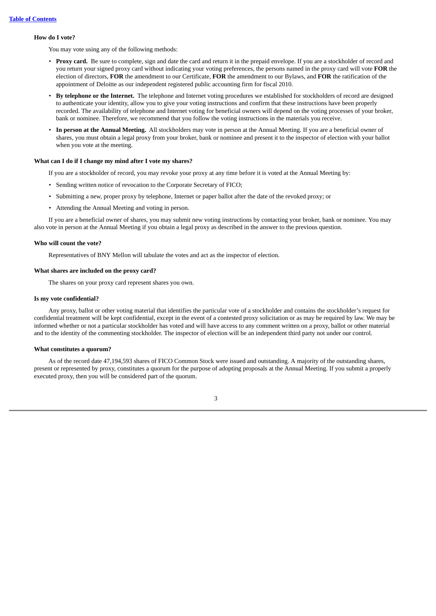#### **How do I vote?**

You may vote using any of the following methods:

- **Proxy card.** Be sure to complete, sign and date the card and return it in the prepaid envelope. If you are a stockholder of record and you return your signed proxy card without indicating your voting preferences, the persons named in the proxy card will vote **FOR** the election of directors, **FOR** the amendment to our Certificate, **FOR** the amendment to our Bylaws, and **FOR** the ratification of the appointment of Deloitte as our independent registered public accounting firm for fiscal 2010.
- **By telephone or the Internet.** The telephone and Internet voting procedures we established for stockholders of record are designed to authenticate your identity, allow you to give your voting instructions and confirm that these instructions have been properly recorded. The availability of telephone and Internet voting for beneficial owners will depend on the voting processes of your broker, bank or nominee. Therefore, we recommend that you follow the voting instructions in the materials you receive.
- **In person at the Annual Meeting.** All stockholders may vote in person at the Annual Meeting. If you are a beneficial owner of shares, you must obtain a legal proxy from your broker, bank or nominee and present it to the inspector of election with your ballot when you vote at the meeting.

#### **What can I do if I change my mind after I vote my shares?**

If you are a stockholder of record, you may revoke your proxy at any time before it is voted at the Annual Meeting by:

- Sending written notice of revocation to the Corporate Secretary of FICO;
- Submitting a new, proper proxy by telephone, Internet or paper ballot after the date of the revoked proxy; or
- Attending the Annual Meeting and voting in person.

If you are a beneficial owner of shares, you may submit new voting instructions by contacting your broker, bank or nominee. You may also vote in person at the Annual Meeting if you obtain a legal proxy as described in the answer to the previous question.

#### **Who will count the vote?**

Representatives of BNY Mellon will tabulate the votes and act as the inspector of election.

#### **What shares are included on the proxy card?**

The shares on your proxy card represent shares you own.

#### **Is my vote confidential?**

Any proxy, ballot or other voting material that identifies the particular vote of a stockholder and contains the stockholder's request for confidential treatment will be kept confidential, except in the event of a contested proxy solicitation or as may be required by law. We may be informed whether or not a particular stockholder has voted and will have access to any comment written on a proxy, ballot or other material and to the identity of the commenting stockholder. The inspector of election will be an independent third party not under our control.

#### **What constitutes a quorum?**

As of the record date 47,194,593 shares of FICO Common Stock were issued and outstanding. A majority of the outstanding shares, present or represented by proxy, constitutes a quorum for the purpose of adopting proposals at the Annual Meeting. If you submit a properly executed proxy, then you will be considered part of the quorum.

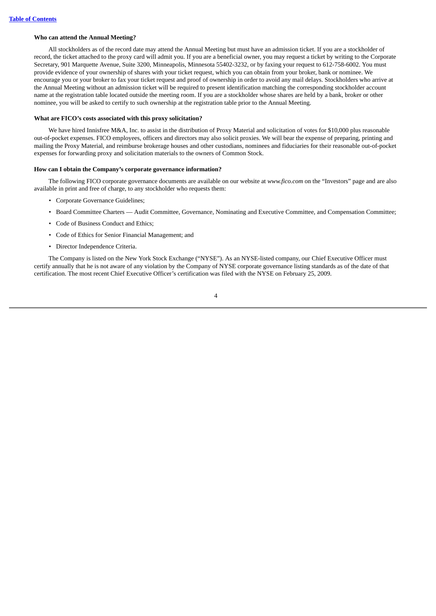#### **Who can attend the Annual Meeting?**

All stockholders as of the record date may attend the Annual Meeting but must have an admission ticket. If you are a stockholder of record, the ticket attached to the proxy card will admit you. If you are a beneficial owner, you may request a ticket by writing to the Corporate Secretary, 901 Marquette Avenue, Suite 3200, Minneapolis, Minnesota 55402-3232, or by faxing your request to 612-758-6002. You must provide evidence of your ownership of shares with your ticket request, which you can obtain from your broker, bank or nominee. We encourage you or your broker to fax your ticket request and proof of ownership in order to avoid any mail delays. Stockholders who arrive at the Annual Meeting without an admission ticket will be required to present identification matching the corresponding stockholder account name at the registration table located outside the meeting room. If you are a stockholder whose shares are held by a bank, broker or other nominee, you will be asked to certify to such ownership at the registration table prior to the Annual Meeting.

#### **What are FICO's costs associated with this proxy solicitation?**

We have hired Innisfree M&A, Inc. to assist in the distribution of Proxy Material and solicitation of votes for \$10,000 plus reasonable out-of-pocket expenses. FICO employees, officers and directors may also solicit proxies. We will bear the expense of preparing, printing and mailing the Proxy Material, and reimburse brokerage houses and other custodians, nominees and fiduciaries for their reasonable out-of-pocket expenses for forwarding proxy and solicitation materials to the owners of Common Stock.

#### **How can I obtain the Company's corporate governance information?**

The following FICO corporate governance documents are available on our website at *www.fico.com* on the "Investors" page and are also available in print and free of charge, to any stockholder who requests them:

- Corporate Governance Guidelines;
- Board Committee Charters Audit Committee, Governance, Nominating and Executive Committee, and Compensation Committee;
- Code of Business Conduct and Ethics;
- Code of Ethics for Senior Financial Management; and
- Director Independence Criteria.

The Company is listed on the New York Stock Exchange ("NYSE"). As an NYSE-listed company, our Chief Executive Officer must certify annually that he is not aware of any violation by the Company of NYSE corporate governance listing standards as of the date of that certification. The most recent Chief Executive Officer's certification was filed with the NYSE on February 25, 2009.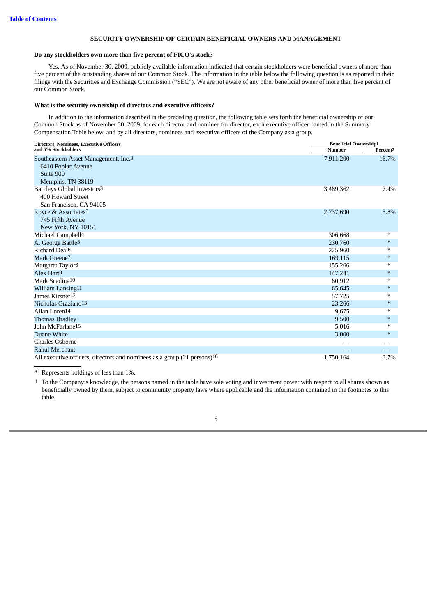#### **SECURITY OWNERSHIP OF CERTAIN BENEFICIAL OWNERS AND MANAGEMENT**

#### <span id="page-9-0"></span>**Do any stockholders own more than five percent of FICO's stock?**

Yes. As of November 30, 2009, publicly available information indicated that certain stockholders were beneficial owners of more than five percent of the outstanding shares of our Common Stock. The information in the table below the following question is as reported in their filings with the Securities and Exchange Commission ("SEC"). We are not aware of any other beneficial owner of more than five percent of our Common Stock.

#### **What is the security ownership of directors and executive officers?**

In addition to the information described in the preceding question, the following table sets forth the beneficial ownership of our Common Stock as of November 30, 2009, for each director and nominee for director, each executive officer named in the Summary Compensation Table below, and by all directors, nominees and executive officers of the Company as a group.

| <b>Directors, Nominees, Executive Officers</b>                           | <b>Beneficial Ownership1</b> |                      |
|--------------------------------------------------------------------------|------------------------------|----------------------|
| and 5% Stockholders                                                      | <b>Number</b>                | Percent <sub>2</sub> |
| Southeastern Asset Management, Inc.3                                     | 7,911,200                    | 16.7%                |
| 6410 Poplar Avenue                                                       |                              |                      |
| Suite 900                                                                |                              |                      |
| Memphis, TN 38119                                                        |                              |                      |
| Barclays Global Investors <sup>3</sup>                                   | 3,489,362                    | 7.4%                 |
| 400 Howard Street                                                        |                              |                      |
| San Francisco, CA 94105                                                  |                              |                      |
| Royce & Associates <sup>3</sup>                                          | 2,737,690                    | 5.8%                 |
| 745 Fifth Avenue                                                         |                              |                      |
| New York, NY 10151                                                       |                              |                      |
| Michael Campbell <sup>4</sup>                                            | 306,668                      | ∗                    |
| A. George Battle <sup>5</sup>                                            | 230,760                      | $*$                  |
| Richard Deal <sup>6</sup>                                                | 225,960                      | ∗                    |
| Mark Greene <sup>7</sup>                                                 | 169,115                      | $*$                  |
| Margaret Taylor <sup>8</sup>                                             | 155,266                      | ∗                    |
| Alex Hart <sup>9</sup>                                                   | 147,241                      | $*$                  |
| Mark Scadina <sup>10</sup>                                               | 80,912                       | $*$                  |
| William Lansing <sup>11</sup>                                            | 65,645                       | $*$                  |
| James Kirsner12                                                          | 57,725                       | ∗                    |
| Nicholas Graziano <sup>13</sup>                                          | 23,266                       | $*$                  |
| Allan Loren <sup>14</sup>                                                | 9,675                        | ∗                    |
| <b>Thomas Bradley</b>                                                    | 9,500                        | $*$                  |
| John McFarlane <sup>15</sup>                                             | 5,016                        | ∗                    |
| Duane White                                                              | 3,000                        | $\ast$               |
| Charles Osborne                                                          |                              |                      |
| Rahul Merchant                                                           |                              |                      |
| All executive officers, directors and nominees as a group (21 persons)16 | 1,750,164                    | 3.7%                 |

\* Represents holdings of less than 1%.

1 To the Company's knowledge, the persons named in the table have sole voting and investment power with respect to all shares shown as beneficially owned by them, subject to community property laws where applicable and the information contained in the footnotes to this table.

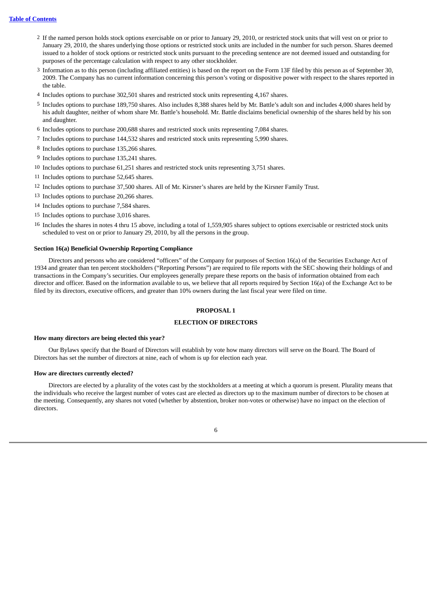#### **Table of [Contents](#page-1-0)**

- 2 If the named person holds stock options exercisable on or prior to January 29, 2010, or restricted stock units that will vest on or prior to January 29, 2010, the shares underlying those options or restricted stock units are included in the number for such person. Shares deemed issued to a holder of stock options or restricted stock units pursuant to the preceding sentence are not deemed issued and outstanding for purposes of the percentage calculation with respect to any other stockholder.
- 3 Information as to this person (including affiliated entities) is based on the report on the Form 13F filed by this person as of September 30, 2009. The Company has no current information concerning this person's voting or dispositive power with respect to the shares reported in the table.
- 4 Includes options to purchase 302,501 shares and restricted stock units representing 4,167 shares.
- 5 Includes options to purchase 189,750 shares. Also includes 8,388 shares held by Mr. Battle's adult son and includes 4,000 shares held by his adult daughter, neither of whom share Mr. Battle's household. Mr. Battle disclaims beneficial ownership of the shares held by his son and daughter.
- 6 Includes options to purchase 200,688 shares and restricted stock units representing 7,084 shares.
- 7 Includes options to purchase 144,532 shares and restricted stock units representing 5,990 shares.
- 8 Includes options to purchase 135,266 shares.
- 9 Includes options to purchase 135,241 shares.
- 10 Includes options to purchase 61,251 shares and restricted stock units representing 3,751 shares.
- 11 Includes options to purchase 52,645 shares.
- 12 Includes options to purchase 37,500 shares. All of Mr. Kirsner's shares are held by the Kirsner Family Trust.
- 13 Includes options to purchase 20,266 shares.
- 14 Includes options to purchase 7,584 shares.
- 15 Includes options to purchase 3,016 shares.
- 16 Includes the shares in notes 4 thru 15 above, including a total of 1,559,905 shares subject to options exercisable or restricted stock units scheduled to vest on or prior to January 29, 2010, by all the persons in the group.

#### **Section 16(a) Beneficial Ownership Reporting Compliance**

<span id="page-10-0"></span>Directors and persons who are considered "officers" of the Company for purposes of Section 16(a) of the Securities Exchange Act of 1934 and greater than ten percent stockholders ("Reporting Persons") are required to file reports with the SEC showing their holdings of and transactions in the Company's securities. Our employees generally prepare these reports on the basis of information obtained from each director and officer. Based on the information available to us, we believe that all reports required by Section 16(a) of the Exchange Act to be filed by its directors, executive officers, and greater than 10% owners during the last fiscal year were filed on time.

#### **PROPOSAL 1**

#### **ELECTION OF DIRECTORS**

#### **How many directors are being elected this year?**

Our Bylaws specify that the Board of Directors will establish by vote how many directors will serve on the Board. The Board of Directors has set the number of directors at nine, each of whom is up for election each year.

#### **How are directors currently elected?**

Directors are elected by a plurality of the votes cast by the stockholders at a meeting at which a quorum is present. Plurality means that the individuals who receive the largest number of votes cast are elected as directors up to the maximum number of directors to be chosen at the meeting. Consequently, any shares not voted (whether by abstention, broker non-votes or otherwise) have no impact on the election of directors.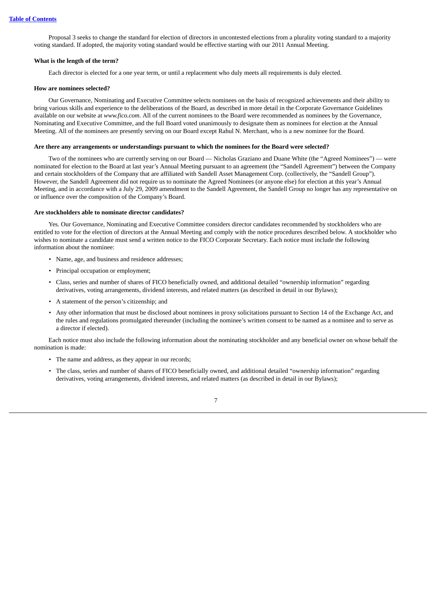Proposal 3 seeks to change the standard for election of directors in uncontested elections from a plurality voting standard to a majority voting standard. If adopted, the majority voting standard would be effective starting with our 2011 Annual Meeting.

#### **What is the length of the term?**

Each director is elected for a one year term, or until a replacement who duly meets all requirements is duly elected.

#### **How are nominees selected?**

Our Governance, Nominating and Executive Committee selects nominees on the basis of recognized achievements and their ability to bring various skills and experience to the deliberations of the Board, as described in more detail in the Corporate Governance Guidelines available on our website at *www.fico.com*. All of the current nominees to the Board were recommended as nominees by the Governance, Nominating and Executive Committee, and the full Board voted unanimously to designate them as nominees for election at the Annual Meeting. All of the nominees are presently serving on our Board except Rahul N. Merchant, who is a new nominee for the Board.

#### **Are there any arrangements or understandings pursuant to which the nominees for the Board were selected?**

Two of the nominees who are currently serving on our Board — Nicholas Graziano and Duane White (the "Agreed Nominees") — were nominated for election to the Board at last year's Annual Meeting pursuant to an agreement (the "Sandell Agreement") between the Company and certain stockholders of the Company that are affiliated with Sandell Asset Management Corp. (collectively, the "Sandell Group"). However, the Sandell Agreement did not require us to nominate the Agreed Nominees (or anyone else) for election at this year's Annual Meeting, and in accordance with a July 29, 2009 amendment to the Sandell Agreement, the Sandell Group no longer has any representative on or influence over the composition of the Company's Board.

#### **Are stockholders able to nominate director candidates?**

Yes. Our Governance, Nominating and Executive Committee considers director candidates recommended by stockholders who are entitled to vote for the election of directors at the Annual Meeting and comply with the notice procedures described below. A stockholder who wishes to nominate a candidate must send a written notice to the FICO Corporate Secretary. Each notice must include the following information about the nominee:

- Name, age, and business and residence addresses;
- Principal occupation or employment;
- Class, series and number of shares of FICO beneficially owned, and additional detailed "ownership information" regarding derivatives, voting arrangements, dividend interests, and related matters (as described in detail in our Bylaws);
- A statement of the person's citizenship; and
- Any other information that must be disclosed about nominees in proxy solicitations pursuant to Section 14 of the Exchange Act, and the rules and regulations promulgated thereunder (including the nominee's written consent to be named as a nominee and to serve as a director if elected).

Each notice must also include the following information about the nominating stockholder and any beneficial owner on whose behalf the nomination is made:

- The name and address, as they appear in our records;
- The class, series and number of shares of FICO beneficially owned, and additional detailed "ownership information" regarding derivatives, voting arrangements, dividend interests, and related matters (as described in detail in our Bylaws);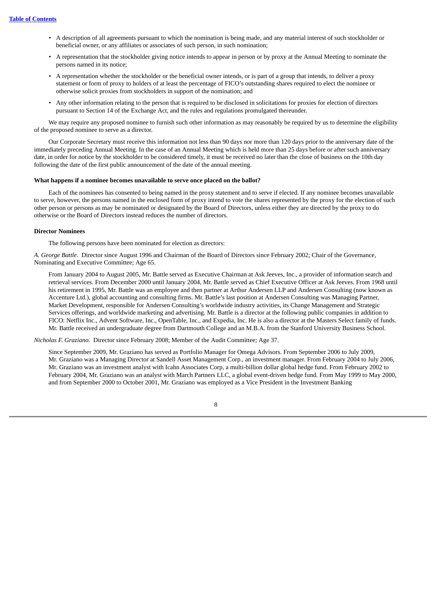- A description of all agreements pursuant to which the nomination is being made, and any material interest of such stockholder or beneficial owner, or any affiliates or associates of such person, in such nomination;
- A representation that the stockholder giving notice intends to appear in person or by proxy at the Annual Meeting to nominate the persons named in its notice;
- A representation whether the stockholder or the beneficial owner intends, or is part of a group that intends, to deliver a proxy statement or form of proxy to holders of at least the percentage of FICO's outstanding shares required to elect the nominee or otherwise solicit proxies from stockholders in support of the nomination; and
- Any other information relating to the person that is required to be disclosed in solicitations for proxies for election of directors pursuant to Section 14 of the Exchange Act, and the rules and regulations promulgated thereunder.

We may require any proposed nominee to furnish such other information as may reasonably be required by us to determine the eligibility of the proposed nominee to serve as a director.

Our Corporate Secretary must receive this information not less than 90 days nor more than 120 days prior to the anniversary date of the immediately preceding Annual Meeting. In the case of an Annual Meeting which is held more than 25 days before or after such anniversary date, in order for notice by the stockholder to be considered timely, it must be received no later than the close of business on the 10th day following the date of the first public announcement of the date of the annual meeting.

#### **What happens if a nominee becomes unavailable to serve once placed on the ballot?**

Each of the nominees has consented to being named in the proxy statement and to serve if elected. If any nominee becomes unavailable to serve, however, the persons named in the enclosed form of proxy intend to vote the shares represented by the proxy for the election of such other person or persons as may be nominated or designated by the Board of Directors, unless either they are directed by the proxy to do otherwise or the Board of Directors instead reduces the number of directors.

#### **Director Nominees**

The following persons have been nominated for election as directors:

*A. George Battle.* Director since August 1996 and Chairman of the Board of Directors since February 2002; Chair of the Governance, Nominating and Executive Committee; Age 65.

From January 2004 to August 2005, Mr. Battle served as Executive Chairman at Ask Jeeves, Inc., a provider of information search and retrieval services. From December 2000 until January 2004, Mr. Battle served as Chief Executive Officer at Ask Jeeves. From 1968 until his retirement in 1995, Mr. Battle was an employee and then partner at Arthur Andersen LLP and Andersen Consulting (now known as Accenture Ltd.), global accounting and consulting firms. Mr. Battle's last position at Andersen Consulting was Managing Partner, Market Development, responsible for Andersen Consulting's worldwide industry activities, its Change Management and Strategic Services offerings, and worldwide marketing and advertising. Mr. Battle is a director at the following public companies in addition to FICO: Netflix Inc., Advent Software, Inc., OpenTable, Inc., and Expedia, Inc. He is also a director at the Masters Select family of funds. Mr. Battle received an undergraduate degree from Dartmouth College and an M.B.A. from the Stanford University Business School.

*Nicholas F. Graziano.* Director since February 2008; Member of the Audit Committee; Age 37.

Since September 2009, Mr. Graziano has served as Portfolio Manager for Omega Advisors. From September 2006 to July 2009, Mr. Graziano was a Managing Director at Sandell Asset Management Corp., an investment manager. From February 2004 to July 2006, Mr. Graziano was an investment analyst with Icahn Associates Corp, a multi-billion dollar global hedge fund. From February 2002 to February 2004, Mr. Graziano was an analyst with March Partners LLC, a global event-driven hedge fund. From May 1999 to May 2000, and from September 2000 to October 2001, Mr. Graziano was employed as a Vice President in the Investment Banking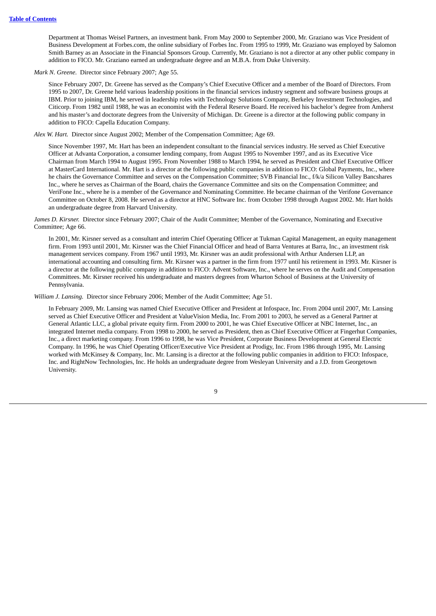Department at Thomas Weisel Partners, an investment bank. From May 2000 to September 2000, Mr. Graziano was Vice President of Business Development at Forbes.com, the online subsidiary of Forbes Inc. From 1995 to 1999, Mr. Graziano was employed by Salomon Smith Barney as an Associate in the Financial Sponsors Group. Currently, Mr. Graziano is not a director at any other public company in addition to FICO. Mr. Graziano earned an undergraduate degree and an M.B.A. from Duke University.

*Mark N. Greene.* Director since February 2007; Age 55.

Since February 2007, Dr. Greene has served as the Company's Chief Executive Officer and a member of the Board of Directors. From 1995 to 2007, Dr. Greene held various leadership positions in the financial services industry segment and software business groups at IBM. Prior to joining IBM, he served in leadership roles with Technology Solutions Company, Berkeley Investment Technologies, and Citicorp. From 1982 until 1988, he was an economist with the Federal Reserve Board. He received his bachelor's degree from Amherst and his master's and doctorate degrees from the University of Michigan. Dr. Greene is a director at the following public company in addition to FICO: Capella Education Company.

*Alex W. Hart.* Director since August 2002; Member of the Compensation Committee; Age 69.

Since November 1997, Mr. Hart has been an independent consultant to the financial services industry. He served as Chief Executive Officer at Advanta Corporation, a consumer lending company, from August 1995 to November 1997, and as its Executive Vice Chairman from March 1994 to August 1995. From November 1988 to March 1994, he served as President and Chief Executive Officer at MasterCard International. Mr. Hart is a director at the following public companies in addition to FICO: Global Payments, Inc., where he chairs the Governance Committee and serves on the Compensation Committee; SVB Financial Inc., f/k/a Silicon Valley Bancshares Inc., where he serves as Chairman of the Board, chairs the Governance Committee and sits on the Compensation Committee; and VeriFone Inc., where he is a member of the Governance and Nominating Committee. He became chairman of the Verifone Governance Committee on October 8, 2008. He served as a director at HNC Software Inc. from October 1998 through August 2002. Mr. Hart holds an undergraduate degree from Harvard University.

*James D. Kirsner.* Director since February 2007; Chair of the Audit Committee; Member of the Governance, Nominating and Executive Committee; Age 66.

In 2001, Mr. Kirsner served as a consultant and interim Chief Operating Officer at Tukman Capital Management, an equity management firm. From 1993 until 2001, Mr. Kirsner was the Chief Financial Officer and head of Barra Ventures at Barra, Inc., an investment risk management services company. From 1967 until 1993, Mr. Kirsner was an audit professional with Arthur Andersen LLP, an international accounting and consulting firm. Mr. Kirsner was a partner in the firm from 1977 until his retirement in 1993. Mr. Kirsner is a director at the following public company in addition to FICO: Advent Software, Inc., where he serves on the Audit and Compensation Committees. Mr. Kirsner received his undergraduate and masters degrees from Wharton School of Business at the University of Pennsylvania.

*William J. Lansing.* Director since February 2006; Member of the Audit Committee; Age 51.

In February 2009, Mr. Lansing was named Chief Executive Officer and President at Infospace, Inc. From 2004 until 2007, Mr. Lansing served as Chief Executive Officer and President at ValueVision Media, Inc. From 2001 to 2003, he served as a General Partner at General Atlantic LLC, a global private equity firm. From 2000 to 2001, he was Chief Executive Officer at NBC Internet, Inc., an integrated Internet media company. From 1998 to 2000, he served as President, then as Chief Executive Officer at Fingerhut Companies, Inc., a direct marketing company. From 1996 to 1998, he was Vice President, Corporate Business Development at General Electric Company. In 1996, he was Chief Operating Officer/Executive Vice President at Prodigy, Inc. From 1986 through 1995, Mr. Lansing worked with McKinsey & Company, Inc. Mr. Lansing is a director at the following public companies in addition to FICO: Infospace, Inc. and RightNow Technologies, Inc. He holds an undergraduate degree from Wesleyan University and a J.D. from Georgetown University.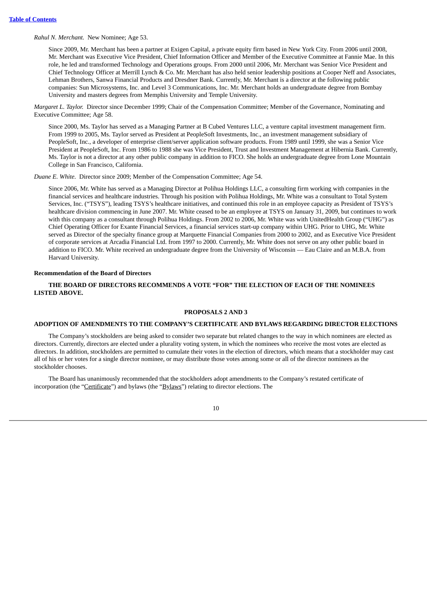*Rahul N. Merchant.* New Nominee; Age 53.

Since 2009, Mr. Merchant has been a partner at Exigen Capital, a private equity firm based in New York City. From 2006 until 2008, Mr. Merchant was Executive Vice President, Chief Information Officer and Member of the Executive Committee at Fannie Mae. In this role, he led and transformed Technology and Operations groups. From 2000 until 2006, Mr. Merchant was Senior Vice President and Chief Technology Officer at Merrill Lynch & Co. Mr. Merchant has also held senior leadership positions at Cooper Neff and Associates, Lehman Brothers, Sanwa Financial Products and Dresdner Bank. Currently, Mr. Merchant is a director at the following public companies: Sun Microsystems, Inc. and Level 3 Communications, Inc. Mr. Merchant holds an undergraduate degree from Bombay University and masters degrees from Memphis University and Temple University.

*Margaret L. Taylor.* Director since December 1999; Chair of the Compensation Committee; Member of the Governance, Nominating and Executive Committee; Age 58.

Since 2000, Ms. Taylor has served as a Managing Partner at B Cubed Ventures LLC, a venture capital investment management firm. From 1999 to 2005, Ms. Taylor served as President at PeopleSoft Investments, Inc., an investment management subsidiary of PeopleSoft, Inc., a developer of enterprise client/server application software products. From 1989 until 1999, she was a Senior Vice President at PeopleSoft, Inc. From 1986 to 1988 she was Vice President, Trust and Investment Management at Hibernia Bank. Currently, Ms. Taylor is not a director at any other public company in addition to FICO. She holds an undergraduate degree from Lone Mountain College in San Francisco, California.

*Duane E. White.* Director since 2009; Member of the Compensation Committee; Age 54.

Since 2006, Mr. White has served as a Managing Director at Polihua Holdings LLC, a consulting firm working with companies in the financial services and healthcare industries. Through his position with Polihua Holdings, Mr. White was a consultant to Total System Services, Inc. ("TSYS"), leading TSYS's healthcare initiatives, and continued this role in an employee capacity as President of TSYS's healthcare division commencing in June 2007. Mr. White ceased to be an employee at TSYS on January 31, 2009, but continues to work with this company as a consultant through Polihua Holdings. From 2002 to 2006, Mr. White was with UnitedHealth Group ("UHG") as Chief Operating Officer for Exante Financial Services, a financial services start-up company within UHG. Prior to UHG, Mr. White served as Director of the specialty finance group at Marquette Financial Companies from 2000 to 2002, and as Executive Vice President of corporate services at Arcadia Financial Ltd. from 1997 to 2000. Currently, Mr. White does not serve on any other public board in addition to FICO. Mr. White received an undergraduate degree from the University of Wisconsin — Eau Claire and an M.B.A. from Harvard University.

#### **Recommendation of the Board of Directors**

#### <span id="page-14-0"></span>**THE BOARD OF DIRECTORS RECOMMENDS A VOTE "FOR" THE ELECTION OF EACH OF THE NOMINEES LISTED ABOVE.**

#### **PROPOSALS 2 AND 3**

#### **ADOPTION OF AMENDMENTS TO THE COMPANY'S CERTIFICATE AND BYLAWS REGARDING DIRECTOR ELECTIONS**

The Company's stockholders are being asked to consider two separate but related changes to the way in which nominees are elected as directors. Currently, directors are elected under a plurality voting system, in which the nominees who receive the most votes are elected as directors. In addition, stockholders are permitted to cumulate their votes in the election of directors, which means that a stockholder may cast all of his or her votes for a single director nominee, or may distribute those votes among some or all of the director nominees as the stockholder chooses.

The Board has unanimously recommended that the stockholders adopt amendments to the Company's restated certificate of incorporation (the "Certificate") and bylaws (the "Bylaws") relating to director elections. The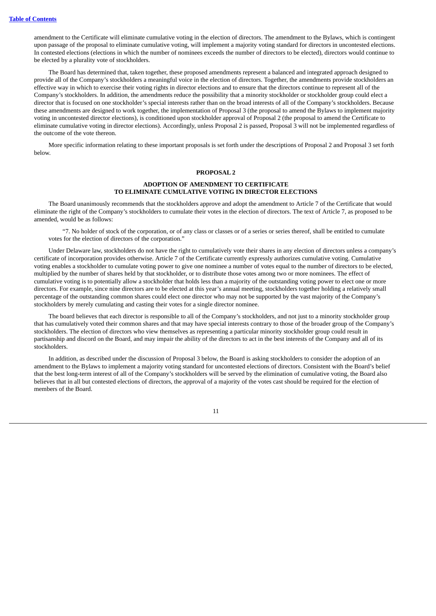amendment to the Certificate will eliminate cumulative voting in the election of directors. The amendment to the Bylaws, which is contingent upon passage of the proposal to eliminate cumulative voting, will implement a majority voting standard for directors in uncontested elections. In contested elections (elections in which the number of nominees exceeds the number of directors to be elected), directors would continue to be elected by a plurality vote of stockholders.

The Board has determined that, taken together, these proposed amendments represent a balanced and integrated approach designed to provide all of the Company's stockholders a meaningful voice in the election of directors. Together, the amendments provide stockholders an effective way in which to exercise their voting rights in director elections and to ensure that the directors continue to represent all of the Company's stockholders. In addition, the amendments reduce the possibility that a minority stockholder or stockholder group could elect a director that is focused on one stockholder's special interests rather than on the broad interests of all of the Company's stockholders. Because these amendments are designed to work together, the implementation of Proposal 3 (the proposal to amend the Bylaws to implement majority voting in uncontested director elections), is conditioned upon stockholder approval of Proposal 2 (the proposal to amend the Certificate to eliminate cumulative voting in director elections). Accordingly, unless Proposal 2 is passed, Proposal 3 will not be implemented regardless of the outcome of the vote thereon.

<span id="page-15-0"></span>More specific information relating to these important proposals is set forth under the descriptions of Proposal 2 and Proposal 3 set forth below.

#### **PROPOSAL 2**

#### **ADOPTION OF AMENDMENT TO CERTIFICATE TO ELIMINATE CUMULATIVE VOTING IN DIRECTOR ELECTIONS**

The Board unanimously recommends that the stockholders approve and adopt the amendment to Article 7 of the Certificate that would eliminate the right of the Company's stockholders to cumulate their votes in the election of directors. The text of Article 7, as proposed to be amended, would be as follows:

"7. No holder of stock of the corporation, or of any class or classes or of a series or series thereof, shall be entitled to cumulate votes for the election of directors of the corporation."

Under Delaware law, stockholders do not have the right to cumulatively vote their shares in any election of directors unless a company's certificate of incorporation provides otherwise. Article 7 of the Certificate currently expressly authorizes cumulative voting. Cumulative voting enables a stockholder to cumulate voting power to give one nominee a number of votes equal to the number of directors to be elected, multiplied by the number of shares held by that stockholder, or to distribute those votes among two or more nominees. The effect of cumulative voting is to potentially allow a stockholder that holds less than a majority of the outstanding voting power to elect one or more directors. For example, since nine directors are to be elected at this year's annual meeting, stockholders together holding a relatively small percentage of the outstanding common shares could elect one director who may not be supported by the vast majority of the Company's stockholders by merely cumulating and casting their votes for a single director nominee.

The board believes that each director is responsible to all of the Company's stockholders, and not just to a minority stockholder group that has cumulatively voted their common shares and that may have special interests contrary to those of the broader group of the Company's stockholders. The election of directors who view themselves as representing a particular minority stockholder group could result in partisanship and discord on the Board, and may impair the ability of the directors to act in the best interests of the Company and all of its stockholders.

In addition, as described under the discussion of Proposal 3 below, the Board is asking stockholders to consider the adoption of an amendment to the Bylaws to implement a majority voting standard for uncontested elections of directors. Consistent with the Board's belief that the best long-term interest of all of the Company's stockholders will be served by the elimination of cumulative voting, the Board also believes that in all but contested elections of directors, the approval of a majority of the votes cast should be required for the election of members of the Board.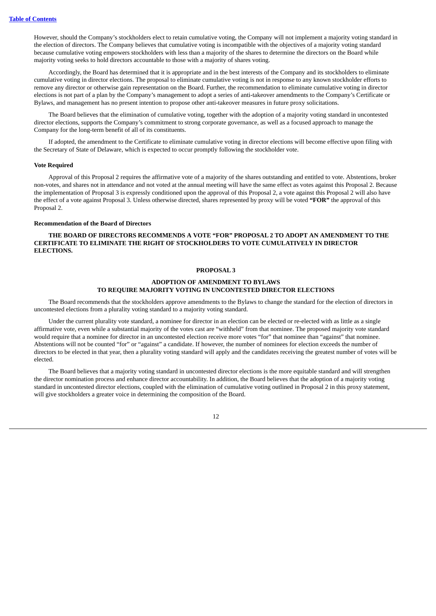However, should the Company's stockholders elect to retain cumulative voting, the Company will not implement a majority voting standard in the election of directors. The Company believes that cumulative voting is incompatible with the objectives of a majority voting standard because cumulative voting empowers stockholders with less than a majority of the shares to determine the directors on the Board while majority voting seeks to hold directors accountable to those with a majority of shares voting.

Accordingly, the Board has determined that it is appropriate and in the best interests of the Company and its stockholders to eliminate cumulative voting in director elections. The proposal to eliminate cumulative voting is not in response to any known stockholder efforts to remove any director or otherwise gain representation on the Board. Further, the recommendation to eliminate cumulative voting in director elections is not part of a plan by the Company's management to adopt a series of anti-takeover amendments to the Company's Certificate or Bylaws, and management has no present intention to propose other anti-takeover measures in future proxy solicitations.

The Board believes that the elimination of cumulative voting, together with the adoption of a majority voting standard in uncontested director elections, supports the Company's commitment to strong corporate governance, as well as a focused approach to manage the Company for the long-term benefit of all of its constituents.

If adopted, the amendment to the Certificate to eliminate cumulative voting in director elections will become effective upon filing with the Secretary of State of Delaware, which is expected to occur promptly following the stockholder vote.

#### **Vote Required**

Approval of this Proposal 2 requires the affirmative vote of a majority of the shares outstanding and entitled to vote. Abstentions, broker non-votes, and shares not in attendance and not voted at the annual meeting will have the same effect as votes against this Proposal 2. Because the implementation of Proposal 3 is expressly conditioned upon the approval of this Proposal 2, a vote against this Proposal 2 will also have the effect of a vote against Proposal 3. Unless otherwise directed, shares represented by proxy will be voted **"FOR"** the approval of this Proposal 2.

#### **Recommendation of the Board of Directors**

#### <span id="page-16-0"></span>**THE BOARD OF DIRECTORS RECOMMENDS A VOTE "FOR" PROPOSAL 2 TO ADOPT AN AMENDMENT TO THE CERTIFICATE TO ELIMINATE THE RIGHT OF STOCKHOLDERS TO VOTE CUMULATIVELY IN DIRECTOR ELECTIONS.**

#### **PROPOSAL 3**

#### **ADOPTION OF AMENDMENT TO BYLAWS TO REQUIRE MAJORITY VOTING IN UNCONTESTED DIRECTOR ELECTIONS**

The Board recommends that the stockholders approve amendments to the Bylaws to change the standard for the election of directors in uncontested elections from a plurality voting standard to a majority voting standard.

Under the current plurality vote standard, a nominee for director in an election can be elected or re-elected with as little as a single affirmative vote, even while a substantial majority of the votes cast are "withheld" from that nominee. The proposed majority vote standard would require that a nominee for director in an uncontested election receive more votes "for" that nominee than "against" that nominee. Abstentions will not be counted "for" or "against" a candidate. If however, the number of nominees for election exceeds the number of directors to be elected in that year, then a plurality voting standard will apply and the candidates receiving the greatest number of votes will be elected.

The Board believes that a majority voting standard in uncontested director elections is the more equitable standard and will strengthen the director nomination process and enhance director accountability. In addition, the Board believes that the adoption of a majority voting standard in uncontested director elections, coupled with the elimination of cumulative voting outlined in Proposal 2 in this proxy statement, will give stockholders a greater voice in determining the composition of the Board.

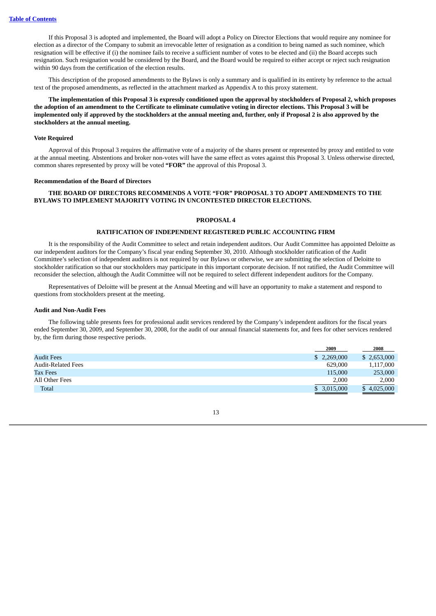If this Proposal 3 is adopted and implemented, the Board will adopt a Policy on Director Elections that would require any nominee for election as a director of the Company to submit an irrevocable letter of resignation as a condition to being named as such nominee, which resignation will be effective if (i) the nominee fails to receive a sufficient number of votes to be elected and (ii) the Board accepts such resignation. Such resignation would be considered by the Board, and the Board would be required to either accept or reject such resignation within 90 days from the certification of the election results.

This description of the proposed amendments to the Bylaws is only a summary and is qualified in its entirety by reference to the actual text of the proposed amendments, as reflected in the attachment marked as Appendix A to this proxy statement.

#### The implementation of this Proposal 3 is expressly conditioned upon the approval by stockholders of Proposal 2, which proposes the adoption of an amendment to the Certificate to eliminate cumulative voting in director elections. This Proposal 3 will be implemented only if approved by the stockholders at the annual meeting and, further, only if Proposal 2 is also approved by the **stockholders at the annual meeting.**

#### **Vote Required**

Approval of this Proposal 3 requires the affirmative vote of a majority of the shares present or represented by proxy and entitled to vote at the annual meeting. Abstentions and broker non-votes will have the same effect as votes against this Proposal 3. Unless otherwise directed, common shares represented by proxy will be voted **"FOR"** the approval of this Proposal 3.

#### **Recommendation of the Board of Directors**

#### <span id="page-17-0"></span>**THE BOARD OF DIRECTORS RECOMMENDS A VOTE "FOR" PROPOSAL 3 TO ADOPT AMENDMENTS TO THE BYLAWS TO IMPLEMENT MAJORITY VOTING IN UNCONTESTED DIRECTOR ELECTIONS.**

#### **PROPOSAL 4**

#### **RATIFICATION OF INDEPENDENT REGISTERED PUBLIC ACCOUNTING FIRM**

<span id="page-17-1"></span>It is the responsibility of the Audit Committee to select and retain independent auditors. Our Audit Committee has appointed Deloitte as our independent auditors for the Company's fiscal year ending September 30, 2010. Although stockholder ratification of the Audit Committee's selection of independent auditors is not required by our Bylaws or otherwise, we are submitting the selection of Deloitte to stockholder ratification so that our stockholders may participate in this important corporate decision. If not ratified, the Audit Committee will reconsider the selection, although the Audit Committee will not be required to select different independent auditors for the Company.

Representatives of Deloitte will be present at the Annual Meeting and will have an opportunity to make a statement and respond to questions from stockholders present at the meeting.

#### **Audit and Non-Audit Fees**

The following table presents fees for professional audit services rendered by the Company's independent auditors for the fiscal years ended September 30, 2009, and September 30, 2008, for the audit of our annual financial statements for, and fees for other services rendered by, the firm during those respective periods.

|                           | 2009        | 2008        |
|---------------------------|-------------|-------------|
| <b>Audit Fees</b>         | \$2,269,000 | \$2,653,000 |
| <b>Audit-Related Fees</b> | 629,000     | 1,117,000   |
| <b>Tax Fees</b>           | 115,000     | 253,000     |
| All Other Fees            | 2,000       | 2,000       |
| Total                     | \$3,015,000 | \$4,025,000 |
|                           |             |             |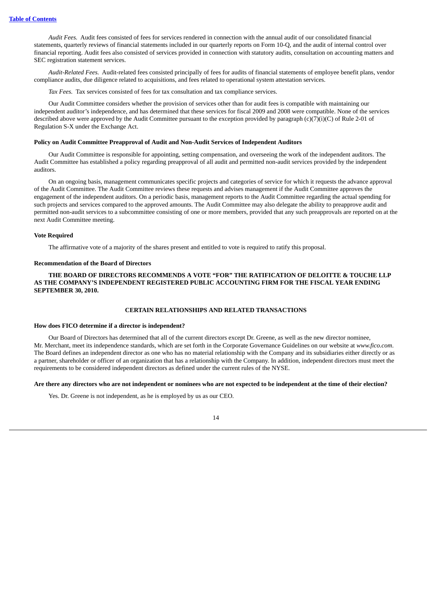*Audit Fees.* Audit fees consisted of fees for services rendered in connection with the annual audit of our consolidated financial statements, quarterly reviews of financial statements included in our quarterly reports on Form 10-Q, and the audit of internal control over financial reporting. Audit fees also consisted of services provided in connection with statutory audits, consultation on accounting matters and SEC registration statement services.

*Audit-Related Fees.* Audit-related fees consisted principally of fees for audits of financial statements of employee benefit plans, vendor compliance audits, due diligence related to acquisitions, and fees related to operational system attestation services.

*Tax Fees.* Tax services consisted of fees for tax consultation and tax compliance services.

Our Audit Committee considers whether the provision of services other than for audit fees is compatible with maintaining our independent auditor's independence, and has determined that these services for fiscal 2009 and 2008 were compatible. None of the services described above were approved by the Audit Committee pursuant to the exception provided by paragraph (c)(7)(i)(C) of Rule 2-01 of Regulation S-X under the Exchange Act.

#### **Policy on Audit Committee Preapproval of Audit and Non-Audit Services of Independent Auditors**

Our Audit Committee is responsible for appointing, setting compensation, and overseeing the work of the independent auditors. The Audit Committee has established a policy regarding preapproval of all audit and permitted non-audit services provided by the independent auditors.

On an ongoing basis, management communicates specific projects and categories of service for which it requests the advance approval of the Audit Committee. The Audit Committee reviews these requests and advises management if the Audit Committee approves the engagement of the independent auditors. On a periodic basis, management reports to the Audit Committee regarding the actual spending for such projects and services compared to the approved amounts. The Audit Committee may also delegate the ability to preapprove audit and permitted non-audit services to a subcommittee consisting of one or more members, provided that any such preapprovals are reported on at the next Audit Committee meeting.

#### **Vote Required**

The affirmative vote of a majority of the shares present and entitled to vote is required to ratify this proposal.

#### **Recommendation of the Board of Directors**

<span id="page-18-0"></span>**THE BOARD OF DIRECTORS RECOMMENDS A VOTE "FOR" THE RATIFICATION OF DELOITTE & TOUCHE LLP AS THE COMPANY'S INDEPENDENT REGISTERED PUBLIC ACCOUNTING FIRM FOR THE FISCAL YEAR ENDING SEPTEMBER 30, 2010.**

#### **CERTAIN RELATIONSHIPS AND RELATED TRANSACTIONS**

#### **How does FICO determine if a director is independent?**

Our Board of Directors has determined that all of the current directors except Dr. Greene, as well as the new director nominee, Mr. Merchant, meet its independence standards, which are set forth in the Corporate Governance Guidelines on our website at *www.fico.com*. The Board defines an independent director as one who has no material relationship with the Company and its subsidiaries either directly or as a partner, shareholder or officer of an organization that has a relationship with the Company. In addition, independent directors must meet the requirements to be considered independent directors as defined under the current rules of the NYSE.

#### Are there any directors who are not independent or nominees who are not expected to be independent at the time of their election?

Yes. Dr. Greene is not independent, as he is employed by us as our CEO.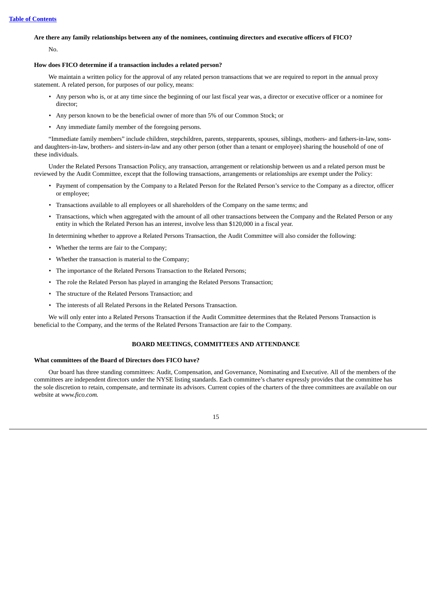#### Are there any family relationships between any of the nominees, continuing directors and executive officers of FICO?

No.

#### **How does FICO determine if a transaction includes a related person?**

We maintain a written policy for the approval of any related person transactions that we are required to report in the annual proxy statement. A related person, for purposes of our policy, means:

- Any person who is, or at any time since the beginning of our last fiscal year was, a director or executive officer or a nominee for director;
- Any person known to be the beneficial owner of more than 5% of our Common Stock; or
- Any immediate family member of the foregoing persons.

"Immediate family members" include children, stepchildren, parents, stepparents, spouses, siblings, mothers- and fathers-in-law, sonsand daughters-in-law, brothers- and sisters-in-law and any other person (other than a tenant or employee) sharing the household of one of these individuals.

Under the Related Persons Transaction Policy, any transaction, arrangement or relationship between us and a related person must be reviewed by the Audit Committee, except that the following transactions, arrangements or relationships are exempt under the Policy:

- Payment of compensation by the Company to a Related Person for the Related Person's service to the Company as a director, officer or employee;
- Transactions available to all employees or all shareholders of the Company on the same terms; and
- Transactions, which when aggregated with the amount of all other transactions between the Company and the Related Person or any entity in which the Related Person has an interest, involve less than \$120,000 in a fiscal year.

In determining whether to approve a Related Persons Transaction, the Audit Committee will also consider the following:

- Whether the terms are fair to the Company;
- Whether the transaction is material to the Company;
- The importance of the Related Persons Transaction to the Related Persons;
- The role the Related Person has played in arranging the Related Persons Transaction;
- The structure of the Related Persons Transaction; and
- The interests of all Related Persons in the Related Persons Transaction.

<span id="page-19-0"></span>We will only enter into a Related Persons Transaction if the Audit Committee determines that the Related Persons Transaction is beneficial to the Company, and the terms of the Related Persons Transaction are fair to the Company.

#### **BOARD MEETINGS, COMMITTEES AND ATTENDANCE**

#### **What committees of the Board of Directors does FICO have?**

Our board has three standing committees: Audit, Compensation, and Governance, Nominating and Executive. All of the members of the committees are independent directors under the NYSE listing standards. Each committee's charter expressly provides that the committee has the sole discretion to retain, compensate, and terminate its advisors. Current copies of the charters of the three committees are available on our website at *www.fico.com.*

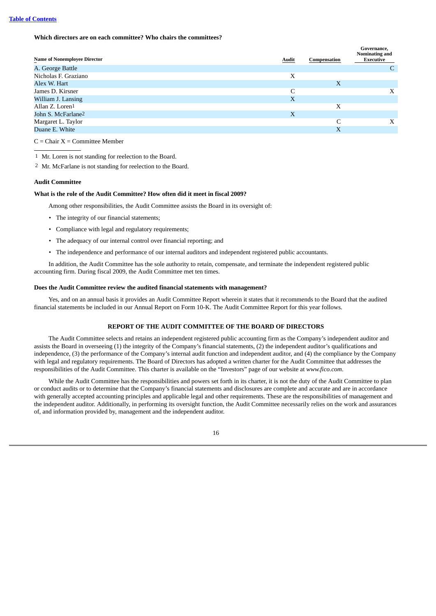**Which directors are on each committee? Who chairs the committees?**

| <b>Name of Nonemployee Director</b> | Audit | Compensation | Governance.<br>Nominating and<br>Executive |
|-------------------------------------|-------|--------------|--------------------------------------------|
| A. George Battle                    |       |              | C                                          |
| Nicholas F. Graziano                | Х     |              |                                            |
| Alex W. Hart                        |       | X            |                                            |
| James D. Kirsner                    | C     |              | X                                          |
| William J. Lansing                  | X     |              |                                            |
| Allan Z. Loren1                     |       | Х            |                                            |
| John S. McFarlane <sup>2</sup>      | X     |              |                                            |
| Margaret L. Taylor                  |       |              | X                                          |
| Duane E. White                      |       | X            |                                            |

 $C =$ Chair  $X =$ Committee Member

1 Mr. Loren is not standing for reelection to the Board.

2 Mr. McFarlane is not standing for reelection to the Board.

#### **Audit Committee**

#### **What is the role of the Audit Committee? How often did it meet in fiscal 2009?**

Among other responsibilities, the Audit Committee assists the Board in its oversight of:

- The integrity of our financial statements;
- Compliance with legal and regulatory requirements;
- The adequacy of our internal control over financial reporting; and
- The independence and performance of our internal auditors and independent registered public accountants.

In addition, the Audit Committee has the sole authority to retain, compensate, and terminate the independent registered public accounting firm. During fiscal 2009, the Audit Committee met ten times.

#### **Does the Audit Committee review the audited financial statements with management?**

<span id="page-20-0"></span>Yes, and on an annual basis it provides an Audit Committee Report wherein it states that it recommends to the Board that the audited financial statements be included in our Annual Report on Form 10-K. The Audit Committee Report for this year follows.

#### **REPORT OF THE AUDIT COMMITTEE OF THE BOARD OF DIRECTORS**

The Audit Committee selects and retains an independent registered public accounting firm as the Company's independent auditor and assists the Board in overseeing (1) the integrity of the Company's financial statements, (2) the independent auditor's qualifications and independence, (3) the performance of the Company's internal audit function and independent auditor, and (4) the compliance by the Company with legal and regulatory requirements. The Board of Directors has adopted a written charter for the Audit Committee that addresses the responsibilities of the Audit Committee. This charter is available on the "Investors" page of our website at *www.fico.com*.

While the Audit Committee has the responsibilities and powers set forth in its charter, it is not the duty of the Audit Committee to plan or conduct audits or to determine that the Company's financial statements and disclosures are complete and accurate and are in accordance with generally accepted accounting principles and applicable legal and other requirements. These are the responsibilities of management and the independent auditor. Additionally, in performing its oversight function, the Audit Committee necessarily relies on the work and assurances of, and information provided by, management and the independent auditor.

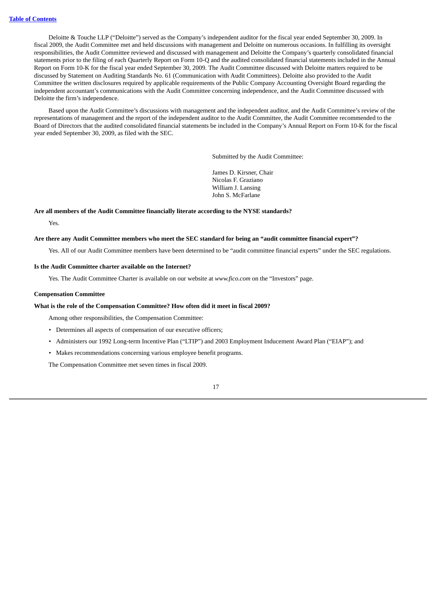Deloitte & Touche LLP ("Deloitte") served as the Company's independent auditor for the fiscal year ended September 30, 2009. In fiscal 2009, the Audit Committee met and held discussions with management and Deloitte on numerous occasions. In fulfilling its oversight responsibilities, the Audit Committee reviewed and discussed with management and Deloitte the Company's quarterly consolidated financial statements prior to the filing of each Quarterly Report on Form 10-Q and the audited consolidated financial statements included in the Annual Report on Form 10-K for the fiscal year ended September 30, 2009. The Audit Committee discussed with Deloitte matters required to be discussed by Statement on Auditing Standards No. 61 (Communication with Audit Committees). Deloitte also provided to the Audit Committee the written disclosures required by applicable requirements of the Public Company Accounting Oversight Board regarding the independent accountant's communications with the Audit Committee concerning independence, and the Audit Committee discussed with Deloitte the firm's independence.

Based upon the Audit Committee's discussions with management and the independent auditor, and the Audit Committee's review of the representations of management and the report of the independent auditor to the Audit Committee, the Audit Committee recommended to the Board of Directors that the audited consolidated financial statements be included in the Company's Annual Report on Form 10-K for the fiscal year ended September 30, 2009, as filed with the SEC.

Submitted by the Audit Committee:

James D. Kirsner, Chair Nicolas F. Graziano William J. Lansing John S. McFarlane

#### **Are all members of the Audit Committee financially literate according to the NYSE standards?**

Yes.

#### Are there any Audit Committee members who meet the SEC standard for being an "audit committee financial expert"?

Yes. All of our Audit Committee members have been determined to be "audit committee financial experts" under the SEC regulations.

#### **Is the Audit Committee charter available on the Internet?**

Yes. The Audit Committee Charter is available on our website at *www.fico.com* on the "Investors" page.

#### **Compensation Committee**

#### **What is the role of the Compensation Committee? How often did it meet in fiscal 2009?**

Among other responsibilities, the Compensation Committee:

- Determines all aspects of compensation of our executive officers;
- Administers our 1992 Long-term Incentive Plan ("LTIP") and 2003 Employment Inducement Award Plan ("EIAP"); and
- Makes recommendations concerning various employee benefit programs.

The Compensation Committee met seven times in fiscal 2009.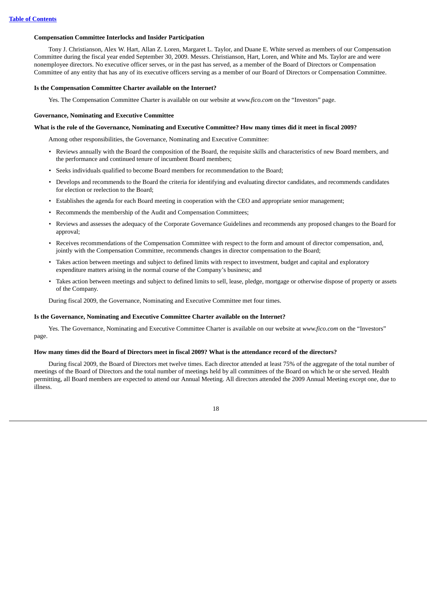#### **Compensation Committee Interlocks and Insider Participation**

Tony J. Christianson, Alex W. Hart, Allan Z. Loren, Margaret L. Taylor, and Duane E. White served as members of our Compensation Committee during the fiscal year ended September 30, 2009. Messrs. Christianson, Hart, Loren, and White and Ms. Taylor are and were nonemployee directors. No executive officer serves, or in the past has served, as a member of the Board of Directors or Compensation Committee of any entity that has any of its executive officers serving as a member of our Board of Directors or Compensation Committee.

#### **Is the Compensation Committee Charter available on the Internet?**

Yes. The Compensation Committee Charter is available on our website at *www.fico.com* on the "Investors" page.

#### **Governance, Nominating and Executive Committee**

#### What is the role of the Governance, Nominating and Executive Committee? How many times did it meet in fiscal 2009?

Among other responsibilities, the Governance, Nominating and Executive Committee:

- Reviews annually with the Board the composition of the Board, the requisite skills and characteristics of new Board members, and the performance and continued tenure of incumbent Board members;
- Seeks individuals qualified to become Board members for recommendation to the Board;
- Develops and recommends to the Board the criteria for identifying and evaluating director candidates, and recommends candidates for election or reelection to the Board;
- Establishes the agenda for each Board meeting in cooperation with the CEO and appropriate senior management;
- Recommends the membership of the Audit and Compensation Committees;
- Reviews and assesses the adequacy of the Corporate Governance Guidelines and recommends any proposed changes to the Board for approval;
- Receives recommendations of the Compensation Committee with respect to the form and amount of director compensation, and, jointly with the Compensation Committee, recommends changes in director compensation to the Board;
- Takes action between meetings and subject to defined limits with respect to investment, budget and capital and exploratory expenditure matters arising in the normal course of the Company's business; and
- Takes action between meetings and subject to defined limits to sell, lease, pledge, mortgage or otherwise dispose of property or assets of the Company.

During fiscal 2009, the Governance, Nominating and Executive Committee met four times.

#### **Is the Governance, Nominating and Executive Committee Charter available on the Internet?**

Yes. The Governance, Nominating and Executive Committee Charter is available on our website at *www.fico.com* on the "Investors" page.

#### How many times did the Board of Directors meet in fiscal 2009? What is the attendance record of the directors?

During fiscal 2009, the Board of Directors met twelve times. Each director attended at least 75% of the aggregate of the total number of meetings of the Board of Directors and the total number of meetings held by all committees of the Board on which he or she served. Health permitting, all Board members are expected to attend our Annual Meeting. All directors attended the 2009 Annual Meeting except one, due to illness.

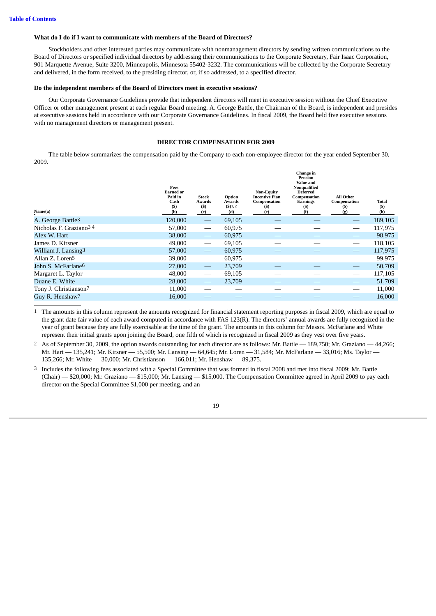#### **What do I do if I want to communicate with members of the Board of Directors?**

Stockholders and other interested parties may communicate with nonmanagement directors by sending written communications to the Board of Directors or specified individual directors by addressing their communications to the Corporate Secretary, Fair Isaac Corporation, 901 Marquette Avenue, Suite 3200, Minneapolis, Minnesota 55402-3232. The communications will be collected by the Corporate Secretary and delivered, in the form received, to the presiding director, or, if so addressed, to a specified director.

#### **Do the independent members of the Board of Directors meet in executive sessions?**

Our Corporate Governance Guidelines provide that independent directors will meet in executive session without the Chief Executive Officer or other management present at each regular Board meeting. A. George Battle, the Chairman of the Board, is independent and presides at executive sessions held in accordance with our Corporate Governance Guidelines. In fiscal 2009, the Board held five executive sessions with no management directors or management present.

#### **DIRECTOR COMPENSATION FOR 2009**

<span id="page-23-0"></span>The table below summarizes the compensation paid by the Company to each non-employee director for the year ended September 30, 2009.

| Name(a)                            | Fees<br><b>Earned or</b><br>Paid in<br>Cash<br>$($)$<br>(b) | <b>Stock</b><br>Awards<br>$(s)$<br>(c) | Option<br>Awards<br>$($ \$)1, 2<br>(d) | <b>Non-Equity</b><br><b>Incentive Plan</b><br>Compensation<br>(S)<br>(e) | Change in<br>Pension<br>Value and<br>Nonqualified<br><b>Deferred</b><br>Compensation<br>Earnings<br>(S)<br>(f) | <b>All Other</b><br>Compensation<br>(S)<br>(g) | Total<br>(\$)<br>(h) |
|------------------------------------|-------------------------------------------------------------|----------------------------------------|----------------------------------------|--------------------------------------------------------------------------|----------------------------------------------------------------------------------------------------------------|------------------------------------------------|----------------------|
| A. George Battle <sup>3</sup>      | 120,000                                                     | $\hspace{0.1mm}-\hspace{0.1mm}$        | 69,105                                 |                                                                          |                                                                                                                | $\overline{\phantom{m}}$                       | 189,105              |
| Nicholas F. Graziano <sup>34</sup> | 57,000                                                      |                                        | 60,975                                 |                                                                          |                                                                                                                |                                                | 117,975              |
| Alex W. Hart                       | 38,000                                                      | $\overline{\phantom{m}}$               | 60,975                                 |                                                                          |                                                                                                                |                                                | 98,975               |
| James D. Kirsner                   | 49,000                                                      | $\hspace{0.05cm}$                      | 69,105                                 |                                                                          |                                                                                                                |                                                | 118,105              |
| William J. Lansing3                | 57,000                                                      | $\overline{\phantom{m}}$               | 60,975                                 |                                                                          |                                                                                                                |                                                | 117,975              |
| Allan Z. Loren <sup>5</sup>        | 39,000                                                      | $\hspace{0.05cm}$                      | 60,975                                 |                                                                          |                                                                                                                |                                                | 99,975               |
| John S. McFarlane <sup>6</sup>     | 27,000                                                      |                                        | 23,709                                 |                                                                          |                                                                                                                |                                                | 50,709               |
| Margaret L. Taylor                 | 48,000                                                      | $\overbrace{\hspace{27mm}}$            | 69,105                                 |                                                                          |                                                                                                                | $\overline{\phantom{0}}$                       | 117,105              |
| Duane E. White                     | 28,000                                                      | $\hspace{0.05cm}$                      | 23,709                                 |                                                                          |                                                                                                                | $\overline{\phantom{0}}$                       | 51,709               |
| Tony J. Christianson7              | 11,000                                                      |                                        |                                        |                                                                          |                                                                                                                |                                                | 11,000               |
| Guy R. Henshaw <sup>7</sup>        | 16.000                                                      |                                        |                                        |                                                                          |                                                                                                                |                                                | 16,000               |
|                                    |                                                             |                                        |                                        |                                                                          |                                                                                                                |                                                |                      |

1 The amounts in this column represent the amounts recognized for financial statement reporting purposes in fiscal 2009, which are equal to the grant date fair value of each award computed in accordance with FAS 123(R). The directors' annual awards are fully recognized in the year of grant because they are fully exercisable at the time of the grant. The amounts in this column for Messrs. McFarlane and White represent their initial grants upon joining the Board, one fifth of which is recognized in fiscal 2009 as they vest over five years.

2 As of September 30, 2009, the option awards outstanding for each director are as follows: Mr. Battle — 189,750; Mr. Graziano — 44,266; Mr. Hart — 135,241; Mr. Kirsner — 55,500; Mr. Lansing — 64,645; Mr. Loren — 31,584; Mr. McFarlane — 33,016; Ms. Taylor — 135,266; Mr. White — 30,000; Mr. Christianson — 166,011; Mr. Henshaw — 89,375.

3 Includes the following fees associated with a Special Committee that was formed in fiscal 2008 and met into fiscal 2009: Mr. Battle (Chair) — \$20,000; Mr. Graziano — \$15,000; Mr. Lansing — \$15,000. The Compensation Committee agreed in April 2009 to pay each director on the Special Committee \$1,000 per meeting, and an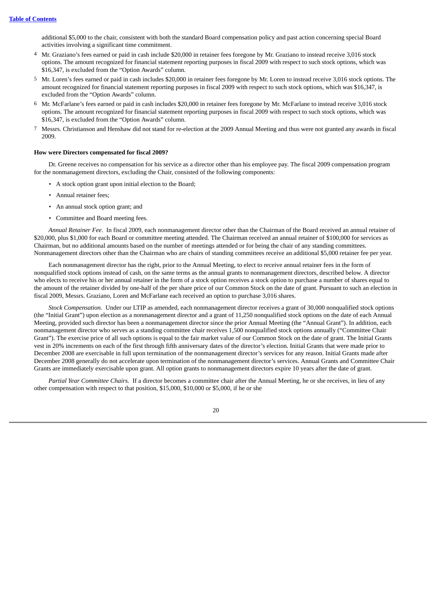additional \$5,000 to the chair, consistent with both the standard Board compensation policy and past action concerning special Board activities involving a significant time commitment.

- 4 Mr. Graziano's fees earned or paid in cash include \$20,000 in retainer fees foregone by Mr. Graziano to instead receive 3,016 stock options. The amount recognized for financial statement reporting purposes in fiscal 2009 with respect to such stock options, which was \$16,347, is excluded from the "Option Awards" column.
- 5 Mr. Loren's fees earned or paid in cash includes \$20,000 in retainer fees foregone by Mr. Loren to instead receive 3,016 stock options. The amount recognized for financial statement reporting purposes in fiscal 2009 with respect to such stock options, which was \$16,347, is excluded from the "Option Awards" column.
- 6 Mr. McFarlane's fees earned or paid in cash includes \$20,000 in retainer fees foregone by Mr. McFarlane to instead receive 3,016 stock options. The amount recognized for financial statement reporting purposes in fiscal 2009 with respect to such stock options, which was \$16,347, is excluded from the "Option Awards" column.
- 7 Messrs. Christianson and Henshaw did not stand for re-election at the 2009 Annual Meeting and thus were not granted any awards in fiscal 2009.

#### **How were Directors compensated for fiscal 2009?**

Dr. Greene receives no compensation for his service as a director other than his employee pay. The fiscal 2009 compensation program for the nonmanagement directors, excluding the Chair, consisted of the following components:

- A stock option grant upon initial election to the Board;
- Annual retainer fees;
- An annual stock option grant; and
- Committee and Board meeting fees.

*Annual Retainer Fee.* In fiscal 2009, each nonmanagement director other than the Chairman of the Board received an annual retainer of \$20,000, plus \$1,000 for each Board or committee meeting attended. The Chairman received an annual retainer of \$100,000 for services as Chairman, but no additional amounts based on the number of meetings attended or for being the chair of any standing committees. Nonmanagement directors other than the Chairman who are chairs of standing committees receive an additional \$5,000 retainer fee per year.

Each nonmanagement director has the right, prior to the Annual Meeting, to elect to receive annual retainer fees in the form of nonqualified stock options instead of cash, on the same terms as the annual grants to nonmanagement directors, described below. A director who elects to receive his or her annual retainer in the form of a stock option receives a stock option to purchase a number of shares equal to the amount of the retainer divided by one-half of the per share price of our Common Stock on the date of grant. Pursuant to such an election in fiscal 2009, Messrs. Graziano, Loren and McFarlane each received an option to purchase 3,016 shares.

*Stock Compensation.* Under our LTIP as amended, each nonmanagement director receives a grant of 30,000 nonqualified stock options (the "Initial Grant") upon election as a nonmanagement director and a grant of 11,250 nonqualified stock options on the date of each Annual Meeting, provided such director has been a nonmanagement director since the prior Annual Meeting (the "Annual Grant"). In addition, each nonmanagement director who serves as a standing committee chair receives 1,500 nonqualified stock options annually ("Committee Chair Grant"). The exercise price of all such options is equal to the fair market value of our Common Stock on the date of grant. The Initial Grants vest in 20% increments on each of the first through fifth anniversary dates of the director's election. Initial Grants that were made prior to December 2008 are exercisable in full upon termination of the nonmanagement director's services for any reason. Initial Grants made after December 2008 generally do not accelerate upon termination of the nonmanagement director's services. Annual Grants and Committee Chair Grants are immediately exercisable upon grant. All option grants to nonmanagement directors expire 10 years after the date of grant.

*Partial Year Committee Chairs.* If a director becomes a committee chair after the Annual Meeting, he or she receives, in lieu of any other compensation with respect to that position, \$15,000, \$10,000 or \$5,000, if he or she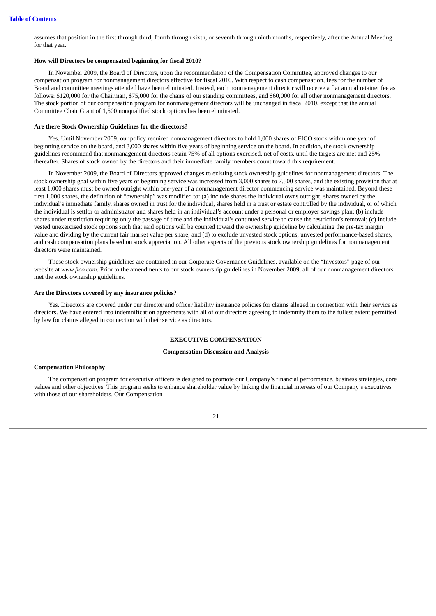assumes that position in the first through third, fourth through sixth, or seventh through ninth months, respectively, after the Annual Meeting for that year.

#### **How will Directors be compensated beginning for fiscal 2010?**

In November 2009, the Board of Directors, upon the recommendation of the Compensation Committee, approved changes to our compensation program for nonmanagement directors effective for fiscal 2010. With respect to cash compensation, fees for the number of Board and committee meetings attended have been eliminated. Instead, each nonmanagement director will receive a flat annual retainer fee as follows: \$120,000 for the Chairman, \$75,000 for the chairs of our standing committees, and \$60,000 for all other nonmanagement directors. The stock portion of our compensation program for nonmanagement directors will be unchanged in fiscal 2010, except that the annual Committee Chair Grant of 1,500 nonqualified stock options has been eliminated.

#### **Are there Stock Ownership Guidelines for the directors?**

Yes. Until November 2009, our policy required nonmanagement directors to hold 1,000 shares of FICO stock within one year of beginning service on the board, and 3,000 shares within five years of beginning service on the board. In addition, the stock ownership guidelines recommend that nonmanagement directors retain 75% of all options exercised, net of costs, until the targets are met and 25% thereafter. Shares of stock owned by the directors and their immediate family members count toward this requirement.

In November 2009, the Board of Directors approved changes to existing stock ownership guidelines for nonmanagement directors. The stock ownership goal within five years of beginning service was increased from 3,000 shares to 7,500 shares, and the existing provision that at least 1,000 shares must be owned outright within one-year of a nonmanagement director commencing service was maintained. Beyond these first 1,000 shares, the definition of "ownership" was modified to: (a) include shares the individual owns outright, shares owned by the individual's immediate family, shares owned in trust for the individual, shares held in a trust or estate controlled by the individual, or of which the individual is settlor or administrator and shares held in an individual's account under a personal or employer savings plan; (b) include shares under restriction requiring only the passage of time and the individual's continued service to cause the restriction's removal; (c) include vested unexercised stock options such that said options will be counted toward the ownership guideline by calculating the pre-tax margin value and dividing by the current fair market value per share; and (d) to exclude unvested stock options, unvested performance-based shares, and cash compensation plans based on stock appreciation. All other aspects of the previous stock ownership guidelines for nonmanagement directors were maintained.

These stock ownership guidelines are contained in our Corporate Governance Guidelines, available on the "Investors" page of our website at *www.fico.com*. Prior to the amendments to our stock ownership guidelines in November 2009, all of our nonmanagement directors met the stock ownership guidelines.

#### **Are the Directors covered by any insurance policies?**

<span id="page-25-0"></span>Yes. Directors are covered under our director and officer liability insurance policies for claims alleged in connection with their service as directors. We have entered into indemnification agreements with all of our directors agreeing to indemnify them to the fullest extent permitted by law for claims alleged in connection with their service as directors.

#### **EXECUTIVE COMPENSATION**

#### **Compensation Discussion and Analysis**

#### **Compensation Philosophy**

The compensation program for executive officers is designed to promote our Company's financial performance, business strategies, core values and other objectives. This program seeks to enhance shareholder value by linking the financial interests of our Company's executives with those of our shareholders. Our Compensation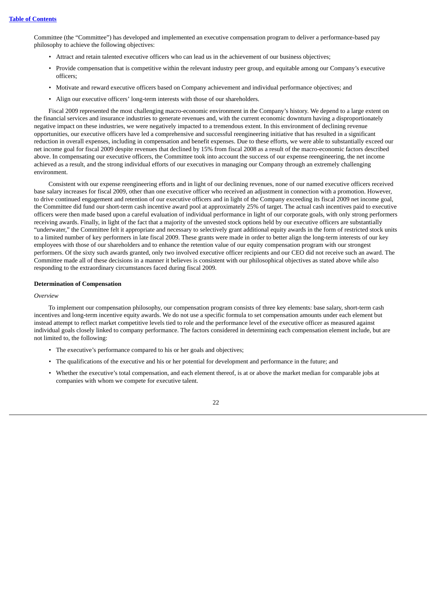Committee (the "Committee") has developed and implemented an executive compensation program to deliver a performance-based pay philosophy to achieve the following objectives:

- Attract and retain talented executive officers who can lead us in the achievement of our business objectives;
- Provide compensation that is competitive within the relevant industry peer group, and equitable among our Company's executive officers;
- Motivate and reward executive officers based on Company achievement and individual performance objectives; and
- Align our executive officers' long-term interests with those of our shareholders.

Fiscal 2009 represented the most challenging macro-economic environment in the Company's history. We depend to a large extent on the financial services and insurance industries to generate revenues and, with the current economic downturn having a disproportionately negative impact on these industries, we were negatively impacted to a tremendous extent. In this environment of declining revenue opportunities, our executive officers have led a comprehensive and successful reengineering initiative that has resulted in a significant reduction in overall expenses, including in compensation and benefit expenses. Due to these efforts, we were able to substantially exceed our net income goal for fiscal 2009 despite revenues that declined by 15% from fiscal 2008 as a result of the macro-economic factors described above. In compensating our executive officers, the Committee took into account the success of our expense reengineering, the net income achieved as a result, and the strong individual efforts of our executives in managing our Company through an extremely challenging environment.

Consistent with our expense reengineering efforts and in light of our declining revenues, none of our named executive officers received base salary increases for fiscal 2009, other than one executive officer who received an adjustment in connection with a promotion. However, to drive continued engagement and retention of our executive officers and in light of the Company exceeding its fiscal 2009 net income goal, the Committee did fund our short-term cash incentive award pool at approximately 25% of target. The actual cash incentives paid to executive officers were then made based upon a careful evaluation of individual performance in light of our corporate goals, with only strong performers receiving awards. Finally, in light of the fact that a majority of the unvested stock options held by our executive officers are substantially "underwater," the Committee felt it appropriate and necessary to selectively grant additional equity awards in the form of restricted stock units to a limited number of key performers in late fiscal 2009. These grants were made in order to better align the long-term interests of our key employees with those of our shareholders and to enhance the retention value of our equity compensation program with our strongest performers. Of the sixty such awards granted, only two involved executive officer recipients and our CEO did not receive such an award. The Committee made all of these decisions in a manner it believes is consistent with our philosophical objectives as stated above while also responding to the extraordinary circumstances faced during fiscal 2009.

#### **Determination of Compensation**

#### *Overview*

To implement our compensation philosophy, our compensation program consists of three key elements: base salary, short-term cash incentives and long-term incentive equity awards. We do not use a specific formula to set compensation amounts under each element but instead attempt to reflect market competitive levels tied to role and the performance level of the executive officer as measured against individual goals closely linked to company performance. The factors considered in determining each compensation element include, but are not limited to, the following:

- The executive's performance compared to his or her goals and objectives;
- The qualifications of the executive and his or her potential for development and performance in the future; and
- Whether the executive's total compensation, and each element thereof, is at or above the market median for comparable jobs at companies with whom we compete for executive talent.

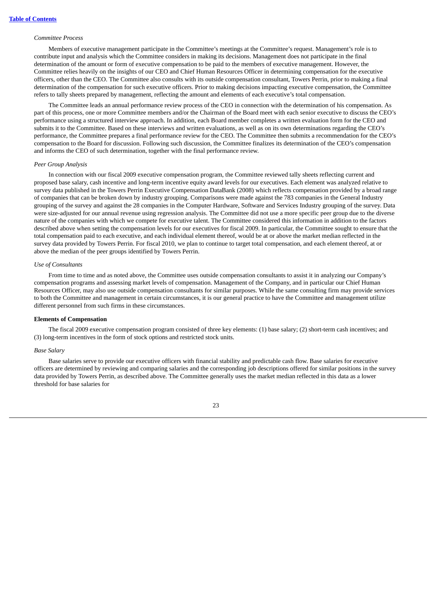#### *Committee Process*

Members of executive management participate in the Committee's meetings at the Committee's request. Management's role is to contribute input and analysis which the Committee considers in making its decisions. Management does not participate in the final determination of the amount or form of executive compensation to be paid to the members of executive management. However, the Committee relies heavily on the insights of our CEO and Chief Human Resources Officer in determining compensation for the executive officers, other than the CEO. The Committee also consults with its outside compensation consultant, Towers Perrin, prior to making a final determination of the compensation for such executive officers. Prior to making decisions impacting executive compensation, the Committee refers to tally sheets prepared by management, reflecting the amount and elements of each executive's total compensation.

The Committee leads an annual performance review process of the CEO in connection with the determination of his compensation. As part of this process, one or more Committee members and/or the Chairman of the Board meet with each senior executive to discuss the CEO's performance using a structured interview approach. In addition, each Board member completes a written evaluation form for the CEO and submits it to the Committee. Based on these interviews and written evaluations, as well as on its own determinations regarding the CEO's performance, the Committee prepares a final performance review for the CEO. The Committee then submits a recommendation for the CEO's compensation to the Board for discussion. Following such discussion, the Committee finalizes its determination of the CEO's compensation and informs the CEO of such determination, together with the final performance review.

#### *Peer Group Analysis*

In connection with our fiscal 2009 executive compensation program, the Committee reviewed tally sheets reflecting current and proposed base salary, cash incentive and long-term incentive equity award levels for our executives. Each element was analyzed relative to survey data published in the Towers Perrin Executive Compensation DataBank (2008) which reflects compensation provided by a broad range of companies that can be broken down by industry grouping. Comparisons were made against the 783 companies in the General Industry grouping of the survey and against the 28 companies in the Computer Hardware, Software and Services Industry grouping of the survey. Data were size-adjusted for our annual revenue using regression analysis. The Committee did not use a more specific peer group due to the diverse nature of the companies with which we compete for executive talent. The Committee considered this information in addition to the factors described above when setting the compensation levels for our executives for fiscal 2009. In particular, the Committee sought to ensure that the total compensation paid to each executive, and each individual element thereof, would be at or above the market median reflected in the survey data provided by Towers Perrin. For fiscal 2010, we plan to continue to target total compensation, and each element thereof, at or above the median of the peer groups identified by Towers Perrin.

#### *Use of Consultants*

From time to time and as noted above, the Committee uses outside compensation consultants to assist it in analyzing our Company's compensation programs and assessing market levels of compensation. Management of the Company, and in particular our Chief Human Resources Officer, may also use outside compensation consultants for similar purposes. While the same consulting firm may provide services to both the Committee and management in certain circumstances, it is our general practice to have the Committee and management utilize different personnel from such firms in these circumstances.

#### **Elements of Compensation**

The fiscal 2009 executive compensation program consisted of three key elements: (1) base salary; (2) short-term cash incentives; and (3) long-term incentives in the form of stock options and restricted stock units.

#### *Base Salary*

Base salaries serve to provide our executive officers with financial stability and predictable cash flow. Base salaries for executive officers are determined by reviewing and comparing salaries and the corresponding job descriptions offered for similar positions in the survey data provided by Towers Perrin, as described above. The Committee generally uses the market median reflected in this data as a lower threshold for base salaries for

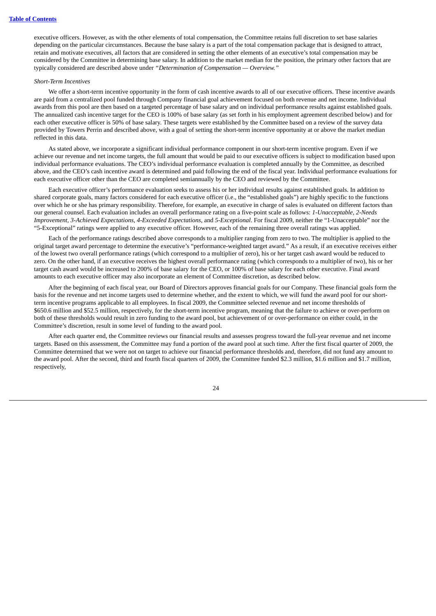executive officers. However, as with the other elements of total compensation, the Committee retains full discretion to set base salaries depending on the particular circumstances. Because the base salary is a part of the total compensation package that is designed to attract, retain and motivate executives, all factors that are considered in setting the other elements of an executive's total compensation may be considered by the Committee in determining base salary. In addition to the market median for the position, the primary other factors that are typically considered are described above under *"Determination of Compensation — Overview."*

#### *Short-Term Incentives*

We offer a short-term incentive opportunity in the form of cash incentive awards to all of our executive officers. These incentive awards are paid from a centralized pool funded through Company financial goal achievement focused on both revenue and net income. Individual awards from this pool are then based on a targeted percentage of base salary and on individual performance results against established goals. The annualized cash incentive target for the CEO is 100% of base salary (as set forth in his employment agreement described below) and for each other executive officer is 50% of base salary. These targets were established by the Committee based on a review of the survey data provided by Towers Perrin and described above, with a goal of setting the short-term incentive opportunity at or above the market median reflected in this data.

As stated above, we incorporate a significant individual performance component in our short-term incentive program. Even if we achieve our revenue and net income targets, the full amount that would be paid to our executive officers is subject to modification based upon individual performance evaluations. The CEO's individual performance evaluation is completed annually by the Committee, as described above, and the CEO's cash incentive award is determined and paid following the end of the fiscal year. Individual performance evaluations for each executive officer other than the CEO are completed semiannually by the CEO and reviewed by the Committee.

Each executive officer's performance evaluation seeks to assess his or her individual results against established goals. In addition to shared corporate goals, many factors considered for each executive officer (i.e., the "established goals") are highly specific to the functions over which he or she has primary responsibility. Therefore, for example, an executive in charge of sales is evaluated on different factors than our general counsel. Each evaluation includes an overall performance rating on a five-point scale as follows: *1-Unacceptable, 2-Needs Improvement, 3-Achieved Expectations, 4-Exceeded Expectations,* and *5-Exceptional*. For fiscal 2009, neither the "1-Unacceptable" nor the "5-Exceptional" ratings were applied to any executive officer. However, each of the remaining three overall ratings was applied.

Each of the performance ratings described above corresponds to a multiplier ranging from zero to two. The multiplier is applied to the original target award percentage to determine the executive's "performance-weighted target award." As a result, if an executive receives either of the lowest two overall performance ratings (which correspond to a multiplier of zero), his or her target cash award would be reduced to zero. On the other hand, if an executive receives the highest overall performance rating (which corresponds to a multiplier of two), his or her target cash award would be increased to 200% of base salary for the CEO, or 100% of base salary for each other executive. Final award amounts to each executive officer may also incorporate an element of Committee discretion, as described below.

After the beginning of each fiscal year, our Board of Directors approves financial goals for our Company. These financial goals form the basis for the revenue and net income targets used to determine whether, and the extent to which, we will fund the award pool for our shortterm incentive programs applicable to all employees. In fiscal 2009, the Committee selected revenue and net income thresholds of \$650.6 million and \$52.5 million, respectively, for the short-term incentive program, meaning that the failure to achieve or over-perform on both of these thresholds would result in zero funding to the award pool, but achievement of or over-performance on either could, in the Committee's discretion, result in some level of funding to the award pool.

After each quarter end, the Committee reviews our financial results and assesses progress toward the full-year revenue and net income targets. Based on this assessment, the Committee may fund a portion of the award pool at such time. After the first fiscal quarter of 2009, the Committee determined that we were not on target to achieve our financial performance thresholds and, therefore, did not fund any amount to the award pool. After the second, third and fourth fiscal quarters of 2009, the Committee funded \$2.3 million, \$1.6 million and \$1.7 million, respectively,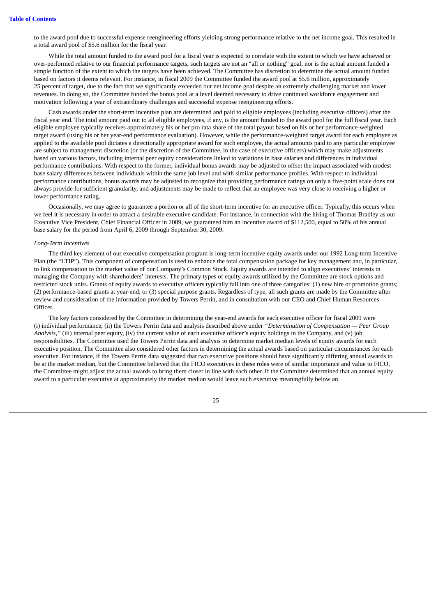to the award pool due to successful expense reengineering efforts yielding strong performance relative to the net income goal. This resulted in a total award pool of \$5.6 million for the fiscal year.

While the total amount funded to the award pool for a fiscal year is expected to correlate with the extent to which we have achieved or over-performed relative to our financial performance targets, such targets are not an "all or nothing" goal, nor is the actual amount funded a simple function of the extent to which the targets have been achieved. The Committee has discretion to determine the actual amount funded based on factors it deems relevant. For instance, in fiscal 2009 the Committee funded the award pool at \$5.6 million, approximately 25 percent of target, due to the fact that we significantly exceeded our net income goal despite an extremely challenging market and lower revenues. In doing so, the Committee funded the bonus pool at a level deemed necessary to drive continued workforce engagement and motivation following a year of extraordinary challenges and successful expense reengineering efforts.

Cash awards under the short-term incentive plan are determined and paid to eligible employees (including executive officers) after the fiscal year end. The total amount paid out to all eligible employees, if any, is the amount funded to the award pool for the full fiscal year. Each eligible employee typically receives approximately his or her pro rata share of the total payout based on his or her performance-weighted target award (using his or her year-end performance evaluation). However, while the performance-weighted target award for each employee as applied to the available pool dictates a directionally appropriate award for such employee, the actual amounts paid to any particular employee are subject to management discretion (or the discretion of the Committee, in the case of executive officers) which may make adjustments based on various factors, including internal peer equity considerations linked to variations in base salaries and differences in individual performance contributions. With respect to the former, individual bonus awards may be adjusted to offset the impact associated with modest base salary differences between individuals within the same job level and with similar performance profiles. With respect to individual performance contributions, bonus awards may be adjusted to recognize that providing performance ratings on only a five-point scale does not always provide for sufficient granularity, and adjustments may be made to reflect that an employee was very close to receiving a higher or lower performance rating.

Occasionally, we may agree to guarantee a portion or all of the short-term incentive for an executive officer. Typically, this occurs when we feel it is necessary in order to attract a desirable executive candidate. For instance, in connection with the hiring of Thomas Bradley as our Executive Vice President, Chief Financial Officer in 2009, we guaranteed him an incentive award of \$112,500, equal to 50% of his annual base salary for the period from April 6, 2009 through September 30, 2009.

#### *Long-Term Incentives*

The third key element of our executive compensation program is long-term incentive equity awards under our 1992 Long-term Incentive Plan (the "LTIP"). This component of compensation is used to enhance the total compensation package for key management and, in particular, to link compensation to the market value of our Company's Common Stock. Equity awards are intended to align executives' interests in managing the Company with shareholders' interests. The primary types of equity awards utilized by the Committee are stock options and restricted stock units. Grants of equity awards to executive officers typically fall into one of three categories: (1) new hire or promotion grants; (2) performance-based grants at year-end; or (3) special purpose grants. Regardless of type, all such grants are made by the Committee after review and consideration of the information provided by Towers Perrin, and in consultation with our CEO and Chief Human Resources Officer.

The key factors considered by the Committee in determining the year-end awards for each executive officer for fiscal 2009 were (i) individual performance, (ii) the Towers Perrin data and analysis described above under *"Determination of Compensation — Peer Group Analysis,"* (iii) internal peer equity, (iv) the current value of each executive officer's equity holdings in the Company, and (v) job responsibilities. The Committee used the Towers Perrin data and analysis to determine market median levels of equity awards for each executive position. The Committee also considered other factors in determining the actual awards based on particular circumstances for each executive. For instance, if the Towers Perrin data suggested that two executive positions should have significantly differing annual awards to be at the market median, but the Committee believed that the FICO executives in these roles were of similar importance and value to FICO, the Committee might adjust the actual awards to bring them closer in line with each other. If the Committee determined that an annual equity award to a particular executive at approximately the market median would leave such executive meaningfully below an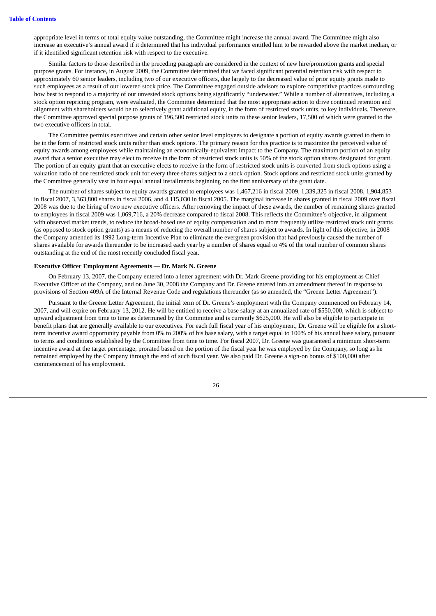appropriate level in terms of total equity value outstanding, the Committee might increase the annual award. The Committee might also increase an executive's annual award if it determined that his individual performance entitled him to be rewarded above the market median, or if it identified significant retention risk with respect to the executive.

Similar factors to those described in the preceding paragraph are considered in the context of new hire/promotion grants and special purpose grants. For instance, in August 2009, the Committee determined that we faced significant potential retention risk with respect to approximately 60 senior leaders, including two of our executive officers, due largely to the decreased value of prior equity grants made to such employees as a result of our lowered stock price. The Committee engaged outside advisors to explore competitive practices surrounding how best to respond to a majority of our unvested stock options being significantly "underwater." While a number of alternatives, including a stock option repricing program, were evaluated, the Committee determined that the most appropriate action to drive continued retention and alignment with shareholders would be to selectively grant additional equity, in the form of restricted stock units, to key individuals. Therefore, the Committee approved special purpose grants of 196,500 restricted stock units to these senior leaders, 17,500 of which were granted to the two executive officers in total.

The Committee permits executives and certain other senior level employees to designate a portion of equity awards granted to them to be in the form of restricted stock units rather than stock options. The primary reason for this practice is to maximize the perceived value of equity awards among employees while maintaining an economically-equivalent impact to the Company. The maximum portion of an equity award that a senior executive may elect to receive in the form of restricted stock units is 50% of the stock option shares designated for grant. The portion of an equity grant that an executive elects to receive in the form of restricted stock units is converted from stock options using a valuation ratio of one restricted stock unit for every three shares subject to a stock option. Stock options and restricted stock units granted by the Committee generally vest in four equal annual installments beginning on the first anniversary of the grant date.

The number of shares subject to equity awards granted to employees was 1,467,216 in fiscal 2009, 1,339,325 in fiscal 2008, 1,904,853 in fiscal 2007, 3,363,800 shares in fiscal 2006, and 4,115,030 in fiscal 2005. The marginal increase in shares granted in fiscal 2009 over fiscal 2008 was due to the hiring of two new executive officers. After removing the impact of these awards, the number of remaining shares granted to employees in fiscal 2009 was 1,069,716, a 20% decrease compared to fiscal 2008. This reflects the Committee's objective, in alignment with observed market trends, to reduce the broad-based use of equity compensation and to more frequently utilize restricted stock unit grants (as opposed to stock option grants) as a means of reducing the overall number of shares subject to awards. In light of this objective, in 2008 the Company amended its 1992 Long-term Incentive Plan to eliminate the evergreen provision that had previously caused the number of shares available for awards thereunder to be increased each year by a number of shares equal to 4% of the total number of common shares outstanding at the end of the most recently concluded fiscal year.

#### **Executive Officer Employment Agreements — Dr. Mark N. Greene**

On February 13, 2007, the Company entered into a letter agreement with Dr. Mark Greene providing for his employment as Chief Executive Officer of the Company, and on June 30, 2008 the Company and Dr. Greene entered into an amendment thereof in response to provisions of Section 409A of the Internal Revenue Code and regulations thereunder (as so amended, the "Greene Letter Agreement").

Pursuant to the Greene Letter Agreement, the initial term of Dr. Greene's employment with the Company commenced on February 14, 2007, and will expire on February 13, 2012. He will be entitled to receive a base salary at an annualized rate of \$550,000, which is subject to upward adjustment from time to time as determined by the Committee and is currently \$625,000. He will also be eligible to participate in benefit plans that are generally available to our executives. For each full fiscal year of his employment, Dr. Greene will be eligible for a shortterm incentive award opportunity payable from 0% to 200% of his base salary, with a target equal to 100% of his annual base salary, pursuant to terms and conditions established by the Committee from time to time. For fiscal 2007, Dr. Greene was guaranteed a minimum short-term incentive award at the target percentage, prorated based on the portion of the fiscal year he was employed by the Company, so long as he remained employed by the Company through the end of such fiscal year. We also paid Dr. Greene a sign-on bonus of \$100,000 after commencement of his employment.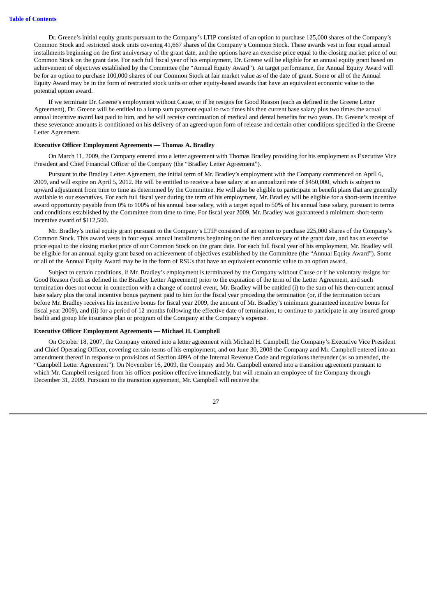Dr. Greene's initial equity grants pursuant to the Company's LTIP consisted of an option to purchase 125,000 shares of the Company's Common Stock and restricted stock units covering 41,667 shares of the Company's Common Stock. These awards vest in four equal annual installments beginning on the first anniversary of the grant date, and the options have an exercise price equal to the closing market price of our Common Stock on the grant date. For each full fiscal year of his employment, Dr. Greene will be eligible for an annual equity grant based on achievement of objectives established by the Committee (the "Annual Equity Award"). At target performance, the Annual Equity Award will be for an option to purchase 100,000 shares of our Common Stock at fair market value as of the date of grant. Some or all of the Annual Equity Award may be in the form of restricted stock units or other equity-based awards that have an equivalent economic value to the potential option award.

If we terminate Dr. Greene's employment without Cause, or if he resigns for Good Reason (each as defined in the Greene Letter Agreement), Dr. Greene will be entitled to a lump sum payment equal to two times his then current base salary plus two times the actual annual incentive award last paid to him, and he will receive continuation of medical and dental benefits for two years. Dr. Greene's receipt of these severance amounts is conditioned on his delivery of an agreed-upon form of release and certain other conditions specified in the Greene Letter Agreement.

#### **Executive Officer Employment Agreements — Thomas A. Bradley**

On March 11, 2009, the Company entered into a letter agreement with Thomas Bradley providing for his employment as Executive Vice President and Chief Financial Officer of the Company (the "Bradley Letter Agreement").

Pursuant to the Bradley Letter Agreement, the initial term of Mr. Bradley's employment with the Company commenced on April 6, 2009, and will expire on April 5, 2012. He will be entitled to receive a base salary at an annualized rate of \$450,000, which is subject to upward adjustment from time to time as determined by the Committee. He will also be eligible to participate in benefit plans that are generally available to our executives. For each full fiscal year during the term of his employment, Mr. Bradley will be eligible for a short-term incentive award opportunity payable from 0% to 100% of his annual base salary, with a target equal to 50% of his annual base salary, pursuant to terms and conditions established by the Committee from time to time. For fiscal year 2009, Mr. Bradley was guaranteed a minimum short-term incentive award of \$112,500.

Mr. Bradley's initial equity grant pursuant to the Company's LTIP consisted of an option to purchase 225,000 shares of the Company's Common Stock. This award vests in four equal annual installments beginning on the first anniversary of the grant date, and has an exercise price equal to the closing market price of our Common Stock on the grant date. For each full fiscal year of his employment, Mr. Bradley will be eligible for an annual equity grant based on achievement of objectives established by the Committee (the "Annual Equity Award"). Some or all of the Annual Equity Award may be in the form of RSUs that have an equivalent economic value to an option award.

Subject to certain conditions, if Mr. Bradley's employment is terminated by the Company without Cause or if he voluntary resigns for Good Reason (both as defined in the Bradley Letter Agreement) prior to the expiration of the term of the Letter Agreement, and such termination does not occur in connection with a change of control event, Mr. Bradley will be entitled (i) to the sum of his then-current annual base salary plus the total incentive bonus payment paid to him for the fiscal year preceding the termination (or, if the termination occurs before Mr. Bradley receives his incentive bonus for fiscal year 2009, the amount of Mr. Bradley's minimum guaranteed incentive bonus for fiscal year 2009), and (ii) for a period of 12 months following the effective date of termination, to continue to participate in any insured group health and group life insurance plan or program of the Company at the Company's expense.

#### **Executive Officer Employment Agreements — Michael H. Campbell**

On October 18, 2007, the Company entered into a letter agreement with Michael H. Campbell, the Company's Executive Vice President and Chief Operating Officer, covering certain terms of his employment, and on June 30, 2008 the Company and Mr. Campbell entered into an amendment thereof in response to provisions of Section 409A of the Internal Revenue Code and regulations thereunder (as so amended, the "Campbell Letter Agreement"). On November 16, 2009, the Company and Mr. Campbell entered into a transition agreement pursuant to which Mr. Campbell resigned from his officer position effective immediately, but will remain an employee of the Company through December 31, 2009. Pursuant to the transition agreement, Mr. Campbell will receive the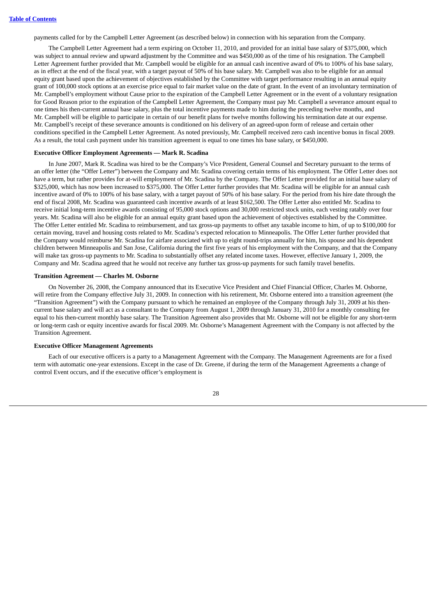payments called for by the Campbell Letter Agreement (as described below) in connection with his separation from the Company.

The Campbell Letter Agreement had a term expiring on October 11, 2010, and provided for an initial base salary of \$375,000, which was subject to annual review and upward adjustment by the Committee and was \$450,000 as of the time of his resignation. The Campbell Letter Agreement further provided that Mr. Campbell would be eligible for an annual cash incentive award of 0% to 100% of his base salary, as in effect at the end of the fiscal year, with a target payout of 50% of his base salary. Mr. Campbell was also to be eligible for an annual equity grant based upon the achievement of objectives established by the Committee with target performance resulting in an annual equity grant of 100,000 stock options at an exercise price equal to fair market value on the date of grant. In the event of an involuntary termination of Mr. Campbell's employment without Cause prior to the expiration of the Campbell Letter Agreement or in the event of a voluntary resignation for Good Reason prior to the expiration of the Campbell Letter Agreement, the Company must pay Mr. Campbell a severance amount equal to one times his then-current annual base salary, plus the total incentive payments made to him during the preceding twelve months, and Mr. Campbell will be eligible to participate in certain of our benefit plans for twelve months following his termination date at our expense. Mr. Campbell's receipt of these severance amounts is conditioned on his delivery of an agreed-upon form of release and certain other conditions specified in the Campbell Letter Agreement. As noted previously, Mr. Campbell received zero cash incentive bonus in fiscal 2009. As a result, the total cash payment under his transition agreement is equal to one times his base salary, or \$450,000.

#### **Executive Officer Employment Agreements — Mark R. Scadina**

In June 2007, Mark R. Scadina was hired to be the Company's Vice President, General Counsel and Secretary pursuant to the terms of an offer letter (the "Offer Letter") between the Company and Mr. Scadina covering certain terms of his employment. The Offer Letter does not have a term, but rather provides for at-will employment of Mr. Scadina by the Company. The Offer Letter provided for an initial base salary of \$325,000, which has now been increased to \$375,000. The Offer Letter further provides that Mr. Scadina will be eligible for an annual cash incentive award of 0% to 100% of his base salary, with a target payout of 50% of his base salary. For the period from his hire date through the end of fiscal 2008, Mr. Scadina was guaranteed cash incentive awards of at least \$162,500. The Offer Letter also entitled Mr. Scadina to receive initial long-term incentive awards consisting of 95,000 stock options and 30,000 restricted stock units, each vesting ratably over four years. Mr. Scadina will also be eligible for an annual equity grant based upon the achievement of objectives established by the Committee. The Offer Letter entitled Mr. Scadina to reimbursement, and tax gross-up payments to offset any taxable income to him, of up to \$100,000 for certain moving, travel and housing costs related to Mr. Scadina's expected relocation to Minneapolis. The Offer Letter further provided that the Company would reimburse Mr. Scadina for airfare associated with up to eight round-trips annually for him, his spouse and his dependent children between Minneapolis and San Jose, California during the first five years of his employment with the Company, and that the Company will make tax gross-up payments to Mr. Scadina to substantially offset any related income taxes. However, effective January 1, 2009, the Company and Mr. Scadina agreed that he would not receive any further tax gross-up payments for such family travel benefits.

#### **Transition Agreement — Charles M. Osborne**

On November 26, 2008, the Company announced that its Executive Vice President and Chief Financial Officer, Charles M. Osborne, will retire from the Company effective July 31, 2009. In connection with his retirement, Mr. Osborne entered into a transition agreement (the "Transition Agreement") with the Company pursuant to which he remained an employee of the Company through July 31, 2009 at his thencurrent base salary and will act as a consultant to the Company from August 1, 2009 through January 31, 2010 for a monthly consulting fee equal to his then-current monthly base salary. The Transition Agreement also provides that Mr. Osborne will not be eligible for any short-term or long-term cash or equity incentive awards for fiscal 2009. Mr. Osborne's Management Agreement with the Company is not affected by the Transition Agreement.

#### **Executive Officer Management Agreements**

Each of our executive officers is a party to a Management Agreement with the Company. The Management Agreements are for a fixed term with automatic one-year extensions. Except in the case of Dr. Greene, if during the term of the Management Agreements a change of control Event occurs, and if the executive officer's employment is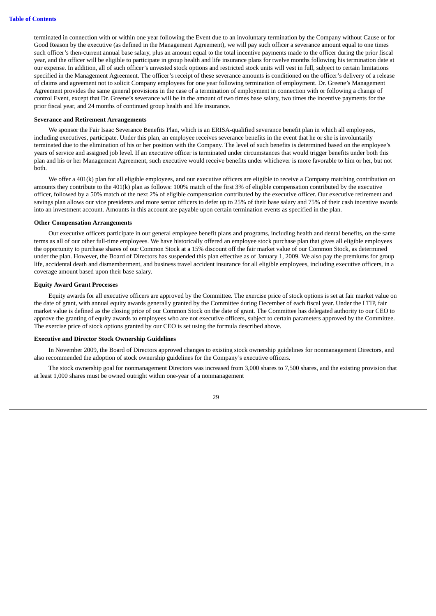terminated in connection with or within one year following the Event due to an involuntary termination by the Company without Cause or for Good Reason by the executive (as defined in the Management Agreement), we will pay such officer a severance amount equal to one times such officer's then-current annual base salary, plus an amount equal to the total incentive payments made to the officer during the prior fiscal year, and the officer will be eligible to participate in group health and life insurance plans for twelve months following his termination date at our expense. In addition, all of such officer's unvested stock options and restricted stock units will vest in full, subject to certain limitations specified in the Management Agreement. The officer's receipt of these severance amounts is conditioned on the officer's delivery of a release of claims and agreement not to solicit Company employees for one year following termination of employment. Dr. Greene's Management Agreement provides the same general provisions in the case of a termination of employment in connection with or following a change of control Event, except that Dr. Greene's severance will be in the amount of two times base salary, two times the incentive payments for the prior fiscal year, and 24 months of continued group health and life insurance.

#### **Severance and Retirement Arrangements**

We sponsor the Fair Isaac Severance Benefits Plan, which is an ERISA-qualified severance benefit plan in which all employees, including executives, participate. Under this plan, an employee receives severance benefits in the event that he or she is involuntarily terminated due to the elimination of his or her position with the Company. The level of such benefits is determined based on the employee's years of service and assigned job level. If an executive officer is terminated under circumstances that would trigger benefits under both this plan and his or her Management Agreement, such executive would receive benefits under whichever is more favorable to him or her, but not both.

We offer a 401(k) plan for all eligible employees, and our executive officers are eligible to receive a Company matching contribution on amounts they contribute to the 401(k) plan as follows: 100% match of the first 3% of eligible compensation contributed by the executive officer, followed by a 50% match of the next 2% of eligible compensation contributed by the executive officer. Our executive retirement and savings plan allows our vice presidents and more senior officers to defer up to 25% of their base salary and 75% of their cash incentive awards into an investment account. Amounts in this account are payable upon certain termination events as specified in the plan.

#### **Other Compensation Arrangements**

Our executive officers participate in our general employee benefit plans and programs, including health and dental benefits, on the same terms as all of our other full-time employees. We have historically offered an employee stock purchase plan that gives all eligible employees the opportunity to purchase shares of our Common Stock at a 15% discount off the fair market value of our Common Stock, as determined under the plan. However, the Board of Directors has suspended this plan effective as of January 1, 2009. We also pay the premiums for group life, accidental death and dismemberment, and business travel accident insurance for all eligible employees, including executive officers, in a coverage amount based upon their base salary.

#### **Equity Award Grant Processes**

Equity awards for all executive officers are approved by the Committee. The exercise price of stock options is set at fair market value on the date of grant, with annual equity awards generally granted by the Committee during December of each fiscal year. Under the LTIP, fair market value is defined as the closing price of our Common Stock on the date of grant. The Committee has delegated authority to our CEO to approve the granting of equity awards to employees who are not executive officers, subject to certain parameters approved by the Committee. The exercise price of stock options granted by our CEO is set using the formula described above.

#### **Executive and Director Stock Ownership Guidelines**

In November 2009, the Board of Directors approved changes to existing stock ownership guidelines for nonmanagement Directors, and also recommended the adoption of stock ownership guidelines for the Company's executive officers.

The stock ownership goal for nonmanagement Directors was increased from 3,000 shares to 7,500 shares, and the existing provision that at least 1,000 shares must be owned outright within one-year of a nonmanagement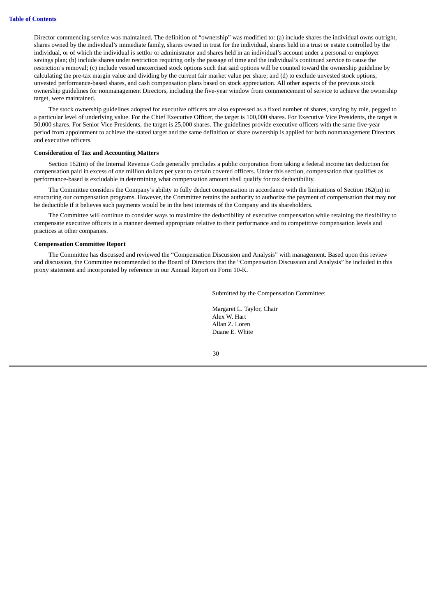Director commencing service was maintained. The definition of "ownership" was modified to: (a) include shares the individual owns outright, shares owned by the individual's immediate family, shares owned in trust for the individual, shares held in a trust or estate controlled by the individual, or of which the individual is settlor or administrator and shares held in an individual's account under a personal or employer savings plan; (b) include shares under restriction requiring only the passage of time and the individual's continued service to cause the restriction's removal; (c) include vested unexercised stock options such that said options will be counted toward the ownership guideline by calculating the pre-tax margin value and dividing by the current fair market value per share; and (d) to exclude unvested stock options, unvested performance-based shares, and cash compensation plans based on stock appreciation. All other aspects of the previous stock ownership guidelines for nonmanagement Directors, including the five-year window from commencement of service to achieve the ownership target, were maintained.

The stock ownership guidelines adopted for executive officers are also expressed as a fixed number of shares, varying by role, pegged to a particular level of underlying value. For the Chief Executive Officer, the target is 100,000 shares. For Executive Vice Presidents, the target is 50,000 shares. For Senior Vice Presidents, the target is 25,000 shares. The guidelines provide executive officers with the same five-year period from appointment to achieve the stated target and the same definition of share ownership is applied for both nonmanagement Directors and executive officers.

#### **Consideration of Tax and Accounting Matters**

Section 162(m) of the Internal Revenue Code generally precludes a public corporation from taking a federal income tax deduction for compensation paid in excess of one million dollars per year to certain covered officers. Under this section, compensation that qualifies as performance-based is excludable in determining what compensation amount shall qualify for tax deductibility.

The Committee considers the Company's ability to fully deduct compensation in accordance with the limitations of Section 162(m) in structuring our compensation programs. However, the Committee retains the authority to authorize the payment of compensation that may not be deductible if it believes such payments would be in the best interests of the Company and its shareholders.

The Committee will continue to consider ways to maximize the deductibility of executive compensation while retaining the flexibility to compensate executive officers in a manner deemed appropriate relative to their performance and to competitive compensation levels and practices at other companies.

#### **Compensation Committee Report**

The Committee has discussed and reviewed the "Compensation Discussion and Analysis" with management. Based upon this review and discussion, the Committee recommended to the Board of Directors that the "Compensation Discussion and Analysis" be included in this proxy statement and incorporated by reference in our Annual Report on Form 10-K.

Submitted by the Compensation Committee:

Margaret L. Taylor, Chair Alex W. Hart Allan Z. Loren Duane E. White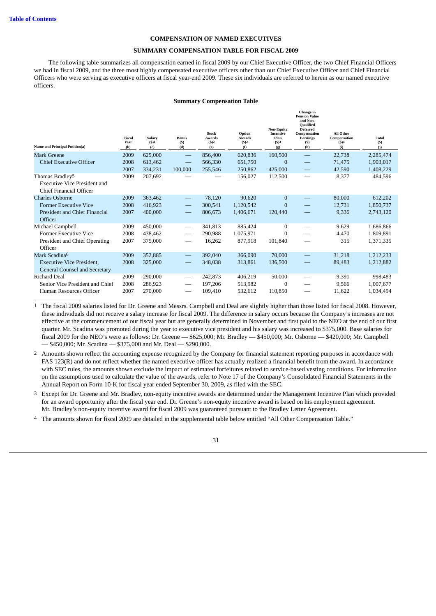#### **COMPENSATION OF NAMED EXECUTIVES**

#### **SUMMARY COMPENSATION TABLE FOR FISCAL 2009**

<span id="page-35-1"></span><span id="page-35-0"></span>The following table summarizes all compensation earned in fiscal 2009 by our Chief Executive Officer, the two Chief Financial Officers we had in fiscal 2009, and the three most highly compensated executive officers other than our Chief Executive Officer and Chief Financial Officers who were serving as executive officers at fiscal year-end 2009. These six individuals are referred to herein as our named executive officers.

#### **Summary Compensation Table**

| <b>Name and Principal Position(a)</b>                             | <b>Fiscal</b><br>Year<br>(b) | Salary<br>(S)1<br>(c) | <b>Bonus</b><br>(S)<br>(d)     | <b>Stock</b><br><b>Awards</b><br>(S)2<br>(e) | Option<br><b>Awards</b><br>(S)2<br>(f) | <b>Non-Equity</b><br>Incentive<br>Plan<br>(S)3<br>(g) | Change in<br><b>Pension Value</b><br>and Non-<br><b>Oualified</b><br>Deferred<br>Compensation<br><b>Earnings</b><br>$(5)$<br>(h) | All Other<br>Compensation<br>(S)4<br>(i) | Total<br>(S)<br>(i) |
|-------------------------------------------------------------------|------------------------------|-----------------------|--------------------------------|----------------------------------------------|----------------------------------------|-------------------------------------------------------|----------------------------------------------------------------------------------------------------------------------------------|------------------------------------------|---------------------|
| Mark Greene                                                       | 2009                         | 625,000               |                                | 856,400                                      | 620,836                                | 160,500                                               |                                                                                                                                  | 22,738                                   | 2,285,474           |
| <b>Chief Executive Officer</b>                                    | 2008                         | 613,462               |                                | 566,330                                      | 651,750                                | $\mathbf{0}$                                          | $\overline{\phantom{0}}$                                                                                                         | 71,475                                   | 1,903,017           |
|                                                                   | 2007                         | 334,231               | 100,000                        | 255,546                                      | 250,862                                | 425,000                                               |                                                                                                                                  | 42,590                                   | 1,408,229           |
| Thomas Bradley <sup>5</sup>                                       | 2009                         | 207,692               |                                |                                              | 156,027                                | 112,500                                               | $\overline{\phantom{0}}$                                                                                                         | 8,377                                    | 484,596             |
| <b>Executive Vice President and</b><br>Chief Financial Officer    |                              |                       |                                |                                              |                                        |                                                       |                                                                                                                                  |                                          |                     |
| <b>Charles Osborne</b>                                            | 2009                         | 363,462               |                                | 78,120                                       | 90,620                                 | $\mathbf{0}$                                          |                                                                                                                                  | 80,000                                   | 612,202             |
| Former Executive Vice                                             | 2008                         | 416,923               | $\qquad \qquad \longleftarrow$ | 300,541                                      | 1,120,542                              | $\mathbf{0}$                                          | $\overline{\phantom{0}}$                                                                                                         | 12,731                                   | 1,850,737           |
| <b>President and Chief Financial</b><br>Officer                   | 2007                         | 400,000               |                                | 806,673                                      | 1,406,671                              | 120,440                                               |                                                                                                                                  | 9,336                                    | 2,743,120           |
| Michael Campbell                                                  | 2009                         | 450,000               | -                              | 341,813                                      | 885,424                                | $\bf{0}$                                              |                                                                                                                                  | 9,629                                    | 1,686,866           |
| Former Executive Vice                                             | 2008                         | 438,462               |                                | 290,988                                      | 1,075,971                              | $\bf{0}$                                              |                                                                                                                                  | 4,470                                    | 1,809,891           |
| President and Chief Operating<br>Officer                          | 2007                         | 375,000               |                                | 16,262                                       | 877,918                                | 101,840                                               | –                                                                                                                                | 315                                      | 1,371,335           |
| Mark Scadina <sup>6</sup>                                         | 2009                         | 352,885               |                                | 392,040                                      | 366,090                                | 70,000                                                |                                                                                                                                  | 31,218                                   | 1,212,233           |
| <b>Executive Vice President,</b><br>General Counsel and Secretary | 2008                         | 325,000               |                                | 348,038                                      | 313,861                                | 136,500                                               |                                                                                                                                  | 89,483                                   | 1,212,882           |
| <b>Richard Deal</b>                                               | 2009                         | 290,000               |                                | 242,873                                      | 406,219                                | 50,000                                                |                                                                                                                                  | 9,391                                    | 998,483             |
| Senior Vice President and Chief                                   | 2008                         | 286,923               |                                | 197,206                                      | 513,982                                | $\bf{0}$                                              | $\overline{\phantom{0}}$                                                                                                         | 9,566                                    | 1,007,677           |
| Human Resources Officer                                           | 2007                         | 270,000               |                                | 109,410                                      | 532,612                                | 110,850                                               |                                                                                                                                  | 11,622                                   | 1,034,494           |

1 The fiscal 2009 salaries listed for Dr. Greene and Messrs. Campbell and Deal are slightly higher than those listed for fiscal 2008. However, these individuals did not receive a salary increase for fiscal 2009. The difference in salary occurs because the Company's increases are not effective at the commencement of our fiscal year but are generally determined in November and first paid to the NEO at the end of our first quarter. Mr. Scadina was promoted during the year to executive vice president and his salary was increased to \$375,000. Base salaries for fiscal 2009 for the NEO's were as follows: Dr. Greene — \$625,000; Mr. Bradley — \$450,000; Mr. Osborne — \$420,000; Mr. Campbell — \$450,000; Mr. Scadina — \$375,000 and Mr. Deal — \$290,000.

- 2 Amounts shown reflect the accounting expense recognized by the Company for financial statement reporting purposes in accordance with FAS 123(R) and do not reflect whether the named executive officer has actually realized a financial benefit from the award. In accordance with SEC rules, the amounts shown exclude the impact of estimated forfeitures related to service-based vesting conditions. For information on the assumptions used to calculate the value of the awards, refer to Note 17 of the Company's Consolidated Financial Statements in the Annual Report on Form 10-K for fiscal year ended September 30, 2009, as filed with the SEC.
- 3 Except for Dr. Greene and Mr. Bradley, non-equity incentive awards are determined under the Management Incentive Plan which provided for an award opportunity after the fiscal year end. Dr. Greene's non-equity incentive award is based on his employment agreement. Mr. Bradley's non-equity incentive award for fiscal 2009 was guaranteed pursuant to the Bradley Letter Agreement.
- 4 The amounts shown for fiscal 2009 are detailed in the supplemental table below entitled "All Other Compensation Table."

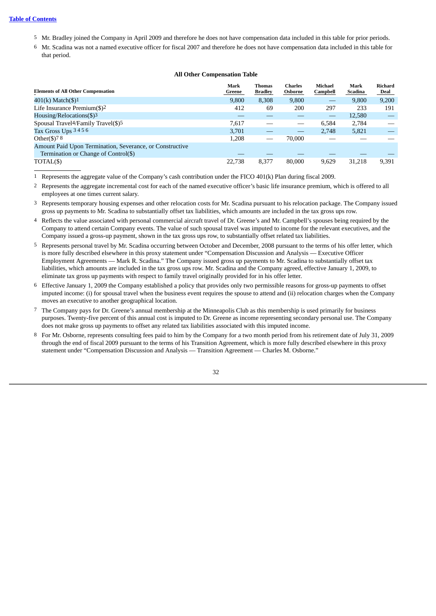- 5 Mr. Bradley joined the Company in April 2009 and therefore he does not have compensation data included in this table for prior periods.
- 6 Mr. Scadina was not a named executive officer for fiscal 2007 and therefore he does not have compensation data included in this table for that period.

#### **All Other Compensation Table**

| <b>Elements of All Other Compensation</b>                   | Mark<br>Greene | <b>Thomas</b><br><b>Bradley</b> | <b>Charles</b><br>Osborne | <b>Michael</b><br>Campbell | Mark<br>Scadina | <b>Richard</b><br><u>Deal</u> |
|-------------------------------------------------------------|----------------|---------------------------------|---------------------------|----------------------------|-----------------|-------------------------------|
| $401(k)$ Match(\$) <sup>1</sup>                             | 9,800          | 8,308                           | 9,800                     | $\overline{\phantom{0}}$   | 9,800           | 9,200                         |
| Life Insurance Premium $(\text{$}5)$ <sup>2</sup>           | 412            | 69                              | 200                       | 297                        | 233             | 191                           |
| Housing/Relocations(\$)3                                    |                |                                 |                           |                            | 12,580          |                               |
| Spousal Travel <sup>4</sup> /Family Travel(\$) <sup>5</sup> | 7.617          |                                 |                           | 6.584                      | 2,784           |                               |
| Tax Gross Ups 3456                                          | 3,701          |                                 |                           | 2.748                      | 5,821           |                               |
| Other $(\$)$ 78                                             | 1,208          |                                 | 70,000                    |                            |                 |                               |
| Amount Paid Upon Termination, Severance, or Constructive    |                |                                 |                           |                            |                 |                               |
| Termination or Change of Control(\$)                        |                |                                 |                           |                            |                 |                               |
| TOTAL(\$)                                                   | 22,738         | 8.377                           | 80,000                    | 9.629                      | 31.218          | 9.391                         |

1 Represents the aggregate value of the Company's cash contribution under the FICO 401(k) Plan during fiscal 2009.

- 2 Represents the aggregate incremental cost for each of the named executive officer's basic life insurance premium, which is offered to all employees at one times current salary.
- 3 Represents temporary housing expenses and other relocation costs for Mr. Scadina pursuant to his relocation package. The Company issued gross up payments to Mr. Scadina to substantially offset tax liabilities, which amounts are included in the tax gross ups row.
- 4 Reflects the value associated with personal commercial aircraft travel of Dr. Greene's and Mr. Campbell's spouses being required by the Company to attend certain Company events. The value of such spousal travel was imputed to income for the relevant executives, and the Company issued a gross-up payment, shown in the tax gross ups row, to substantially offset related tax liabilities.
- 5 Represents personal travel by Mr. Scadina occurring between October and December, 2008 pursuant to the terms of his offer letter, which is more fully described elsewhere in this proxy statement under "Compensation Discussion and Analysis — Executive Officer Employment Agreements — Mark R. Scadina." The Company issued gross up payments to Mr. Scadina to substantially offset tax liabilities, which amounts are included in the tax gross ups row. Mr. Scadina and the Company agreed, effective January 1, 2009, to eliminate tax gross up payments with respect to family travel originally provided for in his offer letter.
- 6 Effective January 1, 2009 the Company established a policy that provides only two permissible reasons for gross-up payments to offset imputed income: (i) for spousal travel when the business event requires the spouse to attend and (ii) relocation charges when the Company moves an executive to another geographical location.
- 7 The Company pays for Dr. Greene's annual membership at the Minneapolis Club as this membership is used primarily for business purposes. Twenty-five percent of this annual cost is imputed to Dr. Greene as income representing secondary personal use. The Company does not make gross up payments to offset any related tax liabilities associated with this imputed income.
- 8 For Mr. Osborne, represents consulting fees paid to him by the Company for a two month period from his retirement date of July 31, 2009 through the end of fiscal 2009 pursuant to the terms of his Transition Agreement, which is more fully described elsewhere in this proxy statement under "Compensation Discussion and Analysis — Transition Agreement — Charles M. Osborne."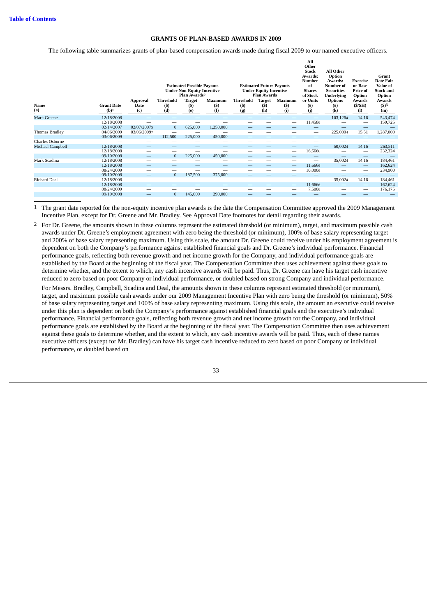#### **GRANTS OF PLAN-BASED AWARDS IN 2009**

<span id="page-37-0"></span>The following table summarizes grants of plan-based compensation awards made during fiscal 2009 to our named executive officers.

|                         |                          |                         |                   | <b>Estimated Possible Payouts</b><br><b>Under Non-Equity Incentive</b><br>Plan Awards <sup>2</sup> |                       |                  | <b>Estimated Future Payouts</b><br><b>Under Equity Incentive</b><br><b>Plan Awards</b> |                          | All<br>Other<br><b>Stock</b><br>Awards:<br>Number<br>of<br><b>Shares</b><br>of Stock | All Other<br>Option<br>Awards:<br>Number of<br><b>Securities</b><br><b>Underlying</b> | <b>Exercise</b><br>or Base<br>Price of<br>Option | Grant<br>Date Fair<br>Value of<br><b>Stock and</b><br>Option |
|-------------------------|--------------------------|-------------------------|-------------------|----------------------------------------------------------------------------------------------------|-----------------------|------------------|----------------------------------------------------------------------------------------|--------------------------|--------------------------------------------------------------------------------------|---------------------------------------------------------------------------------------|--------------------------------------------------|--------------------------------------------------------------|
| Name                    | <b>Grant Date</b>        | <b>Approval</b><br>Date | Threshold<br>(S)  | <b>Target</b><br>$($ \$                                                                            | <b>Maximum</b><br>(S) | Threshold<br>(S) | <b>Target</b><br>(S)                                                                   | <b>Maximum</b><br>(S)    | or Units<br>(# )                                                                     | <b>Options</b><br>$^{(#)}$                                                            | Awards<br>(S/SH)                                 | Awards<br>$($ \$)3                                           |
| (a)                     | $(b)$ <sup>1</sup>       | (c)                     | (d)               | (e)                                                                                                | (f                    | (g)              | (h)                                                                                    | $\bf(i)$                 | (i)                                                                                  | (k)                                                                                   | (1)                                              | (m)                                                          |
| <b>Mark Greene</b>      | 12/18/2008<br>12/18/2008 |                         |                   |                                                                                                    | -                     |                  | -                                                                                      |                          | 11,4586                                                                              | 103,1264                                                                              | 14.16                                            | 543,474<br>159,725                                           |
|                         | 02/14/2007               | 02/07/20075             | $\mathbf{0}$      | 625,000                                                                                            | 1,250,000             |                  |                                                                                        |                          |                                                                                      |                                                                                       |                                                  |                                                              |
| <b>Thomas Bradley</b>   | 04/06/2009               | 03/06/20097             | -                 |                                                                                                    |                       |                  |                                                                                        |                          |                                                                                      | 225,0004                                                                              | 15.51                                            | 1,287,000                                                    |
|                         | 03/06/2009               |                         | 112,500           | 225,000                                                                                            | 450,000               |                  | _                                                                                      | _                        |                                                                                      |                                                                                       |                                                  |                                                              |
| Charles Osborne         |                          |                         |                   |                                                                                                    | -                     |                  |                                                                                        |                          | -                                                                                    |                                                                                       |                                                  |                                                              |
| <b>Michael Campbell</b> | 12/18/2008<br>12/18/2008 |                         |                   |                                                                                                    |                       |                  |                                                                                        |                          | –<br>16,6666                                                                         | 50,0024                                                                               | 14.16                                            | 263,511                                                      |
|                         | 09/10/2008               |                         | -<br>$\mathbf{0}$ | -<br>225,000                                                                                       | 450,000               | -<br>_           | _                                                                                      |                          |                                                                                      | _                                                                                     |                                                  | 232,324                                                      |
| Mark Scadina            | 12/18/2008               |                         |                   |                                                                                                    | -                     | -                | -                                                                                      |                          |                                                                                      | 35,0024                                                                               | 14.16                                            | 184,461                                                      |
|                         | 12/18/2008               |                         |                   |                                                                                                    |                       |                  |                                                                                        |                          | 11,6666                                                                              | -                                                                                     | $\qquad \qquad -$                                | 162,624                                                      |
|                         | 08/24/2009               |                         | -                 |                                                                                                    | -                     |                  |                                                                                        |                          | 10,0006                                                                              |                                                                                       |                                                  | 234,900                                                      |
|                         | 09/10/2008               |                         | $\overline{0}$    | 187,500                                                                                            | 375,000               |                  | $\overline{\phantom{a}}$                                                               |                          | _                                                                                    |                                                                                       |                                                  |                                                              |
| <b>Richard Deal</b>     | 12/18/2008               |                         |                   |                                                                                                    | -                     | -                |                                                                                        | $\overline{\phantom{a}}$ |                                                                                      | 35,0024                                                                               | 14.16                                            | 184,461                                                      |
|                         | 12/18/2008               |                         |                   |                                                                                                    |                       |                  | –                                                                                      |                          | 11,6666                                                                              |                                                                                       |                                                  | 162,624                                                      |
|                         | 08/24/2009               |                         | -                 | $\overline{\phantom{a}}$                                                                           |                       | -                | -                                                                                      |                          | 7,5006                                                                               | $\overline{\phantom{a}}$                                                              |                                                  | 176,175                                                      |
|                         | 09/10/2008               |                         | $\overline{0}$    | 145,000                                                                                            | 290,000               |                  |                                                                                        |                          |                                                                                      |                                                                                       |                                                  |                                                              |

1 The grant date reported for the non-equity incentive plan awards is the date the Compensation Committee approved the 2009 Management Incentive Plan, except for Dr. Greene and Mr. Bradley. See Approval Date footnotes for detail regarding their awards.

2 For Dr. Greene, the amounts shown in these columns represent the estimated threshold (or minimum), target, and maximum possible cash awards under Dr. Greene's employment agreement with zero being the threshold (or minimum), 100% of base salary representing target and 200% of base salary representing maximum. Using this scale, the amount Dr. Greene could receive under his employment agreement is dependent on both the Company's performance against established financial goals and Dr. Greene's individual performance. Financial performance goals, reflecting both revenue growth and net income growth for the Company, and individual performance goals are established by the Board at the beginning of the fiscal year. The Compensation Committee then uses achievement against these goals to determine whether, and the extent to which, any cash incentive awards will be paid. Thus, Dr. Greene can have his target cash incentive reduced to zero based on poor Company or individual performance, or doubled based on strong Company and individual performance.

For Messrs. Bradley, Campbell, Scadina and Deal, the amounts shown in these columns represent estimated threshold (or minimum), target, and maximum possible cash awards under our 2009 Management Incentive Plan with zero being the threshold (or minimum), 50% of base salary representing target and 100% of base salary representing maximum. Using this scale, the amount an executive could receive under this plan is dependent on both the Company's performance against established financial goals and the executive's individual performance. Financial performance goals, reflecting both revenue growth and net income growth for the Company, and individual performance goals are established by the Board at the beginning of the fiscal year. The Compensation Committee then uses achievement against these goals to determine whether, and the extent to which, any cash incentive awards will be paid. Thus, each of these names executive officers (except for Mr. Bradley) can have his target cash incentive reduced to zero based on poor Company or individual performance, or doubled based on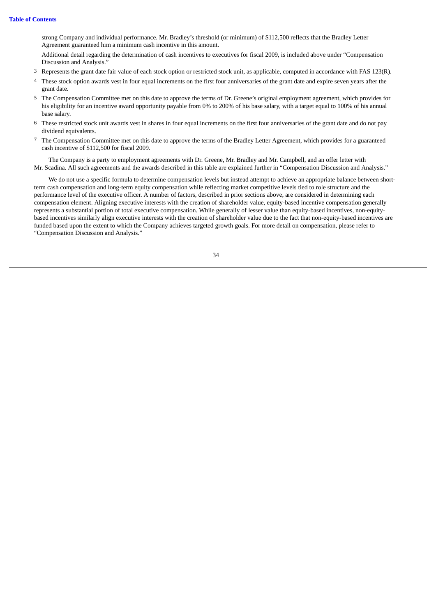strong Company and individual performance. Mr. Bradley's threshold (or minimum) of \$112,500 reflects that the Bradley Letter Agreement guaranteed him a minimum cash incentive in this amount.

Additional detail regarding the determination of cash incentives to executives for fiscal 2009, is included above under "Compensation Discussion and Analysis."

- 3 Represents the grant date fair value of each stock option or restricted stock unit, as applicable, computed in accordance with FAS 123(R).
- 4 These stock option awards vest in four equal increments on the first four anniversaries of the grant date and expire seven years after the grant date.
- 5 The Compensation Committee met on this date to approve the terms of Dr. Greene's original employment agreement, which provides for his eligibility for an incentive award opportunity payable from 0% to 200% of his base salary, with a target equal to 100% of his annual base salary.
- 6 These restricted stock unit awards vest in shares in four equal increments on the first four anniversaries of the grant date and do not pay dividend equivalents.
- 7 The Compensation Committee met on this date to approve the terms of the Bradley Letter Agreement, which provides for a guaranteed cash incentive of \$112,500 for fiscal 2009.

The Company is a party to employment agreements with Dr. Greene, Mr. Bradley and Mr. Campbell, and an offer letter with Mr. Scadina. All such agreements and the awards described in this table are explained further in "Compensation Discussion and Analysis."

We do not use a specific formula to determine compensation levels but instead attempt to achieve an appropriate balance between shortterm cash compensation and long-term equity compensation while reflecting market competitive levels tied to role structure and the performance level of the executive officer. A number of factors, described in prior sections above, are considered in determining each compensation element. Aligning executive interests with the creation of shareholder value, equity-based incentive compensation generally represents a substantial portion of total executive compensation. While generally of lesser value than equity-based incentives, non-equitybased incentives similarly align executive interests with the creation of shareholder value due to the fact that non-equity-based incentives are funded based upon the extent to which the Company achieves targeted growth goals. For more detail on compensation, please refer to "Compensation Discussion and Analysis."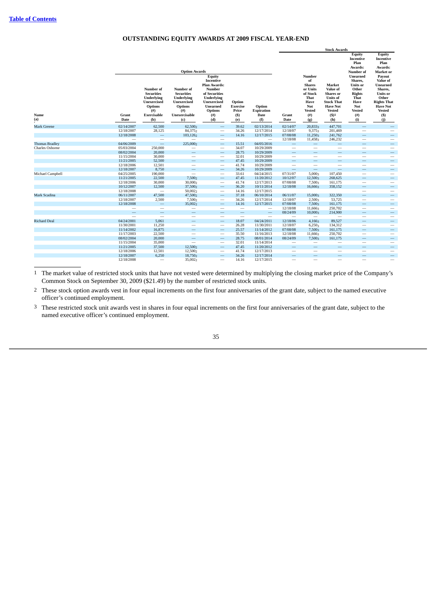#### **OUTSTANDING EQUITY AWARDS AT 2009 FISCAL YEAR-END**

<span id="page-39-0"></span>

|                       |                          |                                                                                      |                                                                                                       |                                                                                                                       |                          |                                 | <b>Stock Awards</b>             |                                                                              |                                                                                                   |                                                                                                                                                |                                                                                                                                                                       |
|-----------------------|--------------------------|--------------------------------------------------------------------------------------|-------------------------------------------------------------------------------------------------------|-----------------------------------------------------------------------------------------------------------------------|--------------------------|---------------------------------|---------------------------------|------------------------------------------------------------------------------|---------------------------------------------------------------------------------------------------|------------------------------------------------------------------------------------------------------------------------------------------------|-----------------------------------------------------------------------------------------------------------------------------------------------------------------------|
|                       |                          | Number of<br><b>Securities</b><br><b>Underlying</b><br>Unexercised<br><b>Options</b> | <b>Option Awards</b><br>Number of<br><b>Securities</b><br>Underlying<br>Unexercised<br><b>Options</b> | Equity<br>Incentive<br><b>Plan Awards:</b><br>Number<br>of Securities<br>Underlying<br>Unexercised<br><b>Unearned</b> | Option<br>Exercise       | Option                          |                                 | Number<br>of<br><b>Shares</b><br>or Units<br>of Stock<br>That<br>Have<br>Not | Market<br>Value of<br><b>Shares</b> or<br><b>Units of</b><br><b>Stock That</b><br><b>Have Not</b> | Equity<br>Incentive<br>Plan<br>Awards:<br>Number of<br>Unearned<br>Shares,<br><b>Units</b> or<br>Other<br><b>Rights</b><br>That<br>Have<br>Not | Equity<br>Incentive<br>Plan<br>Awards:<br>Market or<br>Payout<br>Value of<br>Unearned<br>Shares,<br><b>Units</b> or<br>Other<br><b>Rights That</b><br><b>Have Not</b> |
| Name                  | Grant                    | $($ #)<br>Exercisable                                                                | $($ # $)$<br>Unexercisable                                                                            | <b>Options</b>                                                                                                        | Price                    | <b>Expiration</b><br>Date       |                                 | <b>Vested</b>                                                                | <b>Vested</b>                                                                                     | <b>Vested</b>                                                                                                                                  | <b>Vested</b>                                                                                                                                                         |
| (a)                   | Date                     | (b)                                                                                  |                                                                                                       | (#)<br>(d)                                                                                                            | (S)                      |                                 | Grant<br>Date                   | $($ # $)$                                                                    | (S)1<br>(h)                                                                                       | (#)<br>(i)                                                                                                                                     | $(s)$                                                                                                                                                                 |
|                       |                          |                                                                                      | (c)                                                                                                   |                                                                                                                       | (e)                      | (f)                             |                                 | (g)                                                                          |                                                                                                   |                                                                                                                                                | (i)                                                                                                                                                                   |
| <b>Mark Greene</b>    | 02/14/2007               | 62,500                                                                               | 62,500                                                                                                | $\qquad \qquad -$                                                                                                     | 39.62                    | 02/13/2014                      | 02/14/07                        | 20,8333                                                                      | 447,701                                                                                           |                                                                                                                                                | $\overline{\phantom{0}}$                                                                                                                                              |
|                       | 12/18/2007               | 28,125                                                                               | 84,3752                                                                                               | $\overline{\phantom{m}}$                                                                                              | 34.26                    | 12/17/2014                      | 12/18/07                        | 9,3753                                                                       | 201,469                                                                                           | $\overline{\phantom{0}}$                                                                                                                       | $\overline{\phantom{a}}$                                                                                                                                              |
|                       | 12/18/2008               | $\qquad \qquad -$                                                                    | 103,126                                                                                               | $\qquad \qquad -$                                                                                                     | 14.16                    | 12/17/2015                      | 07/08/08                        | 11,2503                                                                      | 241,762                                                                                           | $\overline{\phantom{0}}$                                                                                                                       | $\overline{\phantom{0}}$                                                                                                                                              |
|                       |                          | $\overline{\phantom{m}}$                                                             | -                                                                                                     | $\overline{\phantom{a}}$                                                                                              |                          | $\overline{\phantom{0}}$        | 12/18/08                        | 11,4583                                                                      | 246,232                                                                                           | -                                                                                                                                              | $\overline{\phantom{0}}$                                                                                                                                              |
| <b>Thomas Bradley</b> | 04/06/2009               | $\qquad \qquad -$                                                                    | 225,0002                                                                                              | $\qquad \qquad -$                                                                                                     | 15.51                    | 04/05/2016                      | $\qquad \qquad -$               | $\hspace{0.1mm}-\hspace{0.1mm}$                                              | —                                                                                                 |                                                                                                                                                | $\qquad \qquad \longleftarrow$                                                                                                                                        |
| Charles Osborne       | 05/03/2004<br>08/02/2004 | 250,000                                                                              | $\qquad \qquad$<br>$\qquad \qquad -$                                                                  | $\overline{\phantom{m}}$                                                                                              | 34.07<br>28.75           | 10/29/2009<br>10/29/2009        | $\hspace{0.1mm}-\hspace{0.1mm}$ | $\hspace{0.1mm}-\hspace{0.1mm}$                                              | —<br>-                                                                                            | -                                                                                                                                              | $\qquad \qquad$                                                                                                                                                       |
|                       |                          | 20,000<br>30,000                                                                     |                                                                                                       | $\qquad \qquad -$                                                                                                     |                          | 10/29/2009                      | $\hspace{0.1mm}-\hspace{0.1mm}$ | $\hspace{0.1mm}-\hspace{0.1mm}$                                              | $\overline{\phantom{0}}$                                                                          | $\overline{\phantom{0}}$                                                                                                                       |                                                                                                                                                                       |
|                       | 11/15/2004<br>11/21/2005 | 52,500                                                                               | $\qquad \qquad$<br>$\qquad \qquad -$                                                                  | $\overline{\phantom{m}}$<br>$\qquad \qquad -$                                                                         | 32.01<br>47.45           | 10/29/2009                      | $\hspace{0.1mm}-\hspace{0.1mm}$ | $\qquad \qquad$                                                              | $\qquad \qquad -$                                                                                 |                                                                                                                                                | $\overline{\phantom{0}}$                                                                                                                                              |
|                       | 12/18/2006               | 12,501                                                                               | $\overline{\phantom{0}}$                                                                              | $\overline{\phantom{m}}$                                                                                              | 41.74                    | 10/29/2009                      | $\overline{\phantom{m}}$        | $\qquad \qquad \longleftarrow$<br>$\overline{\phantom{0}}$                   | $\overline{\phantom{m}}$                                                                          | -<br>$\overline{\phantom{0}}$                                                                                                                  | $\hspace{0.1mm}-\hspace{0.1mm}$<br>$\overline{\phantom{0}}$                                                                                                           |
|                       | 12/18/2007               | 8,750                                                                                | $\qquad \qquad \longleftarrow$                                                                        | $\hspace{0.1mm}-\hspace{0.1mm}$                                                                                       | 34.26                    | 10/29/2009                      | $\hspace{0.1mm}-\hspace{0.1mm}$ | $\qquad \qquad -$                                                            | $\overline{\phantom{0}}$                                                                          | $\overline{\phantom{0}}$                                                                                                                       |                                                                                                                                                                       |
| Michael Campbell      | 04/25/2005               | 190,000                                                                              | $\overline{\phantom{m}}$                                                                              | $\hspace{0.1mm}-\hspace{0.1mm}$                                                                                       | 33.61                    | 04/24/2015                      | 07/31/07                        | 5,0003                                                                       | 107,450                                                                                           | -                                                                                                                                              | $\qquad \qquad \longleftarrow$<br>$\qquad \qquad$                                                                                                                     |
|                       | 11/21/2005               | 22,500                                                                               | 7,500                                                                                                 | $\qquad \qquad -$                                                                                                     | 47.45                    | 11/20/2012                      | 10/12/07                        | 12,5003                                                                      | 268,625                                                                                           | $\overline{\phantom{0}}$                                                                                                                       |                                                                                                                                                                       |
|                       | 12/18/2006               | 30,000                                                                               | 30,0002                                                                                               | $\overline{\phantom{m}}$                                                                                              | 41.74                    | 12/17/2013                      | 07/08/08                        | 7,5003                                                                       | 161,175                                                                                           | $\overline{\phantom{0}}$                                                                                                                       | $\qquad \qquad$                                                                                                                                                       |
|                       | 10/12/2007               | 12,500                                                                               | 37,500                                                                                                | $\qquad \qquad -$                                                                                                     | 36.20                    | 10/11/2014                      | 12/18/08                        | 16,6663                                                                      | 358,152                                                                                           | -                                                                                                                                              | $\overline{\phantom{0}}$                                                                                                                                              |
|                       | 12/18/2008               | $\overline{\phantom{0}}$                                                             | 50,0022                                                                                               | $\overline{\phantom{m}}$                                                                                              | 14.16                    | 12/17/2015                      |                                 |                                                                              |                                                                                                   | $\overline{\phantom{0}}$                                                                                                                       | $\overline{\phantom{0}}$                                                                                                                                              |
| Mark Scadina          | 06/11/2007               | 47,500                                                                               | 47,5002                                                                                               | $\hspace{0.1mm}-\hspace{0.1mm}$                                                                                       | 37.18                    | 06/10/2014                      | 06/11/07                        | 15,0003                                                                      | 322,350                                                                                           |                                                                                                                                                | $\qquad \qquad \longleftarrow$                                                                                                                                        |
|                       | 12/18/2007               | 2,500                                                                                | 7,500                                                                                                 | $\overline{\phantom{m}}$                                                                                              | 34.26                    | 12/17/2014                      | 12/18/07                        | 2,5003                                                                       | 53,725                                                                                            | -                                                                                                                                              | $\qquad \qquad$                                                                                                                                                       |
|                       | 12/18/2008               | $\overline{\phantom{0}}$                                                             | 35,0022                                                                                               | $\qquad \qquad -$                                                                                                     | 14.16                    | 12/17/2015                      | 07/08/08                        | 7,5003                                                                       | 161,175                                                                                           |                                                                                                                                                | $\overline{\phantom{0}}$                                                                                                                                              |
|                       | $\overline{\phantom{0}}$ | $\overline{\phantom{0}}$                                                             | $\qquad \qquad$                                                                                       | $\qquad \qquad$                                                                                                       | $\qquad \qquad$          | $\hspace{0.1mm}-\hspace{0.1mm}$ | 12/18/08                        | 11,6663                                                                      | 250,702                                                                                           | $\overline{\phantom{0}}$                                                                                                                       | $\overline{\phantom{0}}$                                                                                                                                              |
|                       | $\qquad \qquad -$        | $\qquad \qquad -$                                                                    | $\equiv$                                                                                              | $\qquad \qquad -$                                                                                                     | $\overline{\phantom{0}}$ | $\overline{\phantom{m}}$        | 08/24/09                        | 10,0003                                                                      | 214,900                                                                                           | $\overline{\phantom{0}}$                                                                                                                       | $\qquad \qquad -$                                                                                                                                                     |
|                       | $\overline{\phantom{0}}$ | $\overline{\phantom{0}}$                                                             | $\overline{\phantom{0}}$                                                                              | $\overline{\phantom{a}}$                                                                                              | $\overline{\phantom{0}}$ | $\overline{\phantom{0}}$        | $\overline{\phantom{a}}$        | $\overline{\phantom{a}}$                                                     | -                                                                                                 | $\equiv$                                                                                                                                       | $\overline{\phantom{m}}$                                                                                                                                              |
| <b>Richard Deal</b>   | 04/24/2001               | 5,061                                                                                | $\overline{\phantom{0}}$                                                                              | $\hspace{0.1mm}-\hspace{0.1mm}$                                                                                       | 18.07                    | 04/24/2011                      | 12/18/06                        | 4,1663                                                                       | 89,527                                                                                            | $\overline{\phantom{0}}$                                                                                                                       |                                                                                                                                                                       |
|                       | 11/30/2001               | 11,250                                                                               | $\qquad \qquad$                                                                                       | $\hspace{0.1mm}-\hspace{0.1mm}$                                                                                       | 26.28                    | 11/30/2011                      | 12/18/07                        | 6,2503                                                                       | 134,312                                                                                           | $\overline{\phantom{0}}$                                                                                                                       | $\qquad \qquad$                                                                                                                                                       |
|                       | 11/14/2002               | 16,875                                                                               | $\overline{\phantom{0}}$                                                                              | $\qquad \qquad -$                                                                                                     | 25.57                    | 11/14/2012                      | 07/08/08                        | 7,5003                                                                       | 161,175                                                                                           | $\overline{\phantom{0}}$                                                                                                                       |                                                                                                                                                                       |
|                       | 11/17/2003               | 22,500                                                                               | $\overline{\phantom{m}}$                                                                              | $\overline{\phantom{m}}$                                                                                              | 35.50                    | 11/16/2013                      | 12/18/08                        | 11,6663                                                                      | 250,702                                                                                           |                                                                                                                                                | $\overline{\phantom{m}}$                                                                                                                                              |
|                       | 08/02/2004               | 20,000                                                                               | $\equiv$                                                                                              | $\qquad \qquad -$                                                                                                     | 28.75                    | 08/01/2014                      | 08/24/09                        | 7,5003                                                                       | 161,175                                                                                           |                                                                                                                                                | $\qquad \qquad \longleftarrow$                                                                                                                                        |
|                       | 11/15/2004               | 35,000                                                                               | $\overline{\phantom{0}}$                                                                              | $\overline{\phantom{m}}$                                                                                              | 32.01                    | 11/14/2014                      | $\overline{\phantom{a}}$        | $\qquad \qquad$                                                              | -                                                                                                 | $\overline{\phantom{0}}$                                                                                                                       | $\qquad \qquad$                                                                                                                                                       |
|                       | 11/21/2005               | 37,500                                                                               | 12,5002                                                                                               | $\hspace{0.1mm}-\hspace{0.1mm}$                                                                                       | 47.45                    | 11/20/2012                      | $\qquad \qquad -$               | $\overline{\phantom{0}}$                                                     | $\qquad \qquad -$                                                                                 |                                                                                                                                                | $\qquad \qquad \longleftarrow$                                                                                                                                        |
|                       | 12/18/2006               | 12,501                                                                               | 12,500                                                                                                | $\overline{\phantom{m}}$                                                                                              | 41.74                    | 12/17/2013                      | $\overline{\phantom{m}}$        | $\overline{\phantom{m}}$                                                     | $\overline{\phantom{0}}$                                                                          |                                                                                                                                                | $\qquad \qquad$                                                                                                                                                       |
|                       | 12/18/2007               | 6,250                                                                                | 18,750                                                                                                | $\qquad \qquad -$                                                                                                     | 34.26                    | 12/17/2014                      | $\qquad \qquad -$               | -                                                                            | —                                                                                                 | $\overline{\phantom{0}}$                                                                                                                       | $\qquad \qquad -$                                                                                                                                                     |
|                       | 12/18/2008               | $\overline{\phantom{a}}$                                                             | 35,0022                                                                                               |                                                                                                                       | 14.16                    | 12/17/2015                      |                                 | -                                                                            | -                                                                                                 |                                                                                                                                                | $\qquad \qquad$                                                                                                                                                       |

1 The market value of restricted stock units that have not vested were determined by multiplying the closing market price of the Company's Common Stock on September 30, 2009 (\$21.49) by the number of restricted stock units.

2 These stock option awards vest in four equal increments on the first four anniversaries of the grant date, subject to the named executive officer's continued employment.

3 These restricted stock unit awards vest in shares in four equal increments on the first four anniversaries of the grant date, subject to the named executive officer's continued employment.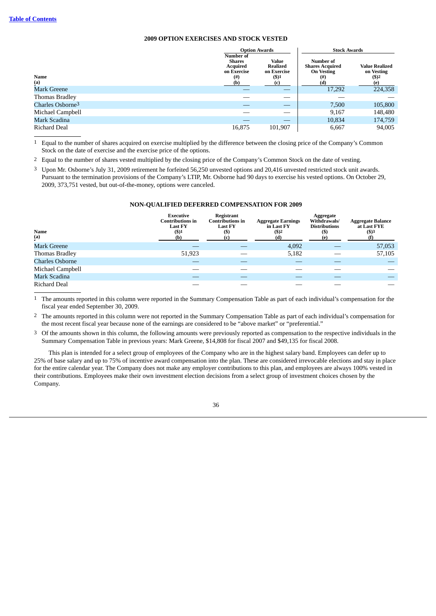#### **2009 OPTION EXERCISES AND STOCK VESTED**

<span id="page-40-0"></span>

|                              | <b>Option Awards</b>                                          |                                              | <b>Stock Awards</b>                                                |                                                             |  |
|------------------------------|---------------------------------------------------------------|----------------------------------------------|--------------------------------------------------------------------|-------------------------------------------------------------|--|
| Name                         | Number of<br><b>Shares</b><br>Acquired<br>on Exercise<br>(# ) | Value<br>Realized<br>on Exercise<br>$($ \$)1 | Number of<br><b>Shares Acquired</b><br><b>On Vesting</b><br>$($ #) | <b>Value Realized</b><br>on Vesting<br>$($ \$) <sup>2</sup> |  |
| (a)                          | (b)                                                           | (c)                                          | (d)                                                                | (e)                                                         |  |
| Mark Greene                  |                                                               | __                                           | 17,292                                                             | 224,358                                                     |  |
| Thomas Bradley               |                                                               | __                                           |                                                                    |                                                             |  |
| Charles Osborne <sup>3</sup> |                                                               |                                              | 7,500                                                              | 105,800                                                     |  |
| Michael Campbell             |                                                               |                                              | 9.167                                                              | 148,480                                                     |  |
| Mark Scadina                 |                                                               |                                              | 10,834                                                             | 174,759                                                     |  |
| Richard Deal                 | 16,875                                                        | 101,907                                      | 6.667                                                              | 94,005                                                      |  |

1 Equal to the number of shares acquired on exercise multiplied by the difference between the closing price of the Company's Common Stock on the date of exercise and the exercise price of the options.

2 Equal to the number of shares vested multiplied by the closing price of the Company's Common Stock on the date of vesting.

<span id="page-40-1"></span>3 Upon Mr. Osborne's July 31, 2009 retirement he forfeited 56,250 unvested options and 20,416 unvested restricted stock unit awards. Pursuant to the termination provisions of the Company's LTIP, Mr. Osborne had 90 days to exercise his vested options. On October 29, 2009, 373,751 vested, but out-of-the-money, options were canceled.

#### **NON-QUALIFIED DEFERRED COMPENSATION FOR 2009**

| Name<br>(a)            | <b>Executive</b><br><b>Contributions in</b><br><b>Last FY</b><br>$($ \$)1<br>(b) | Registrant<br><b>Contributions in</b><br><b>Last FY</b><br>(\$) | <b>Aggregate Earnings</b><br>in Last FY<br>$($ \$) <sup>2</sup><br>(d) | Aggregate<br>Withdrawals/<br><b>Distributions</b><br>$($ \$) | <b>Aggregate Balance</b><br>at Last FYE<br>$($ \$)3 |
|------------------------|----------------------------------------------------------------------------------|-----------------------------------------------------------------|------------------------------------------------------------------------|--------------------------------------------------------------|-----------------------------------------------------|
| <b>Mark Greene</b>     |                                                                                  |                                                                 | 4,092                                                                  |                                                              | 57,053                                              |
| Thomas Bradley         | 51,923                                                                           |                                                                 | 5,182                                                                  |                                                              | 57,105                                              |
| <b>Charles Osborne</b> |                                                                                  |                                                                 |                                                                        |                                                              |                                                     |
| Michael Campbell       |                                                                                  |                                                                 |                                                                        |                                                              |                                                     |
| Mark Scadina           |                                                                                  |                                                                 |                                                                        |                                                              |                                                     |
| Richard Deal           |                                                                                  |                                                                 |                                                                        |                                                              |                                                     |

1 The amounts reported in this column were reported in the Summary Compensation Table as part of each individual's compensation for the fiscal year ended September 30, 2009.

2 The amounts reported in this column were not reported in the Summary Compensation Table as part of each individual's compensation for the most recent fiscal year because none of the earnings are considered to be "above market" or "preferential."

3 Of the amounts shown in this column, the following amounts were previously reported as compensation to the respective individuals in the Summary Compensation Table in previous years: Mark Greene, \$14,808 for fiscal 2007 and \$49,135 for fiscal 2008.

This plan is intended for a select group of employees of the Company who are in the highest salary band. Employees can defer up to 25% of base salary and up to 75% of incentive award compensation into the plan. These are considered irrevocable elections and stay in place for the entire calendar year. The Company does not make any employer contributions to this plan, and employees are always 100% vested in their contributions. Employees make their own investment election decisions from a select group of investment choices chosen by the Company.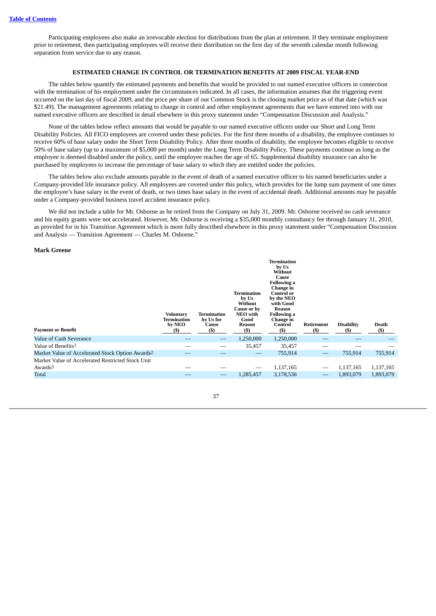<span id="page-41-0"></span>Participating employees also make an irrevocable election for distributions from the plan at retirement. If they terminate employment prior to retirement, then participating employees will receive their distribution on the first day of the seventh calendar month following separation from service due to any reason.

#### **ESTIMATED CHANGE IN CONTROL OR TERMINATION BENEFITS AT 2009 FISCAL YEAR-END**

The tables below quantify the estimated payments and benefits that would be provided to our named executive officers in connection with the termination of his employment under the circumstances indicated. In all cases, the information assumes that the triggering event occurred on the last day of fiscal 2009, and the price per share of our Common Stock is the closing market price as of that date (which was \$21.49). The management agreements relating to change in control and other employment agreements that we have entered into with our named executive officers are described in detail elsewhere in this proxy statement under "Compensation Discussion and Analysis."

None of the tables below reflect amounts that would be payable to our named executive officers under our Short and Long Term Disability Policies. All FICO employees are covered under these policies. For the first three months of a disability, the employee continues to receive 60% of base salary under the Short Term Disability Policy. After three months of disability, the employee becomes eligible to receive 50% of base salary (up to a maximum of \$5,000 per month) under the Long Term Disability Policy. These payments continue as long as the employee is deemed disabled under the policy, until the employee reaches the age of 65. Supplemental disability insurance can also be purchased by employees to increase the percentage of base salary to which they are entitled under the policies.

The tables below also exclude amounts payable in the event of death of a named executive officer to his named beneficiaries under a Company-provided life insurance policy. All employees are covered under this policy, which provides for the lump sum payment of one times the employee's base salary in the event of death, or two times base salary in the event of accidental death. Additional amounts may be payable under a Company-provided business travel accident insurance policy.

We did not include a table for Mr. Osborne as he retired from the Company on July 31, 2009. Mr. Osborne received no cash severance and his equity grants were not accelerated. However, Mr. Osborne is receiving a \$35,000 monthly consultancy fee through January 31, 2010, as provided for in his Transition Agreement which is more fully described elsewhere in this proxy statement under "Compensation Discussion and Analysis — Transition Agreement — Charles M. Osborne."

#### **Mark Greene**

| <b>Payment or Benefit</b>                                                         | <b>Voluntary</b><br>Termination<br>by NEO<br><b>(S)</b> | Termination<br>by Us for<br>Cause<br>(5) | Termination<br>by Us<br>Without<br>Cause or by<br>NEO with<br>Good<br>Reason<br>(5) | Termination<br>by Us<br>Without<br>Cause<br><b>Following a</b><br>Change in<br><b>Control or</b><br>by the NEO<br>with Good<br>Reason<br><b>Following a</b><br><b>Change in</b><br>Control<br>(S) | Retirement<br>(S) | <b>Disability</b><br>(5) | Death<br>(5)           |
|-----------------------------------------------------------------------------------|---------------------------------------------------------|------------------------------------------|-------------------------------------------------------------------------------------|---------------------------------------------------------------------------------------------------------------------------------------------------------------------------------------------------|-------------------|--------------------------|------------------------|
| Value of Cash Severance                                                           |                                                         |                                          | 1,250,000                                                                           | 1,250,000                                                                                                                                                                                         |                   |                          |                        |
| Value of Benefits <sup>1</sup>                                                    |                                                         |                                          | 35,457                                                                              | 35,457                                                                                                                                                                                            |                   |                          |                        |
| Market Value of Accelerated Stock Option Awards <sup>2</sup>                      |                                                         |                                          | —                                                                                   | 755,914                                                                                                                                                                                           |                   | 755,914                  | 755,914                |
| Market Value of Accelerated Restricted Stock Unit<br>Awards <sup>3</sup><br>Total |                                                         |                                          | 1,285,457                                                                           | 1,137,165<br>3,178,536                                                                                                                                                                            |                   | 1,137,165<br>1,893,079   | 1,137,165<br>1,893,079 |
|                                                                                   |                                                         |                                          |                                                                                     |                                                                                                                                                                                                   |                   |                          |                        |

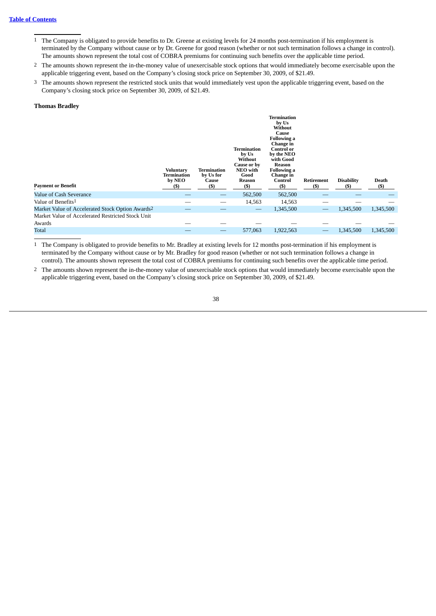- 1 The Company is obligated to provide benefits to Dr. Greene at existing levels for 24 months post-termination if his employment is terminated by the Company without cause or by Dr. Greene for good reason (whether or not such termination follows a change in control). The amounts shown represent the total cost of COBRA premiums for continuing such benefits over the applicable time period.
- 2 The amounts shown represent the in-the-money value of unexercisable stock options that would immediately become exercisable upon the applicable triggering event, based on the Company's closing stock price on September 30, 2009, of \$21.49.
- 3 The amounts shown represent the restricted stock units that would immediately vest upon the applicable triggering event, based on the Company's closing stock price on September 30, 2009, of \$21.49.

#### **Thomas Bradley**

| <b>Payment or Benefit</b>                                    | <b>Voluntary</b><br>Termination<br>by NEO<br>(5) | <b>Termination</b><br>by Us for<br>Cause<br>(5) | Termination<br>by Us<br>Without<br>Cause or by<br>NEO with<br>Good<br>Reason<br>$($ \$ | <b>Termination</b><br>by Us<br>Without<br>Cause<br><b>Following a</b><br>Change in<br><b>Control or</b><br>by the NEO<br>with Good<br>Reason<br><b>Following a</b><br>Change in<br>Control<br>(S) | Retirement<br>$($ \$ | <b>Disability</b><br>(5) | Death<br>$($)$ |
|--------------------------------------------------------------|--------------------------------------------------|-------------------------------------------------|----------------------------------------------------------------------------------------|---------------------------------------------------------------------------------------------------------------------------------------------------------------------------------------------------|----------------------|--------------------------|----------------|
| Value of Cash Severance                                      |                                                  |                                                 | 562,500                                                                                | 562,500                                                                                                                                                                                           |                      |                          |                |
| Value of Benefits <sup>1</sup>                               |                                                  |                                                 | 14,563                                                                                 | 14,563                                                                                                                                                                                            |                      |                          |                |
| Market Value of Accelerated Stock Option Awards <sup>2</sup> |                                                  |                                                 |                                                                                        | 1,345,500                                                                                                                                                                                         |                      | 1,345,500                | 1,345,500      |
| Market Value of Accelerated Restricted Stock Unit            |                                                  |                                                 |                                                                                        |                                                                                                                                                                                                   |                      |                          |                |
| Awards                                                       |                                                  |                                                 |                                                                                        |                                                                                                                                                                                                   |                      |                          |                |
| <b>Total</b>                                                 |                                                  |                                                 | 577,063                                                                                | 1,922,563                                                                                                                                                                                         |                      | 1,345,500                | 1,345,500      |

1 The Company is obligated to provide benefits to Mr. Bradley at existing levels for 12 months post-termination if his employment is terminated by the Company without cause or by Mr. Bradley for good reason (whether or not such termination follows a change in control). The amounts shown represent the total cost of COBRA premiums for continuing such benefits over the applicable time period.

2 The amounts shown represent the in-the-money value of unexercisable stock options that would immediately become exercisable upon the applicable triggering event, based on the Company's closing stock price on September 30, 2009, of \$21.49.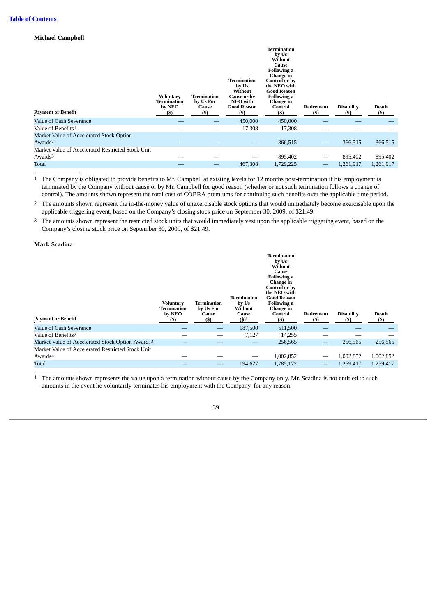### **Michael Campbell**

| <b>Payment or Benefit</b>                         | <b>Voluntary</b><br>Termination<br>by NEO<br>(\$) | Termination<br>by Us For<br>Cause<br>$($)$ | Termination<br>by Us<br>Without<br>Cause or by<br>NEO with<br><b>Good Reason</b><br>(S) | <b>Termination</b><br>by Us<br>Without<br>Cause<br><b>Following a</b><br>Change in<br>Control or by<br>the NEO with<br><b>Good Reason</b><br><b>Following a</b><br>Change in<br>Control<br>(\$) | Retirement<br>(\$) | <b>Disability</b><br>(\$) | <b>Death</b><br>$($)$ |
|---------------------------------------------------|---------------------------------------------------|--------------------------------------------|-----------------------------------------------------------------------------------------|-------------------------------------------------------------------------------------------------------------------------------------------------------------------------------------------------|--------------------|---------------------------|-----------------------|
| Value of Cash Severance                           |                                                   |                                            | 450,000                                                                                 | 450,000                                                                                                                                                                                         |                    |                           |                       |
| Value of Benefits <sup>1</sup>                    |                                                   |                                            | 17,308                                                                                  | 17,308                                                                                                                                                                                          |                    |                           |                       |
| Market Value of Accelerated Stock Option          |                                                   |                                            |                                                                                         |                                                                                                                                                                                                 |                    |                           |                       |
| Awards <sup>2</sup>                               |                                                   |                                            |                                                                                         | 366,515                                                                                                                                                                                         |                    | 366,515                   | 366,515               |
| Market Value of Accelerated Restricted Stock Unit |                                                   |                                            |                                                                                         |                                                                                                                                                                                                 |                    |                           |                       |
| Awards <sup>3</sup>                               |                                                   |                                            |                                                                                         | 895,402                                                                                                                                                                                         |                    | 895,402                   | 895,402               |
| Total                                             |                                                   |                                            | 467,308                                                                                 | 1,729,225                                                                                                                                                                                       |                    | 1,261,917                 | 1,261,917             |

1 The Company is obligated to provide benefits to Mr. Campbell at existing levels for 12 months post-termination if his employment is terminated by the Company without cause or by Mr. Campbell for good reason (whether or not such termination follows a change of control). The amounts shown represent the total cost of COBRA premiums for continuing such benefits over the applicable time period.

<sup>2</sup> The amounts shown represent the in-the-money value of unexercisable stock options that would immediately become exercisable upon the applicable triggering event, based on the Company's closing stock price on September 30, 2009, of \$21.49.

3 The amounts shown represent the restricted stock units that would immediately vest upon the applicable triggering event, based on the Company's closing stock price on September 30, 2009, of \$21.49.

#### **Mark Scadina**

| <b>Payment or Benefit</b>                                    | Voluntary<br>Termination<br>by NEO<br>(5) | Termination<br>by Us For<br>Cause<br>$($ \$ | <b>Termination</b><br>by Us<br>Without<br>Cause<br>$($ \$) $1$ | <b>Termination</b><br>by Us<br>Without<br>Cause<br><b>Following a</b><br>Change in<br>Control or by<br>the NEO with<br><b>Good Reason</b><br><b>Following a</b><br>Change in<br>Control<br>(S) | Retirement<br>(S) | <b>Disability</b><br>(S) | Death<br>(5) |
|--------------------------------------------------------------|-------------------------------------------|---------------------------------------------|----------------------------------------------------------------|------------------------------------------------------------------------------------------------------------------------------------------------------------------------------------------------|-------------------|--------------------------|--------------|
| Value of Cash Severance                                      |                                           |                                             | 187,500                                                        | 511,500                                                                                                                                                                                        |                   |                          |              |
| Value of Benefits2                                           |                                           |                                             | 7,127                                                          | 14,255                                                                                                                                                                                         |                   |                          |              |
| Market Value of Accelerated Stock Option Awards <sup>3</sup> |                                           |                                             |                                                                | 256,565                                                                                                                                                                                        |                   | 256,565                  | 256,565      |
| Market Value of Accelerated Restricted Stock Unit            |                                           |                                             |                                                                |                                                                                                                                                                                                |                   |                          |              |
| Awards <sup>4</sup>                                          |                                           |                                             |                                                                | 1,002,852                                                                                                                                                                                      |                   | 1,002,852                | 1,002,852    |
|                                                              |                                           |                                             |                                                                |                                                                                                                                                                                                |                   |                          |              |

1 The amounts shown represents the value upon a termination without cause by the Company only. Mr. Scadina is not entitled to such amounts in the event he voluntarily terminates his employment with the Company, for any reason.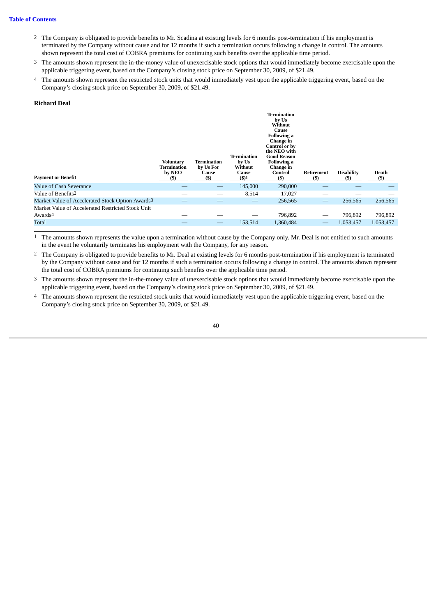### **Table of [Contents](#page-1-0)**

- 2 The Company is obligated to provide benefits to Mr. Scadina at existing levels for 6 months post-termination if his employment is terminated by the Company without cause and for 12 months if such a termination occurs following a change in control. The amounts shown represent the total cost of COBRA premiums for continuing such benefits over the applicable time period.
- 3 The amounts shown represent the in-the-money value of unexercisable stock options that would immediately become exercisable upon the applicable triggering event, based on the Company's closing stock price on September 30, 2009, of \$21.49.
- 4 The amounts shown represent the restricted stock units that would immediately vest upon the applicable triggering event, based on the Company's closing stock price on September 30, 2009, of \$21.49.

#### **Richard Deal**

| <b>Payment or Benefit</b>                                    | Voluntary<br>Termination<br>by NEO<br>(\$) | Termination<br>by Us For<br>Cause<br>$($ \$ | Termination<br>by Us<br>Without<br>Cause<br>$($ \$) $1$ | Termination<br>by Us<br>Without<br>Cause<br><b>Following a</b><br>Change in<br>Control or by<br>the NEO with<br><b>Good Reason</b><br><b>Following a</b><br>Change in<br>Control<br>(S) | Retirement<br>(S) | <b>Disability</b><br>(S) | Death<br>(5) |
|--------------------------------------------------------------|--------------------------------------------|---------------------------------------------|---------------------------------------------------------|-----------------------------------------------------------------------------------------------------------------------------------------------------------------------------------------|-------------------|--------------------------|--------------|
| Value of Cash Severance                                      |                                            |                                             | 145,000                                                 | 290,000                                                                                                                                                                                 |                   |                          |              |
| Value of Benefits <sup>2</sup>                               |                                            | --                                          | 8,514                                                   | 17,027                                                                                                                                                                                  |                   |                          |              |
| Market Value of Accelerated Stock Option Awards <sup>3</sup> |                                            |                                             |                                                         | 256,565                                                                                                                                                                                 |                   | 256,565                  | 256,565      |
| Market Value of Accelerated Restricted Stock Unit            |                                            |                                             |                                                         |                                                                                                                                                                                         |                   |                          |              |
| Awards <sup>4</sup>                                          |                                            |                                             |                                                         | 796,892                                                                                                                                                                                 |                   | 796,892                  | 796,892      |
| Total                                                        |                                            | –                                           | 153,514                                                 | 1,360,484                                                                                                                                                                               |                   | 1,053,457                | 1,053,457    |

1 The amounts shown represents the value upon a termination without cause by the Company only. Mr. Deal is not entitled to such amounts in the event he voluntarily terminates his employment with the Company, for any reason.

- 2 The Company is obligated to provide benefits to Mr. Deal at existing levels for 6 months post-termination if his employment is terminated by the Company without cause and for 12 months if such a termination occurs following a change in control. The amounts shown represent the total cost of COBRA premiums for continuing such benefits over the applicable time period.
- 3 The amounts shown represent the in-the-money value of unexercisable stock options that would immediately become exercisable upon the applicable triggering event, based on the Company's closing stock price on September 30, 2009, of \$21.49.
- 4 The amounts shown represent the restricted stock units that would immediately vest upon the applicable triggering event, based on the Company's closing stock price on September 30, 2009, of \$21.49.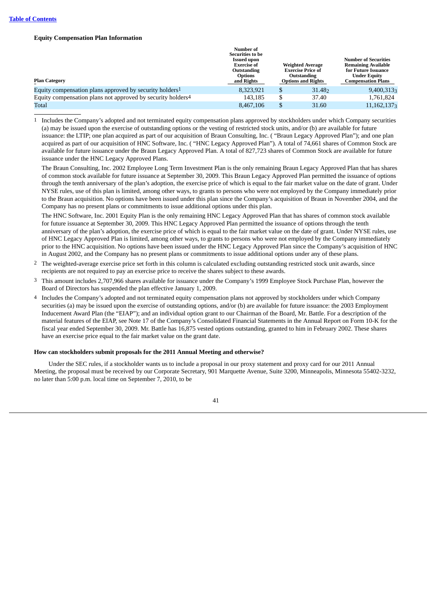#### **Equity Compensation Plan Information**

| <b>Plan Category</b>                                                    | Number of<br><b>Securities to be</b><br><b>Issued upon</b><br>Exercise of<br>Outstanding<br><b>Options</b><br>and Rights |         | <b>Weighted Average</b><br><b>Exercise Price of</b><br>Outstanding<br><b>Options and Rights</b> | <b>Number of Securities</b><br><b>Remaining Available</b><br>for Future Issuance<br><b>Under Equity</b><br><b>Compensation Plans</b> |  |
|-------------------------------------------------------------------------|--------------------------------------------------------------------------------------------------------------------------|---------|-------------------------------------------------------------------------------------------------|--------------------------------------------------------------------------------------------------------------------------------------|--|
| Equity compensation plans approved by security holders <sup>1</sup>     | 8.323.921                                                                                                                | S       | 31.48 <sub>2</sub>                                                                              | $9,400,313_3$                                                                                                                        |  |
| Equity compensation plans not approved by security holders <sup>4</sup> | 143,185                                                                                                                  | ጦ<br>لت | 37.40                                                                                           | 1,761,824                                                                                                                            |  |
| Total                                                                   | 8,467,106                                                                                                                | \$      | 31.60                                                                                           | $11,162,137_3$                                                                                                                       |  |

1 Includes the Company's adopted and not terminated equity compensation plans approved by stockholders under which Company securities (a) may be issued upon the exercise of outstanding options or the vesting of restricted stock units, and/or (b) are available for future issuance: the LTIP; one plan acquired as part of our acquisition of Braun Consulting, Inc. ( "Braun Legacy Approved Plan"); and one plan acquired as part of our acquisition of HNC Software, Inc. ( "HNC Legacy Approved Plan"). A total of 74,661 shares of Common Stock are available for future issuance under the Braun Legacy Approved Plan. A total of 827,723 shares of Common Stock are available for future issuance under the HNC Legacy Approved Plans.

The Braun Consulting, Inc. 2002 Employee Long Term Investment Plan is the only remaining Braun Legacy Approved Plan that has shares of common stock available for future issuance at September 30, 2009. This Braun Legacy Approved Plan permitted the issuance of options through the tenth anniversary of the plan's adoption, the exercise price of which is equal to the fair market value on the date of grant. Under NYSE rules, use of this plan is limited, among other ways, to grants to persons who were not employed by the Company immediately prior to the Braun acquisition. No options have been issued under this plan since the Company's acquisition of Braun in November 2004, and the Company has no present plans or commitments to issue additional options under this plan.

The HNC Software, Inc. 2001 Equity Plan is the only remaining HNC Legacy Approved Plan that has shares of common stock available for future issuance at September 30, 2009. This HNC Legacy Approved Plan permitted the issuance of options through the tenth anniversary of the plan's adoption, the exercise price of which is equal to the fair market value on the date of grant. Under NYSE rules, use of HNC Legacy Approved Plan is limited, among other ways, to grants to persons who were not employed by the Company immediately prior to the HNC acquisition. No options have been issued under the HNC Legacy Approved Plan since the Company's acquisition of HNC in August 2002, and the Company has no present plans or commitments to issue additional options under any of these plans.

- 2 The weighted-average exercise price set forth in this column is calculated excluding outstanding restricted stock unit awards, since recipients are not required to pay an exercise price to receive the shares subject to these awards.
- 3 This amount includes 2,707,966 shares available for issuance under the Company's 1999 Employee Stock Purchase Plan, however the Board of Directors has suspended the plan effective January 1, 2009.
- 4 Includes the Company's adopted and not terminated equity compensation plans not approved by stockholders under which Company securities (a) may be issued upon the exercise of outstanding options, and/or (b) are available for future issuance: the 2003 Employment Inducement Award Plan (the "EIAP"); and an individual option grant to our Chairman of the Board, Mr. Battle. For a description of the material features of the EIAP, see Note 17 of the Company's Consolidated Financial Statements in the Annual Report on Form 10-K for the fiscal year ended September 30, 2009. Mr. Battle has 16,875 vested options outstanding, granted to him in February 2002. These shares have an exercise price equal to the fair market value on the grant date.

#### **How can stockholders submit proposals for the 2011 Annual Meeting and otherwise?**

Under the SEC rules, if a stockholder wants us to include a proposal in our proxy statement and proxy card for our 2011 Annual Meeting, the proposal must be received by our Corporate Secretary, 901 Marquette Avenue, Suite 3200, Minneapolis, Minnesota 55402-3232, no later than 5:00 p.m. local time on September 7, 2010, to be

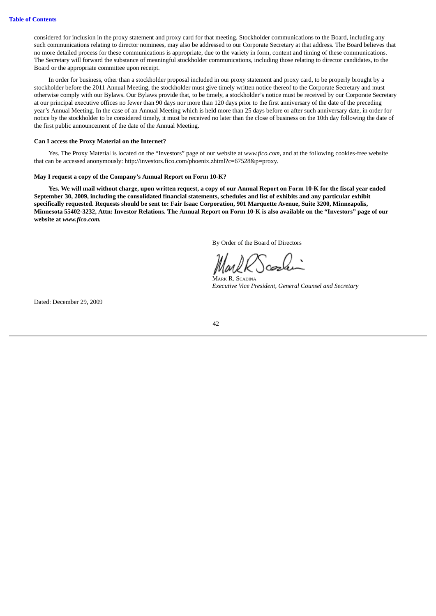considered for inclusion in the proxy statement and proxy card for that meeting. Stockholder communications to the Board, including any such communications relating to director nominees, may also be addressed to our Corporate Secretary at that address. The Board believes that no more detailed process for these communications is appropriate, due to the variety in form, content and timing of these communications. The Secretary will forward the substance of meaningful stockholder communications, including those relating to director candidates, to the Board or the appropriate committee upon receipt.

In order for business, other than a stockholder proposal included in our proxy statement and proxy card, to be properly brought by a stockholder before the 2011 Annual Meeting, the stockholder must give timely written notice thereof to the Corporate Secretary and must otherwise comply with our Bylaws. Our Bylaws provide that, to be timely, a stockholder's notice must be received by our Corporate Secretary at our principal executive offices no fewer than 90 days nor more than 120 days prior to the first anniversary of the date of the preceding year's Annual Meeting. In the case of an Annual Meeting which is held more than 25 days before or after such anniversary date, in order for notice by the stockholder to be considered timely, it must be received no later than the close of business on the 10th day following the date of the first public announcement of the date of the Annual Meeting.

#### **Can I access the Proxy Material on the Internet?**

Yes. The Proxy Material is located on the "Investors" page of our website at *www.fico.com*, and at the following cookies-free website that can be accessed anonymously: http://investors.fico.com/phoenix.zhtml?c=67528&p=proxy.

#### **May I request a copy of the Company's Annual Report on Form 10-K?**

Yes. We will mail without charge, upon written request, a copy of our Annual Report on Form 10-K for the fiscal year ended September 30, 2009, including the consolidated financial statements, schedules and list of exhibits and any particular exhibit specifically requested. Requests should be sent to: Fair Isaac Corporation, 901 Marquette Avenue, Suite 3200, Minneapolis, Minnesota 55402-3232, Attn: Investor Relations. The Annual Report on Form 10-K is also available on the "Investors" page of our **website at** *www.fico.com.*

By Order of the Board of Directors

MARK R. SCADINA *Executive Vice President, General Counsel and Secretary*

Dated: December 29, 2009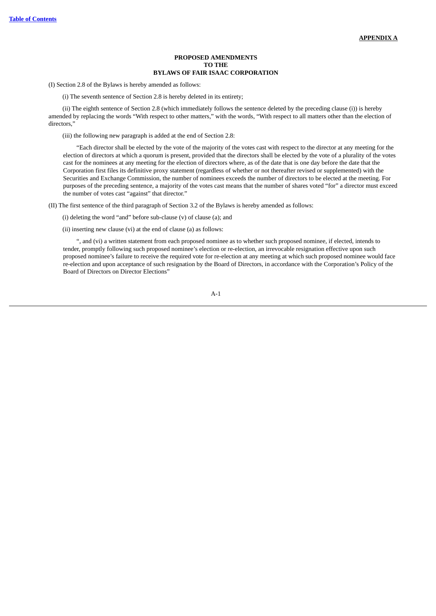#### **PROPOSED AMENDMENTS TO THE BYLAWS OF FAIR ISAAC CORPORATION**

<span id="page-47-0"></span>(I) Section 2.8 of the Bylaws is hereby amended as follows:

(i) The seventh sentence of Section 2.8 is hereby deleted in its entirety;

(ii) The eighth sentence of Section 2.8 (which immediately follows the sentence deleted by the preceding clause (i)) is hereby amended by replacing the words "With respect to other matters," with the words, "With respect to all matters other than the election of directors,"

(iii) the following new paragraph is added at the end of Section 2.8:

"Each director shall be elected by the vote of the majority of the votes cast with respect to the director at any meeting for the election of directors at which a quorum is present, provided that the directors shall be elected by the vote of a plurality of the votes cast for the nominees at any meeting for the election of directors where, as of the date that is one day before the date that the Corporation first files its definitive proxy statement (regardless of whether or not thereafter revised or supplemented) with the Securities and Exchange Commission, the number of nominees exceeds the number of directors to be elected at the meeting. For purposes of the preceding sentence, a majority of the votes cast means that the number of shares voted "for" a director must exceed the number of votes cast "against" that director."

(II) The first sentence of the third paragraph of Section 3.2 of the Bylaws is hereby amended as follows:

(i) deleting the word "and" before sub-clause (v) of clause (a); and

(ii) inserting new clause (vi) at the end of clause (a) as follows:

", and (vi) a written statement from each proposed nominee as to whether such proposed nominee, if elected, intends to tender, promptly following such proposed nominee's election or re-election, an irrevocable resignation effective upon such proposed nominee's failure to receive the required vote for re-election at any meeting at which such proposed nominee would face re-election and upon acceptance of such resignation by the Board of Directors, in accordance with the Corporation's Policy of the Board of Directors on Director Elections"

A-1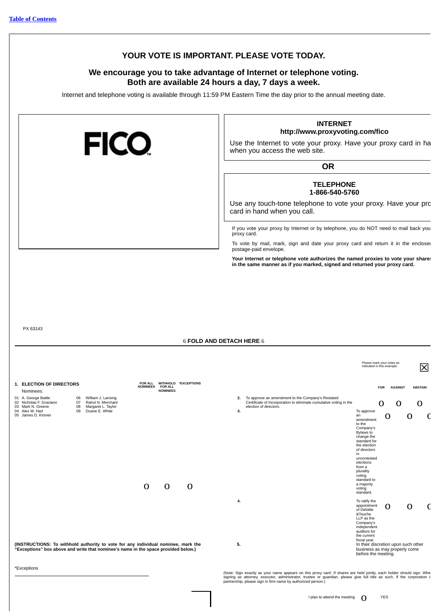### **YOUR VOTE IS IMPORTANT. PLEASE VOTE TODAY.**

### **We encourage you to take advantage of Internet or telephone voting. Both are available 24 hours a day, 7 days a week.**

Internet and telephone voting is available through 11:59 PM Eastern Time the day prior to the annual meeting date.

| <b>FICO</b>                                                                                                                                                                                                                                                                                | <b>INTERNET</b><br>http://www.proxyvoting.com/fico<br>Use the Internet to vote your proxy. Have your proxy card in ha<br>when you access the web site.<br><b>OR</b>                                                                                                                                                                                                                  |
|--------------------------------------------------------------------------------------------------------------------------------------------------------------------------------------------------------------------------------------------------------------------------------------------|--------------------------------------------------------------------------------------------------------------------------------------------------------------------------------------------------------------------------------------------------------------------------------------------------------------------------------------------------------------------------------------|
|                                                                                                                                                                                                                                                                                            | <b>TELEPHONE</b><br>1-866-540-5760<br>Use any touch-tone telephone to vote your proxy. Have your pro<br>card in hand when you call.                                                                                                                                                                                                                                                  |
|                                                                                                                                                                                                                                                                                            | If you vote your proxy by Internet or by telephone, you do NOT need to mail back you<br>proxy card.<br>To vote by mail, mark, sign and date your proxy card and return it in the enclosed<br>postage-paid envelope.<br>Your Internet or telephone vote authorizes the named proxies to vote your share:<br>in the same manner as if you marked, signed and returned your proxy card. |
| PX 63143                                                                                                                                                                                                                                                                                   | <b>6 FOLD AND DETACH HERE 6</b>                                                                                                                                                                                                                                                                                                                                                      |
| 1. ELECTION OF DIRECTORS<br>FOR ALL WITHHOLD *EXCEPTIONS                                                                                                                                                                                                                                   | Please mark your votes as<br> X<br>indicated in this example                                                                                                                                                                                                                                                                                                                         |
| <b>NOMINEES</b><br><b>FOR ALL</b><br><b>NOMINEES</b><br>Nominees:<br>01 A. George Battle<br>06 William J. Lansing<br>02 Nicholas F. Graziano<br>Rahul N. Merchant<br>07<br>03 Mark N. Greene<br>08<br>Margaret L. Taylor<br>04 Alex W. Hart<br>09<br>Duane E. White<br>05 James D. Kirsner | <b>AGAINST</b><br><b>ABSTAIN</b><br><b>FOR</b><br>To approve an amendment to the Company's Restated<br>2.<br>Certificate of Incorporation to eliminate cumulative voting in the<br>O<br>O<br>O<br>election of directors.<br>3.<br>To approve<br>an<br>O<br>O<br>C<br>amendment<br>to the<br>Company's<br>Bylaws to<br>change the<br>standard for<br>the election<br>of directors     |
| $\mathbf 0$<br>$\mathbf 0$<br>$\mathbf 0$                                                                                                                                                                                                                                                  | in<br>uncontested<br>elections<br>from a<br>plurality<br>voting<br>standard to<br>a majority<br>voting<br>standard.<br>To ratify the<br>4.<br>appointment<br>$\Omega$<br>O<br>C<br>of Deloitte                                                                                                                                                                                       |
| (INSTRUCTIONS: To withhold authority to vote for any individual nominee, mark the<br>"Exceptions" box above and write that nominee's name in the space provided below.)<br>*Exceptions                                                                                                     | &Touche<br>LLP as the<br>Company's<br>independent<br>auditors for<br>the current<br>fiscal year.<br>5.<br>In their discretion upon such other<br>business as may properly come<br>before the meeting.                                                                                                                                                                                |

(Note: Sign exactly as your name appears on this proxy card. If shares are held jointly, each holder should sign. Whe<br>signing as attorney, executor, administrator, trustee or guardian, please give full title as such. If th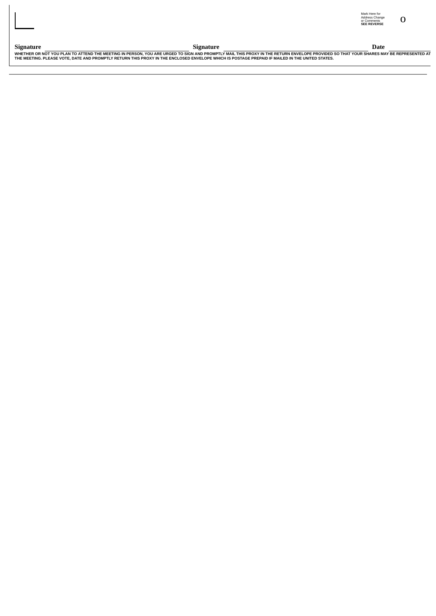Signature and the server the Materian of Signature<br>WHETHER OR NOT YOU PLAN TO ATTEND THE MEETING IN PERSON, YOU ARE URGED TO SIGN AND PROMPTLY MAIL THIS PROXY IN THE RETURN ENVELOPE PROVIDED SO THAT YOUR SHARES MAY BE REPR

# Mark Here for<br>Address Change<br>or Comments<br>SEE REVERSE